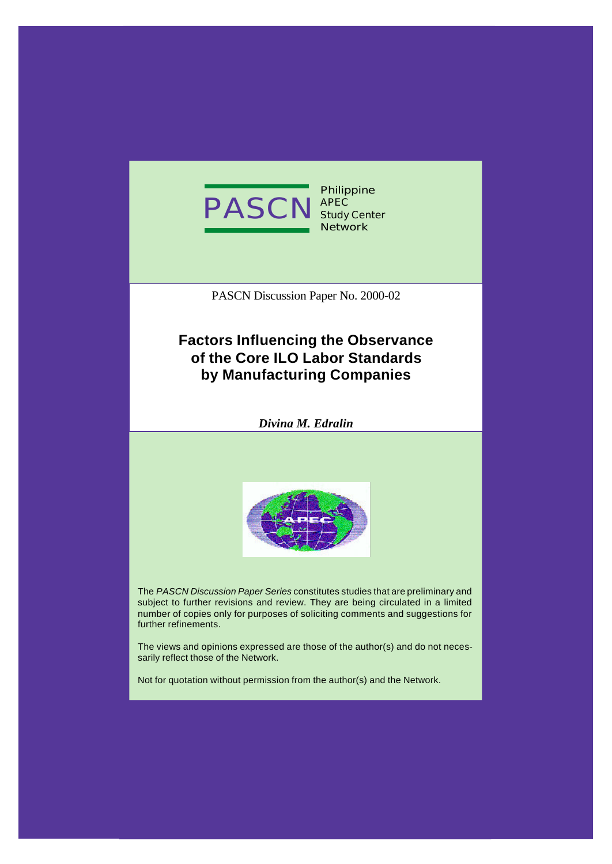

**Philippine APEC Study Center Network**

PASCN Discussion Paper No. 2000-02

## **Factors Influencing the Observance of the Core ILO Labor Standards by Manufacturing Companies**

*Divina M. Edralin*



The *PASCN Discussion Paper Series* constitutes studies that are preliminary and subject to further revisions and review. They are being circulated in a limited number of copies only for purposes of soliciting comments and suggestions for further refinements.

The views and opinions expressed are those of the author(s) and do not necessarily reflect those of the Network.

Not for quotation without permission from the author(s) and the Network.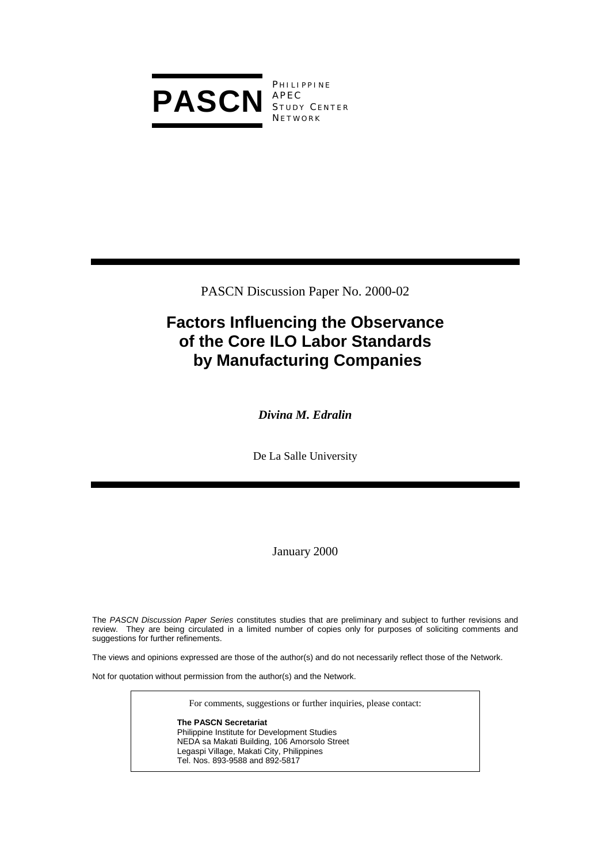

**PHILIPPINE** APEC STUDY CENTER **NETWORK** 

PASCN Discussion Paper No. 2000-02

## **Factors Influencing the Observance of the Core ILO Labor Standards by Manufacturing Companies**

*Divina M. Edralin* 

De La Salle University

January 2000

The *PASCN Discussion Paper Series* constitutes studies that are preliminary and subject to further revisions and review. They are being circulated in a limited number of copies only for purposes of soliciting comments and suggestions for further refinements.

The views and opinions expressed are those of the author(s) and do not necessarily reflect those of the Network.

Not for quotation without permission from the author(s) and the Network.

For comments, suggestions or further inquiries, please contact:

**The PASCN Secretariat** Philippine Institute for Development Studies NEDA sa Makati Building, 106 Amorsolo Street Legaspi Village, Makati City, Philippines Tel. Nos. 893-9588 and 892-5817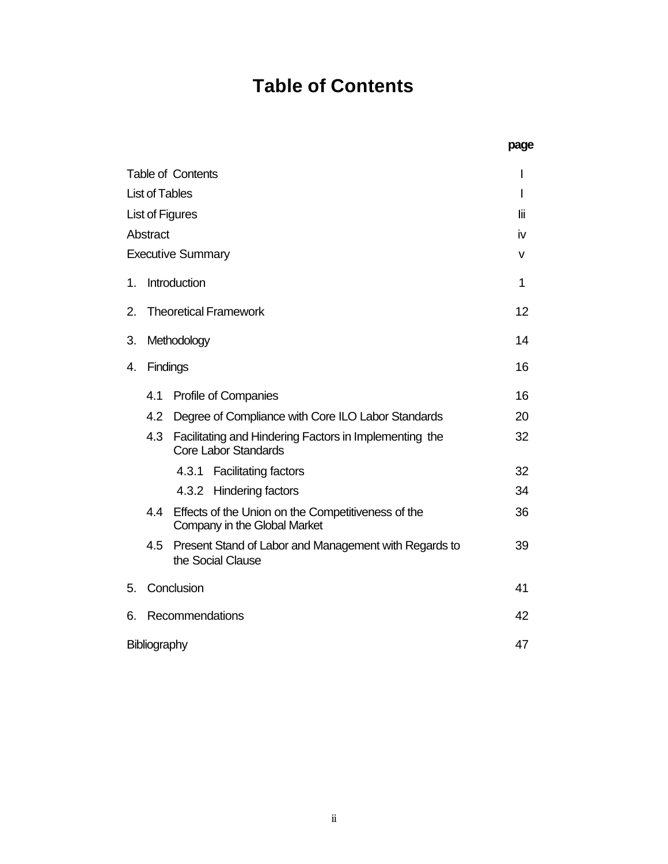# **Table of Contents**

|                                                                                              | page |
|----------------------------------------------------------------------------------------------|------|
| <b>Table of Contents</b>                                                                     | I    |
| <b>List of Tables</b>                                                                        | I    |
| List of Figures                                                                              | lii  |
| Abstract                                                                                     | iv   |
| <b>Executive Summary</b>                                                                     | v    |
| Introduction<br>1.                                                                           | 1    |
| <b>Theoretical Framework</b><br>2.                                                           | 12   |
| 3.<br>Methodology                                                                            | 14   |
| Findings<br>4.                                                                               | 16   |
| Profile of Companies<br>4.1                                                                  | 16   |
| Degree of Compliance with Core ILO Labor Standards<br>4.2                                    | 20   |
| Facilitating and Hindering Factors in Implementing the<br>4.3<br><b>Core Labor Standards</b> | 32   |
| 4.3.1<br><b>Facilitating factors</b>                                                         | 32   |
| 4.3.2<br>Hindering factors                                                                   | 34   |
| 4.4<br>Effects of the Union on the Competitiveness of the<br>Company in the Global Market    | 36   |
| Present Stand of Labor and Management with Regards to<br>4.5<br>the Social Clause            | 39   |
| Conclusion<br>5.                                                                             | 41   |
| 6.<br>Recommendations                                                                        | 42   |
| Bibliography                                                                                 | 47   |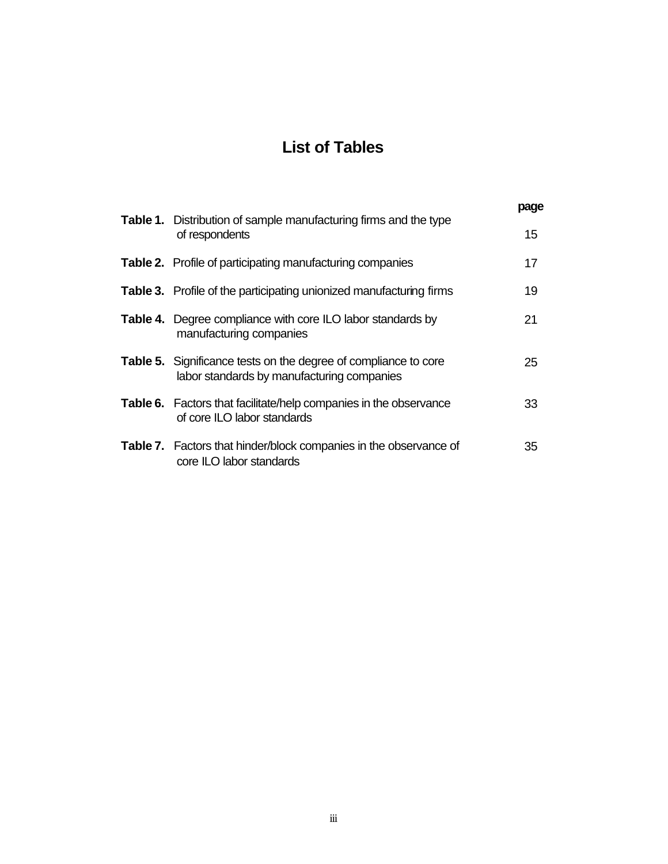## **List of Tables**

| <b>Table 1.</b> Distribution of sample manufacturing firms and the type                                              | page |
|----------------------------------------------------------------------------------------------------------------------|------|
| of respondents                                                                                                       | 15   |
| <b>Table 2.</b> Profile of participating manufacturing companies                                                     | 17   |
| <b>Table 3.</b> Profile of the participating unionized manufacturing firms                                           | 19   |
| <b>Table 4.</b> Degree compliance with core ILO labor standards by<br>manufacturing companies                        | 21   |
| <b>Table 5.</b> Significance tests on the degree of compliance to core<br>labor standards by manufacturing companies | 25   |
| <b>Table 6.</b> Factors that facilitate/help companies in the observance<br>of core ILO labor standards              | 33   |
| Table 7. Factors that hinder/block companies in the observance of<br>core ILO labor standards                        | 35   |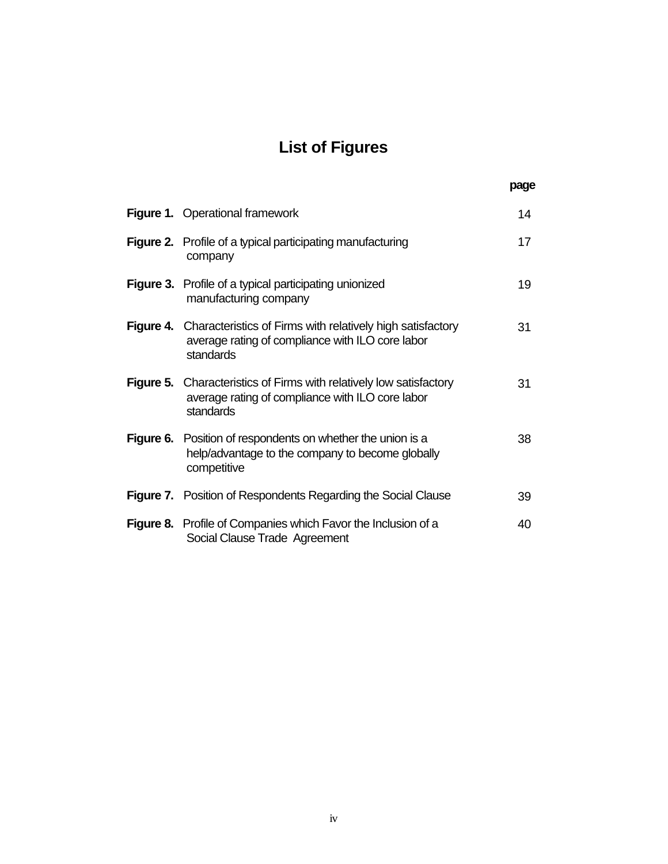# **List of Figures**

**page**

|           | Figure 1. Operational framework                                                                                                              | 14 |
|-----------|----------------------------------------------------------------------------------------------------------------------------------------------|----|
|           | <b>Figure 2.</b> Profile of a typical participating manufacturing<br>company                                                                 | 17 |
|           | <b>Figure 3.</b> Profile of a typical participating unionized<br>manufacturing company                                                       | 19 |
|           | <b>Figure 4.</b> Characteristics of Firms with relatively high satisfactory<br>average rating of compliance with ILO core labor<br>standards | 31 |
| Figure 5. | Characteristics of Firms with relatively low satisfactory<br>average rating of compliance with ILO core labor<br>standards                   | 31 |
|           | <b>Figure 6.</b> Position of respondents on whether the union is a<br>help/advantage to the company to become globally<br>competitive        | 38 |
|           | <b>Figure 7.</b> Position of Respondents Regarding the Social Clause                                                                         | 39 |
|           | Figure 8. Profile of Companies which Favor the Inclusion of a<br>Social Clause Trade Agreement                                               | 40 |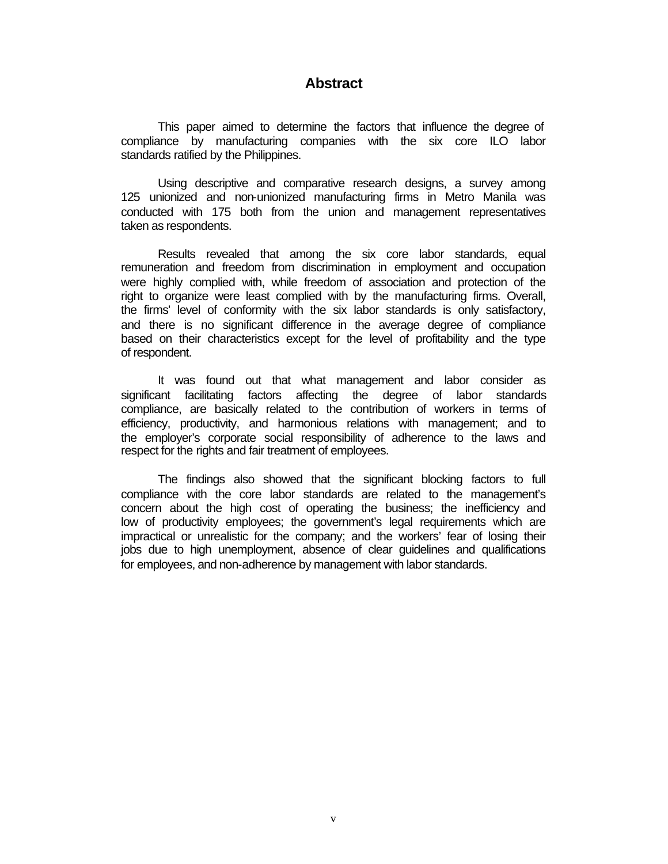## **Abstract**

This paper aimed to determine the factors that influence the degree of compliance by manufacturing companies with the six core ILO labor standards ratified by the Philippines.

Using descriptive and comparative research designs, a survey among 125 unionized and non-unionized manufacturing firms in Metro Manila was conducted with 175 both from the union and management representatives taken as respondents.

Results revealed that among the six core labor standards, equal remuneration and freedom from discrimination in employment and occupation were highly complied with, while freedom of association and protection of the right to organize were least complied with by the manufacturing firms. Overall, the firms' level of conformity with the six labor standards is only satisfactory, and there is no significant difference in the average degree of compliance based on their characteristics except for the level of profitability and the type of respondent.

It was found out that what management and labor consider as significant facilitating factors affecting the degree of labor standards compliance, are basically related to the contribution of workers in terms of efficiency, productivity, and harmonious relations with management; and to the employer's corporate social responsibility of adherence to the laws and respect for the rights and fair treatment of employees.

The findings also showed that the significant blocking factors to full compliance with the core labor standards are related to the management's concern about the high cost of operating the business; the inefficiency and low of productivity employees; the government's legal requirements which are impractical or unrealistic for the company; and the workers' fear of losing their jobs due to high unemployment, absence of clear guidelines and qualifications for employees, and non-adherence by management with labor standards.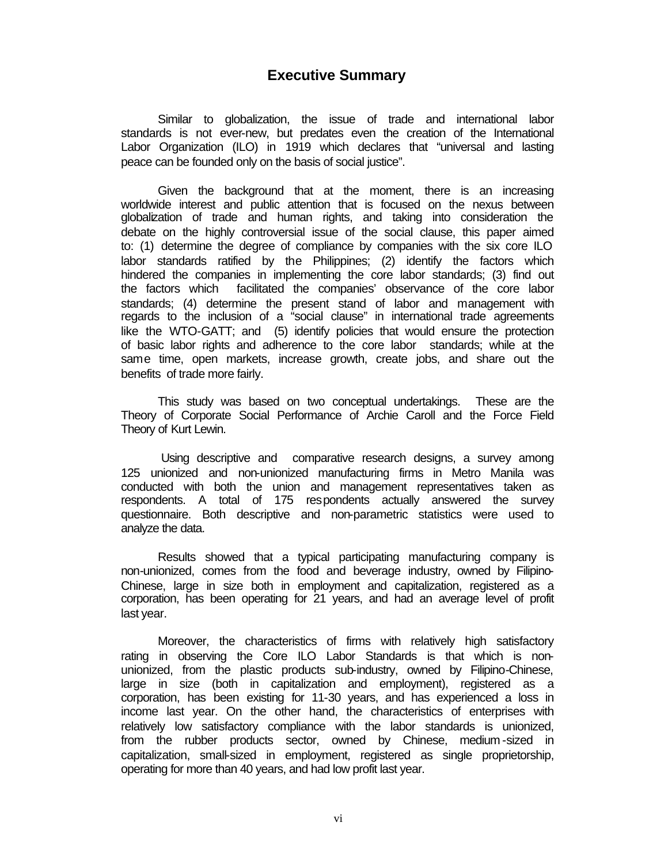## **Executive Summary**

Similar to globalization, the issue of trade and international labor standards is not ever-new, but predates even the creation of the International Labor Organization (ILO) in 1919 which declares that "universal and lasting peace can be founded only on the basis of social justice".

Given the background that at the moment, there is an increasing worldwide interest and public attention that is focused on the nexus between globalization of trade and human rights, and taking into consideration the debate on the highly controversial issue of the social clause, this paper aimed to: (1) determine the degree of compliance by companies with the six core ILO labor standards ratified by the Philippines; (2) identify the factors which hindered the companies in implementing the core labor standards; (3) find out the factors which facilitated the companies' observance of the core labor standards; (4) determine the present stand of labor and management with regards to the inclusion of a "social clause" in international trade agreements like the WTO-GATT; and (5) identify policies that would ensure the protection of basic labor rights and adherence to the core labor standards; while at the same time, open markets, increase growth, create jobs, and share out the benefits of trade more fairly.

This study was based on two conceptual undertakings. These are the Theory of Corporate Social Performance of Archie Caroll and the Force Field Theory of Kurt Lewin.

 Using descriptive and comparative research designs, a survey among 125 unionized and non-unionized manufacturing firms in Metro Manila was conducted with both the union and management representatives taken as respondents. A total of 175 respondents actually answered the survey questionnaire. Both descriptive and non-parametric statistics were used to analyze the data.

Results showed that a typical participating manufacturing company is non-unionized, comes from the food and beverage industry, owned by Filipino-Chinese, large in size both in employment and capitalization, registered as a corporation, has been operating for 21 years, and had an average level of profit last year.

Moreover, the characteristics of firms with relatively high satisfactory rating in observing the Core ILO Labor Standards is that which is nonunionized, from the plastic products sub-industry, owned by Filipino-Chinese, large in size (both in capitalization and employment), registered as a corporation, has been existing for 11-30 years, and has experienced a loss in income last year. On the other hand, the characteristics of enterprises with relatively low satisfactory compliance with the labor standards is unionized, from the rubber products sector, owned by Chinese, medium -sized in capitalization, small-sized in employment, registered as single proprietorship, operating for more than 40 years, and had low profit last year.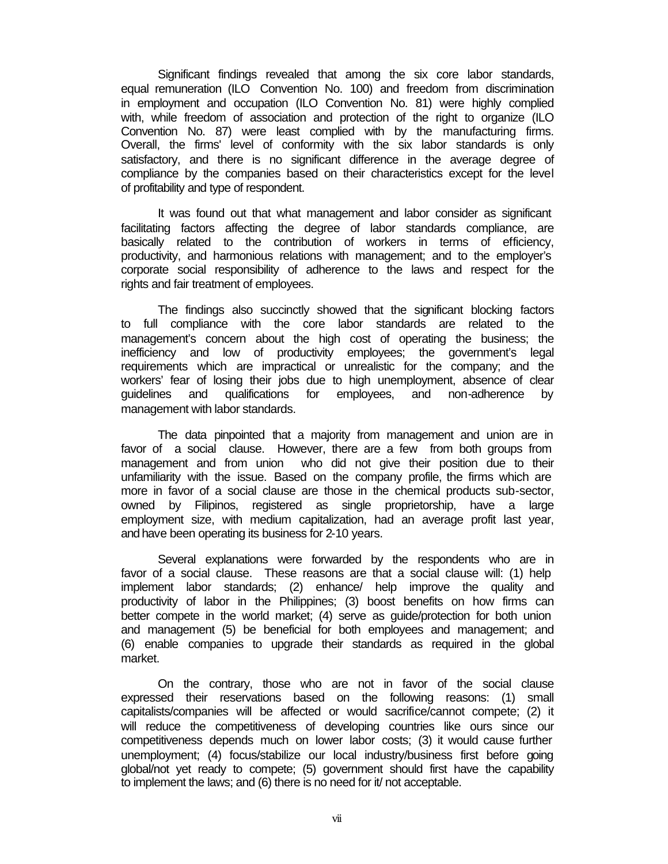Significant findings revealed that among the six core labor standards, equal remuneration (ILO Convention No. 100) and freedom from discrimination in employment and occupation (ILO Convention No. 81) were highly complied with, while freedom of association and protection of the right to organize (ILO Convention No. 87) were least complied with by the manufacturing firms. Overall, the firms' level of conformity with the six labor standards is only satisfactory, and there is no significant difference in the average degree of compliance by the companies based on their characteristics except for the level of profitability and type of respondent.

It was found out that what management and labor consider as significant facilitating factors affecting the degree of labor standards compliance, are basically related to the contribution of workers in terms of efficiency, productivity, and harmonious relations with management; and to the employer's corporate social responsibility of adherence to the laws and respect for the rights and fair treatment of employees.

The findings also succinctly showed that the significant blocking factors to full compliance with the core labor standards are related to the management's concern about the high cost of operating the business; the inefficiency and low of productivity employees; the government's legal requirements which are impractical or unrealistic for the company; and the workers' fear of losing their jobs due to high unemployment, absence of clear guidelines and qualifications for employees, and non-adherence by management with labor standards.

The data pinpointed that a majority from management and union are in favor of a social clause. However, there are a few from both groups from management and from union who did not give their position due to their unfamiliarity with the issue. Based on the company profile, the firms which are more in favor of a social clause are those in the chemical products sub-sector, owned by Filipinos, registered as single proprietorship, have a large employment size, with medium capitalization, had an average profit last year, and have been operating its business for 2-10 years.

Several explanations were forwarded by the respondents who are in favor of a social clause. These reasons are that a social clause will: (1) help implement labor standards; (2) enhance/ help improve the quality and productivity of labor in the Philippines; (3) boost benefits on how firms can better compete in the world market; (4) serve as guide/protection for both union and management (5) be beneficial for both employees and management; and (6) enable companies to upgrade their standards as required in the global market.

On the contrary, those who are not in favor of the social clause expressed their reservations based on the following reasons: (1) small capitalists/companies will be affected or would sacrifice/cannot compete; (2) it will reduce the competitiveness of developing countries like ours since our competitiveness depends much on lower labor costs; (3) it would cause further unemployment; (4) focus/stabilize our local industry/business first before going global/not yet ready to compete; (5) government should first have the capability to implement the laws; and (6) there is no need for it/ not acceptable.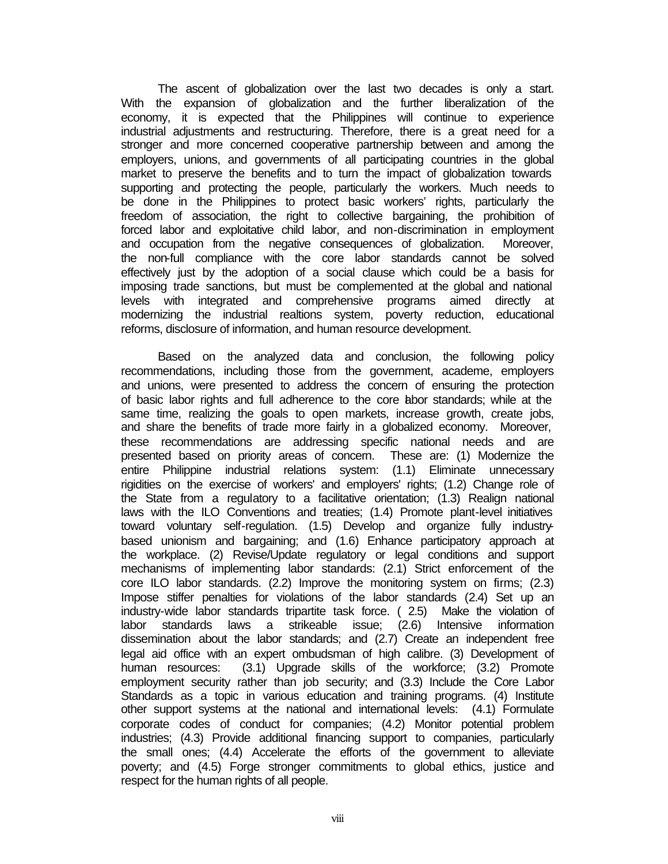The ascent of globalization over the last two decades is only a start. With the expansion of globalization and the further liberalization of the economy, it is expected that the Philippines will continue to experience industrial adjustments and restructuring. Therefore, there is a great need for a stronger and more concerned cooperative partnership between and among the employers, unions, and governments of all participating countries in the global market to preserve the benefits and to turn the impact of globalization towards supporting and protecting the people, particularly the workers. Much needs to be done in the Philippines to protect basic workers' rights, particularly the freedom of association, the right to collective bargaining, the prohibition of forced labor and exploitative child labor, and non-discrimination in employment and occupation from the negative consequences of globalization. Moreover, the non-full compliance with the core labor standards cannot be solved effectively just by the adoption of a social clause which could be a basis for imposing trade sanctions, but must be complemented at the global and national levels with integrated and comprehensive programs aimed directly at modernizing the industrial realtions system, poverty reduction, educational reforms, disclosure of information, and human resource development.

Based on the analyzed data and conclusion, the following policy recommendations, including those from the government, academe, employers and unions, were presented to address the concern of ensuring the protection of basic labor rights and full adherence to the core labor standards; while at the same time, realizing the goals to open markets, increase growth, create jobs, and share the benefits of trade more fairly in a globalized economy. Moreover, these recommendations are addressing specific national needs and are presented based on priority areas of concern. These are: (1) Modernize the entire Philippine industrial relations system: (1.1) Eliminate unnecessary rigidities on the exercise of workers' and employers' rights; (1.2) Change role of the State from a regulatory to a facilitative orientation; (1.3) Realign national laws with the ILO Conventions and treaties; (1.4) Promote plant-level initiatives toward voluntary self-regulation. (1.5) Develop and organize fully industrybased unionism and bargaining; and (1.6) Enhance participatory approach at the workplace. (2) Revise/Update regulatory or legal conditions and support mechanisms of implementing labor standards: (2.1) Strict enforcement of the core ILO labor standards. (2.2) Improve the monitoring system on firms; (2.3) Impose stiffer penalties for violations of the labor standards (2.4) Set up an industry-wide labor standards tripartite task force. ( 2.5) Make the violation of labor standards laws a strikeable issue; (2.6) Intensive information dissemination about the labor standards; and (2.7) Create an independent free legal aid office with an expert ombudsman of high calibre. (3) Development of human resources: (3.1) Upgrade skills of the workforce; (3.2) Promote employment security rather than job security; and (3.3) Include the Core Labor Standards as a topic in various education and training programs. (4) Institute other support systems at the national and international levels: (4.1) Formulate corporate codes of conduct for companies; (4.2) Monitor potential problem industries; (4.3) Provide additional financing support to companies, particularly the small ones; (4.4) Accelerate the efforts of the government to alleviate poverty; and (4.5) Forge stronger commitments to global ethics, justice and respect for the human rights of all people.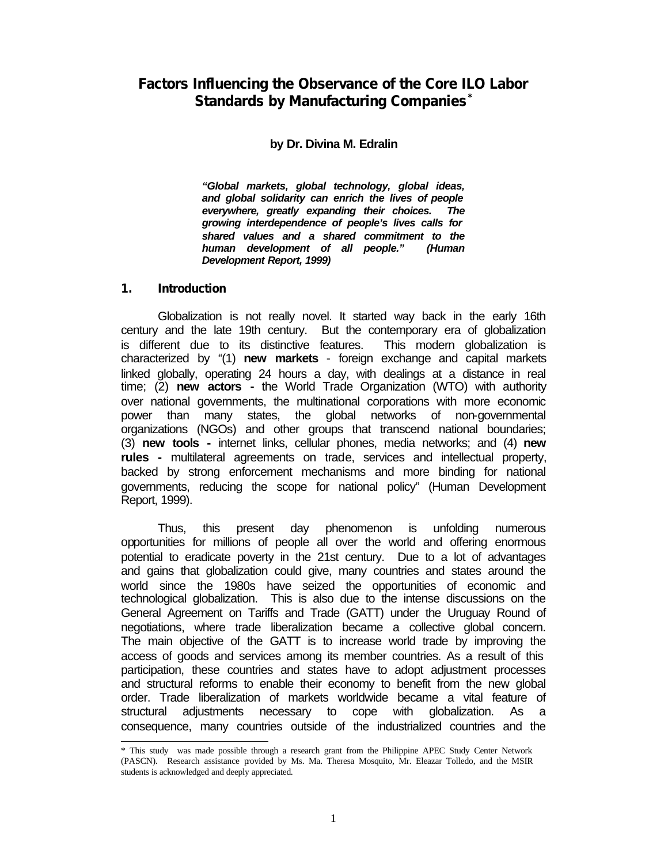## **Factors Influencing the Observance of the Core ILO Labor Standards by Manufacturing Companies\***

## **by Dr. Divina M. Edralin**

*"Global markets, global technology, global ideas, and global solidarity can enrich the lives of people everywhere, greatly expanding their choices. The growing interdependence of people's lives calls for shared values and a shared commitment to the human development of all people." (Human Development Report, 1999)*

#### **1. Introduction**

Globalization is not really novel. It started way back in the early 16th century and the late 19th century. But the contemporary era of globalization is different due to its distinctive features. This modern globalization is characterized by "(1) **new markets** - foreign exchange and capital markets linked globally, operating 24 hours a day, with dealings at a distance in real time; (2) **new actors -** the World Trade Organization (WTO) with authority over national governments, the multinational corporations with more economic power than many states, the global networks of non-governmental organizations (NGOs) and other groups that transcend national boundaries; (3) **new tools -** internet links, cellular phones, media networks; and (4) **new rules -** multilateral agreements on trade, services and intellectual property, backed by strong enforcement mechanisms and more binding for national governments, reducing the scope for national policy" (Human Development Report, 1999).

Thus, this present day phenomenon is unfolding numerous opportunities for millions of people all over the world and offering enormous potential to eradicate poverty in the 21st century. Due to a lot of advantages and gains that globalization could give, many countries and states around the world since the 1980s have seized the opportunities of economic and technological globalization. This is also due to the intense discussions on the General Agreement on Tariffs and Trade (GATT) under the Uruguay Round of negotiations, where trade liberalization became a collective global concern. The main objective of the GATT is to increase world trade by improving the access of goods and services among its member countries. As a result of this participation, these countries and states have to adopt adjustment processes and structural reforms to enable their economy to benefit from the new global order. Trade liberalization of markets worldwide became a vital feature of structural adjustments necessary to cope with globalization. As a consequence, many countries outside of the industrialized countries and the

l \* This study was made possible through a research grant from the Philippine APEC Study Center Network (PASCN). Research assistance provided by Ms. Ma. Theresa Mosquito, Mr. Eleazar Tolledo, and the MSIR students is acknowledged and deeply appreciated.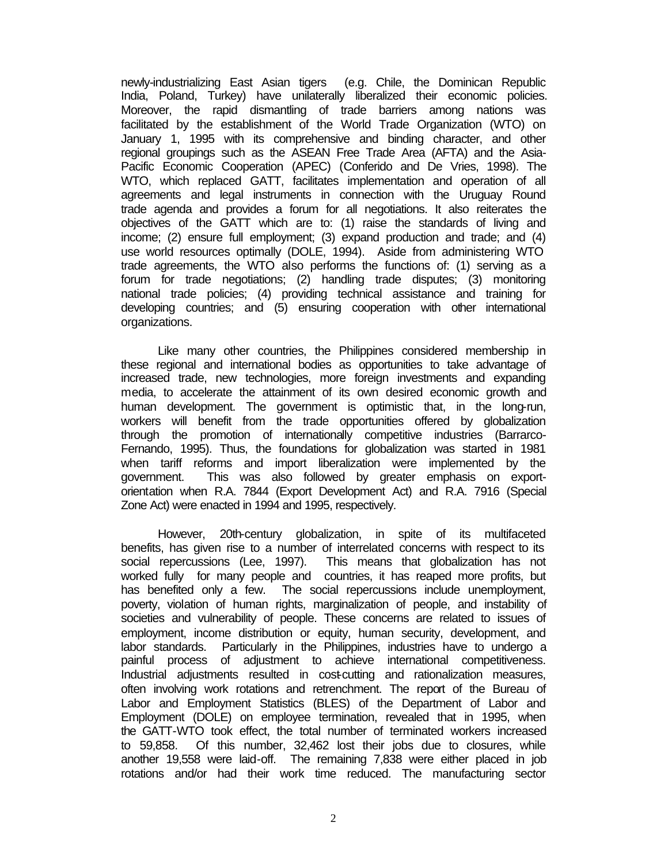newly-industrializing East Asian tigers (e.g. Chile, the Dominican Republic India, Poland, Turkey) have unilaterally liberalized their economic policies. Moreover, the rapid dismantling of trade barriers among nations was facilitated by the establishment of the World Trade Organization (WTO) on January 1, 1995 with its comprehensive and binding character, and other regional groupings such as the ASEAN Free Trade Area (AFTA) and the Asia-Pacific Economic Cooperation (APEC) (Conferido and De Vries, 1998). The WTO, which replaced GATT, facilitates implementation and operation of all agreements and legal instruments in connection with the Uruguay Round trade agenda and provides a forum for all negotiations. It also reiterates the objectives of the GATT which are to: (1) raise the standards of living and income; (2) ensure full employment; (3) expand production and trade; and (4) use world resources optimally (DOLE, 1994). Aside from administering WTO trade agreements, the WTO also performs the functions of: (1) serving as a forum for trade negotiations; (2) handling trade disputes; (3) monitoring national trade policies; (4) providing technical assistance and training for developing countries; and (5) ensuring cooperation with other international organizations.

Like many other countries, the Philippines considered membership in these regional and international bodies as opportunities to take advantage of increased trade, new technologies, more foreign investments and expanding media, to accelerate the attainment of its own desired economic growth and human development. The government is optimistic that, in the long-run, workers will benefit from the trade opportunities offered by globalization through the promotion of internationally competitive industries (Barrarco-Fernando, 1995). Thus, the foundations for globalization was started in 1981 when tariff reforms and import liberalization were implemented by the government. This was also followed by greater emphasis on exportorientation when R.A. 7844 (Export Development Act) and R.A. 7916 (Special Zone Act) were enacted in 1994 and 1995, respectively.

However, 20th-century globalization, in spite of its multifaceted benefits, has given rise to a number of interrelated concerns with respect to its social repercussions (Lee, 1997). This means that globalization has not worked fully for many people and countries, it has reaped more profits, but has benefited only a few. The social repercussions include unemployment, poverty, violation of human rights, marginalization of people, and instability of societies and vulnerability of people. These concerns are related to issues of employment, income distribution or equity, human security, development, and labor standards. Particularly in the Philippines, industries have to undergo a painful process of adjustment to achieve international competitiveness. Industrial adjustments resulted in cost-cutting and rationalization measures, often involving work rotations and retrenchment. The report of the Bureau of Labor and Employment Statistics (BLES) of the Department of Labor and Employment (DOLE) on employee termination, revealed that in 1995, when the GATT-WTO took effect, the total number of terminated workers increased to 59,858. Of this number, 32,462 lost their jobs due to closures, while another 19,558 were laid-off. The remaining 7,838 were either placed in job rotations and/or had their work time reduced. The manufacturing sector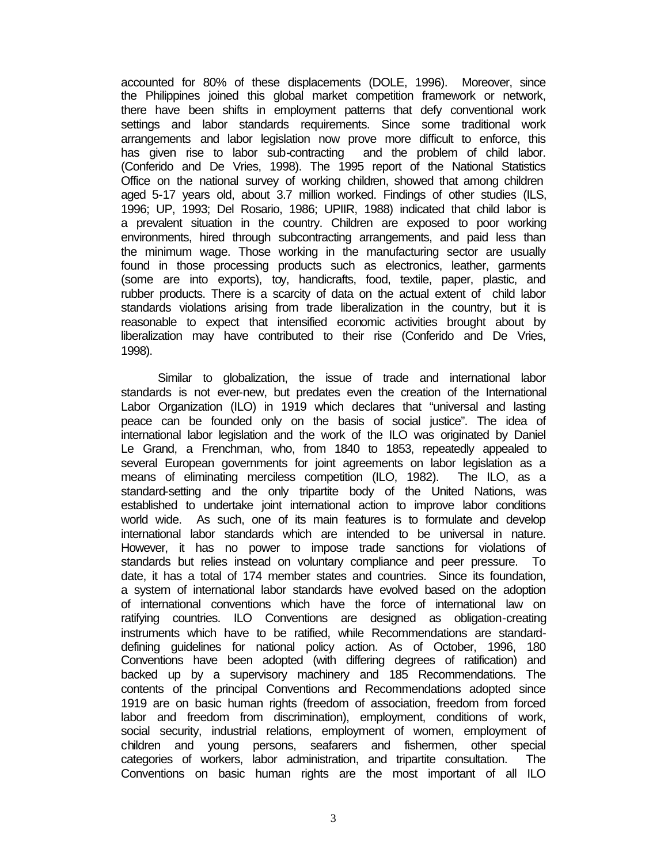accounted for 80% of these displacements (DOLE, 1996). Moreover, since the Philippines joined this global market competition framework or network, there have been shifts in employment patterns that defy conventional work settings and labor standards requirements. Since some traditional work arrangements and labor legislation now prove more difficult to enforce, this has given rise to labor sub-contracting and the problem of child labor. (Conferido and De Vries, 1998). The 1995 report of the National Statistics Office on the national survey of working children, showed that among children aged 5-17 years old, about 3.7 million worked. Findings of other studies (ILS, 1996; UP, 1993; Del Rosario, 1986; UPIIR, 1988) indicated that child labor is a prevalent situation in the country. Children are exposed to poor working environments, hired through subcontracting arrangements, and paid less than the minimum wage. Those working in the manufacturing sector are usually found in those processing products such as electronics, leather, garments (some are into exports), toy, handicrafts, food, textile, paper, plastic, and rubber products. There is a scarcity of data on the actual extent of child labor standards violations arising from trade liberalization in the country, but it is reasonable to expect that intensified economic activities brought about by liberalization may have contributed to their rise (Conferido and De Vries, 1998).

Similar to globalization, the issue of trade and international labor standards is not ever-new, but predates even the creation of the International Labor Organization (ILO) in 1919 which declares that "universal and lasting peace can be founded only on the basis of social justice". The idea of international labor legislation and the work of the ILO was originated by Daniel Le Grand, a Frenchman, who, from 1840 to 1853, repeatedly appealed to several European governments for joint agreements on labor legislation as a means of eliminating merciless competition (ILO, 1982). The ILO, as a standard-setting and the only tripartite body of the United Nations, was established to undertake joint international action to improve labor conditions world wide. As such, one of its main features is to formulate and develop international labor standards which are intended to be universal in nature. However, it has no power to impose trade sanctions for violations of standards but relies instead on voluntary compliance and peer pressure. To date, it has a total of 174 member states and countries. Since its foundation, a system of international labor standards have evolved based on the adoption of international conventions which have the force of international law on ratifying countries. ILO Conventions are designed as obligation-creating instruments which have to be ratified, while Recommendations are standarddefining guidelines for national policy action. As of October, 1996, 180 Conventions have been adopted (with differing degrees of ratification) and backed up by a supervisory machinery and 185 Recommendations. The contents of the principal Conventions and Recommendations adopted since 1919 are on basic human rights (freedom of association, freedom from forced labor and freedom from discrimination), employment, conditions of work, social security, industrial relations, employment of women, employment of children and young persons, seafarers and fishermen, other special categories of workers, labor administration, and tripartite consultation. The Conventions on basic human rights are the most important of all ILO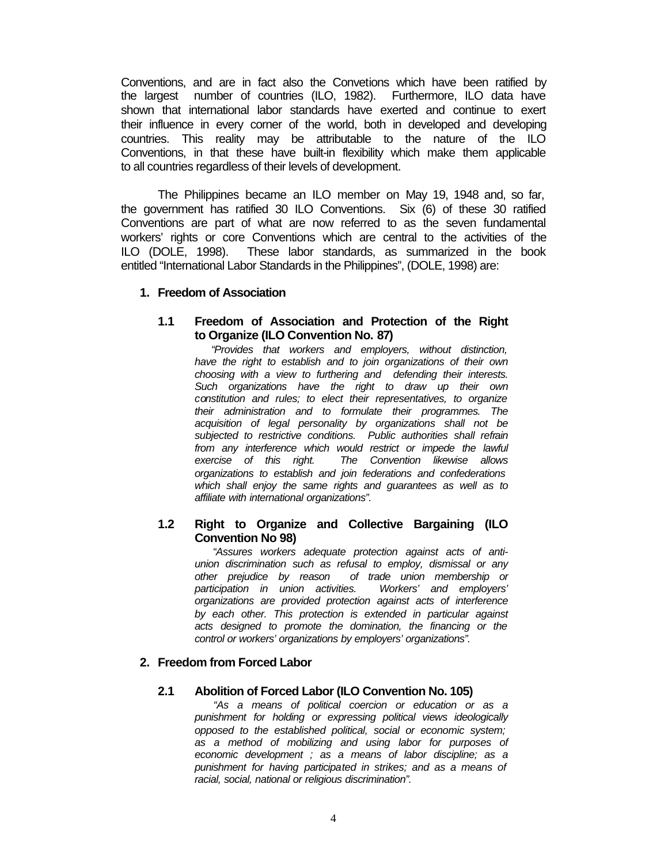Conventions, and are in fact also the Convetions which have been ratified by the largest number of countries (ILO, 1982). Furthermore, ILO data have shown that international labor standards have exerted and continue to exert their influence in every corner of the world, both in developed and developing countries. This reality may be attributable to the nature of the ILO Conventions, in that these have built-in flexibility which make them applicable to all countries regardless of their levels of development.

The Philippines became an ILO member on May 19, 1948 and, so far, the government has ratified 30 ILO Conventions. Six (6) of these 30 ratified Conventions are part of what are now referred to as the seven fundamental workers' rights or core Conventions which are central to the activities of the ILO (DOLE, 1998). These labor standards, as summarized in the book entitled "International Labor Standards in the Philippines", (DOLE, 1998) are:

#### **1. Freedom of Association**

#### **1.1 Freedom of Association and Protection of the Right to Organize (ILO Convention No. 87)**

 "*Provides that workers and employers, without distinction, have the right to establish and to join organizations of their own choosing with a view to furthering and defending their interests. Such organizations have the right to draw up their own constitution and rules; to elect their representatives, to organize their administration and to formulate their programmes. The acquisition of legal personality by organizations shall not be subjected to restrictive conditions. Public authorities shall refrain from any interference which would restrict or impede the lawful exercise of this right. The Convention likewise allows organizations to establish and join federations and confederations which shall enjoy the same rights and guarantees as well as to affiliate with international organizations".*

### **1.2 Right to Organize and Collective Bargaining (ILO Convention No 98)**

"*Assures workers adequate protection against acts of antiunion discrimination such as refusal to employ, dismissal or any other prejudice by reason of trade union membership or participation in union activities. Workers' and employers' organizations are provided protection against acts of interference by each other. This protection is extended in particular against acts designed to promote the domination, the financing or the control or workers' organizations by employers' organizations".*

### **2. Freedom from Forced Labor**

### **2.1 Abolition of Forced Labor (ILO Convention No. 105)**

*"As a means of political coercion or education or as a punishment for holding or expressing political views ideologically opposed to the established political, social or economic system; as a method of mobilizing and using labor for purposes of economic development ; as a means of labor discipline; as a punishment for having participated in strikes; and as a means of racial, social, national or religious discrimination".*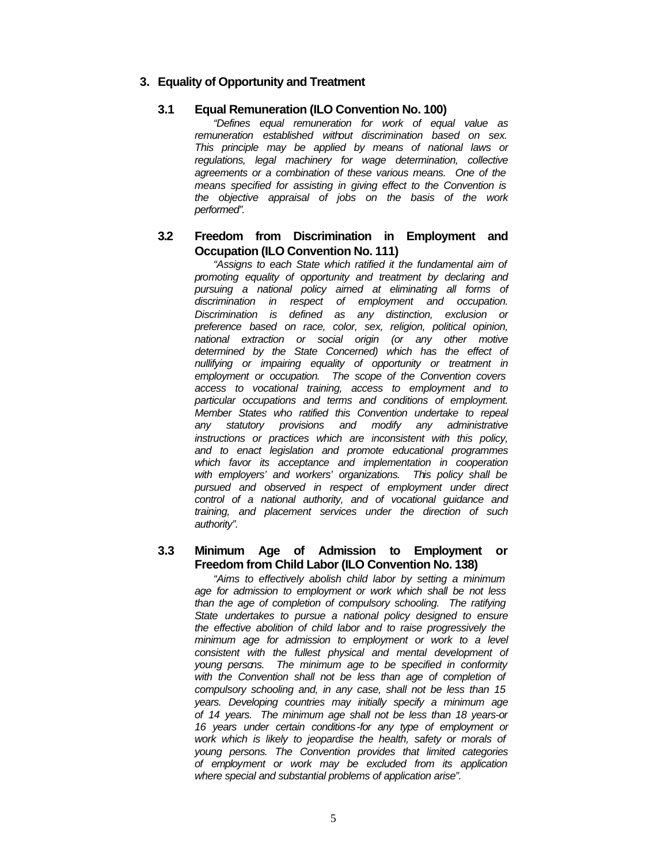## **3. Equality of Opportunity and Treatment**

#### **3.1 Equal Remuneration (ILO Convention No. 100)**

*"Defines equal remuneration for work of equal value as remuneration established without discrimination based on sex. This principle may be applied by means of national laws or regulations, legal machinery for wage determination, collective agreements or a combination of these various means. One of the means specified for assisting in giving effect to the Convention is the objective appraisal of jobs on the basis of the work performed".*

### **3.2 Freedom from Discrimination in Employment and Occupation (ILO Convention No. 111)**

*"Assigns to each State which ratified it the fundamental aim of promoting equality of opportunity and treatment by declaring and pursuing a national policy aimed at eliminating all forms of discrimination in respect of employment and occupation. Discrimination is defined as any distinction, exclusion or preference based on race, color, sex, religion, political opinion, national extraction or social origin (or any other motive determined by the State Concerned) which has the effect of nullifying or impairing equality of opportunity or treatment in employment or occupation. The scope of the Convention covers access to vocational training, access to employment and to particular occupations and terms and conditions of employment. Member States who ratified this Convention undertake to repeal any statutory provisions and modify any administrative instructions or practices which are inconsistent with this policy, and to enact legislation and promote educational programmes which favor its acceptance and implementation in cooperation with employers' and workers' organizations. This policy shall be pursued and observed in respect of employment under direct control of a national authority, and of vocational guidance and training, and placement services under the direction of such authority".*

### **3.3 Minimum Age of Admission to Employment or Freedom from Child Labor (ILO Convention No. 138)**

*"Aims to effectively abolish child labor by setting a minimum age for admission to employment or work which shall be not less than the age of completion of compulsory schooling. The ratifying State undertakes to pursue a national policy designed to ensure the effective abolition of child labor and to raise progressively the minimum age for admission to employment or work to a level consistent with the fullest physical and mental development of young persons. The minimum age to be specified in conformity with the Convention shall not be less than age of completion of compulsory schooling and, in any case, shall not be less than 15 years. Developing countries may initially specify a minimum age of 14 years. The minimum age shall not be less than 18 years-or 16 years under certain conditions-for any type of employment or work which is likely to jeopardise the health, safety or morals of young persons. The Convention provides that limited categories of employment or work may be excluded from its application where special and substantial problems of application arise".*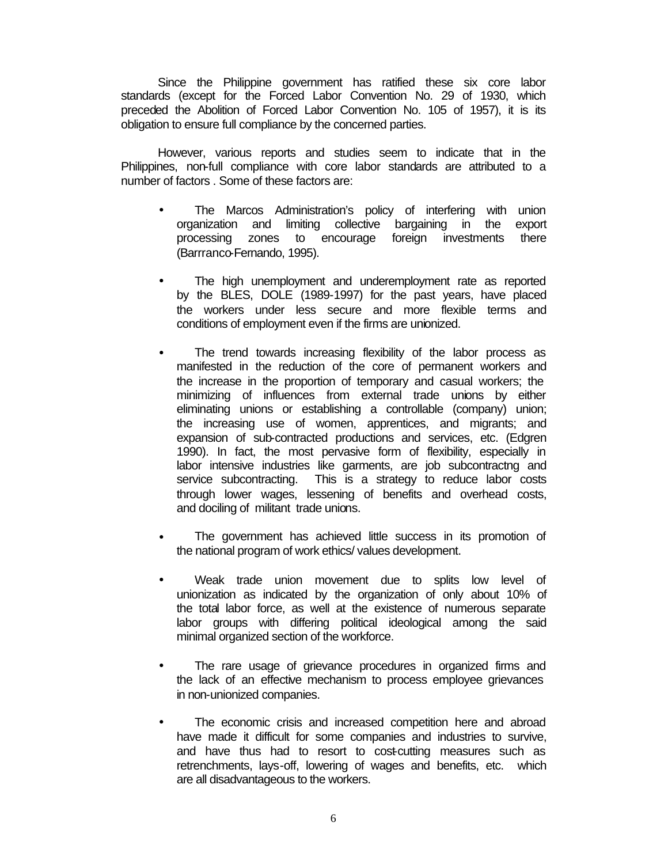Since the Philippine government has ratified these six core labor standards (except for the Forced Labor Convention No. 29 of 1930, which preceded the Abolition of Forced Labor Convention No. 105 of 1957), it is its obligation to ensure full compliance by the concerned parties.

However, various reports and studies seem to indicate that in the Philippines, non-full compliance with core labor standards are attributed to a number of factors . Some of these factors are:

- The Marcos Administration's policy of interfering with union organization and limiting collective bargaining in the export processing zones to encourage foreign investments there (Barrranco-Fernando, 1995).
- The high unemployment and underemployment rate as reported by the BLES, DOLE (1989-1997) for the past years, have placed the workers under less secure and more flexible terms and conditions of employment even if the firms are unionized.
- The trend towards increasing flexibility of the labor process as manifested in the reduction of the core of permanent workers and the increase in the proportion of temporary and casual workers; the minimizing of influences from external trade unions by either eliminating unions or establishing a controllable (company) union; the increasing use of women, apprentices, and migrants; and expansion of sub-contracted productions and services, etc. (Edgren 1990). In fact, the most pervasive form of flexibility, especially in labor intensive industries like garments, are job subcontractng and service subcontracting. This is a strategy to reduce labor costs through lower wages, lessening of benefits and overhead costs, and dociling of militant trade unions.
- The government has achieved little success in its promotion of the national program of work ethics/ values development.
- Weak trade union movement due to splits low level of unionization as indicated by the organization of only about 10% of the total labor force, as well at the existence of numerous separate labor groups with differing political ideological among the said minimal organized section of the workforce.
- The rare usage of grievance procedures in organized firms and the lack of an effective mechanism to process employee grievances in non-unionized companies.
- The economic crisis and increased competition here and abroad have made it difficult for some companies and industries to survive, and have thus had to resort to cost-cutting measures such as retrenchments, lays-off, lowering of wages and benefits, etc. which are all disadvantageous to the workers.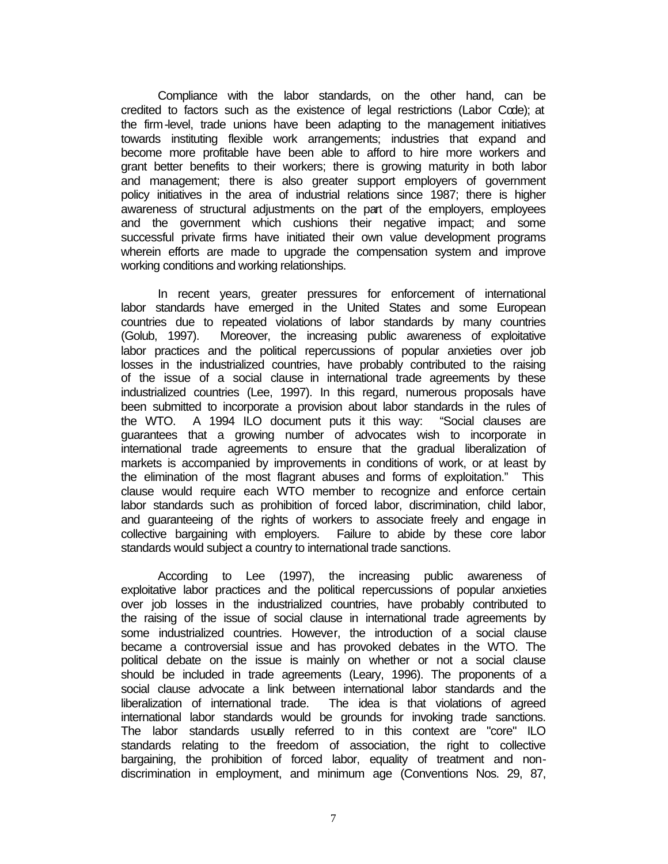Compliance with the labor standards, on the other hand, can be credited to factors such as the existence of legal restrictions (Labor Code); at the firm-level, trade unions have been adapting to the management initiatives towards instituting flexible work arrangements; industries that expand and become more profitable have been able to afford to hire more workers and grant better benefits to their workers; there is growing maturity in both labor and management; there is also greater support employers of government policy initiatives in the area of industrial relations since 1987; there is higher awareness of structural adjustments on the part of the employers, employees and the government which cushions their negative impact; and some successful private firms have initiated their own value development programs wherein efforts are made to upgrade the compensation system and improve working conditions and working relationships.

In recent years, greater pressures for enforcement of international labor standards have emerged in the United States and some European countries due to repeated violations of labor standards by many countries (Golub, 1997). Moreover, the increasing public awareness of exploitative labor practices and the political repercussions of popular anxieties over job losses in the industrialized countries, have probably contributed to the raising of the issue of a social clause in international trade agreements by these industrialized countries (Lee, 1997). In this regard, numerous proposals have been submitted to incorporate a provision about labor standards in the rules of the WTO. A 1994 ILO document puts it this way: "Social clauses are guarantees that a growing number of advocates wish to incorporate in international trade agreements to ensure that the gradual liberalization of markets is accompanied by improvements in conditions of work, or at least by the elimination of the most flagrant abuses and forms of exploitation." This clause would require each WTO member to recognize and enforce certain labor standards such as prohibition of forced labor, discrimination, child labor, and guaranteeing of the rights of workers to associate freely and engage in collective bargaining with employers. Failure to abide by these core labor standards would subject a country to international trade sanctions.

According to Lee (1997), the increasing public awareness of exploitative labor practices and the political repercussions of popular anxieties over job losses in the industrialized countries, have probably contributed to the raising of the issue of social clause in international trade agreements by some industrialized countries. However, the introduction of a social clause became a controversial issue and has provoked debates in the WTO. The political debate on the issue is mainly on whether or not a social clause should be included in trade agreements (Leary, 1996). The proponents of a social clause advocate a link between international labor standards and the liberalization of international trade. The idea is that violations of agreed international labor standards would be grounds for invoking trade sanctions. The labor standards usually referred to in this context are "core" ILO standards relating to the freedom of association, the right to collective bargaining, the prohibition of forced labor, equality of treatment and nondiscrimination in employment, and minimum age (Conventions Nos. 29, 87,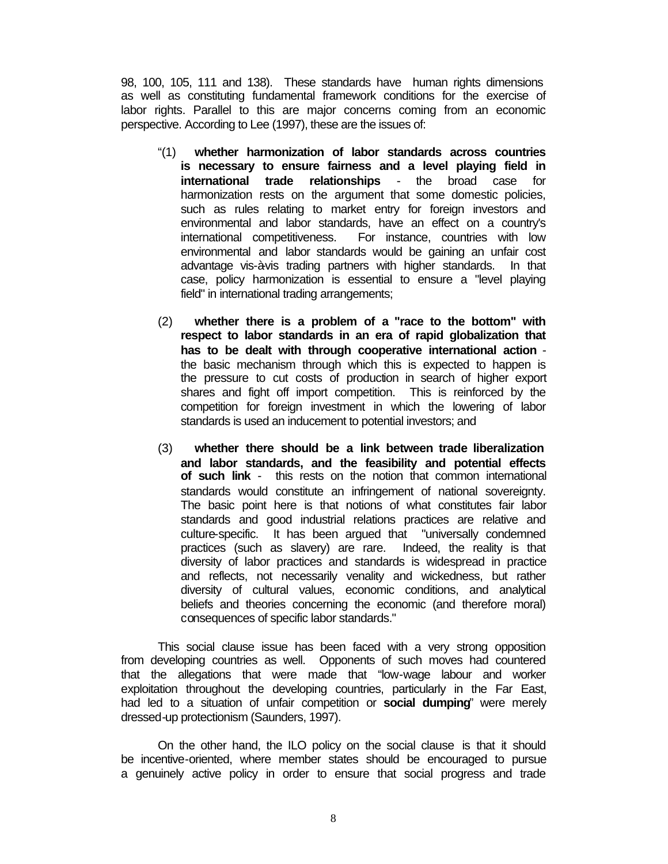98, 100, 105, 111 and 138). These standards have human rights dimensions as well as constituting fundamental framework conditions for the exercise of labor rights. Parallel to this are major concerns coming from an economic perspective. According to Lee (1997), these are the issues of:

- "(1) **whether harmonization of labor standards across countries is necessary to ensure fairness and a level playing field in international trade relationships** - the broad case for harmonization rests on the argument that some domestic policies, such as rules relating to market entry for foreign investors and environmental and labor standards, have an effect on a country's international competitiveness. For instance, countries with low environmental and labor standards would be gaining an unfair cost advantage vis-à-vis trading partners with higher standards. In that case, policy harmonization is essential to ensure a "level playing field" in international trading arrangements;
- (2) **whether there is a problem of a "race to the bottom" with respect to labor standards in an era of rapid globalization that has to be dealt with through cooperative international action** the basic mechanism through which this is expected to happen is the pressure to cut costs of production in search of higher export shares and fight off import competition. This is reinforced by the competition for foreign investment in which the lowering of labor standards is used an inducement to potential investors; and
- (3) **whether there should be a link between trade liberalization and labor standards, and the feasibility and potential effects of such link** - this rests on the notion that common international standards would constitute an infringement of national sovereignty. The basic point here is that notions of what constitutes fair labor standards and good industrial relations practices are relative and culture-specific. It has been argued that "universally condemned practices (such as slavery) are rare. Indeed, the reality is that diversity of labor practices and standards is widespread in practice and reflects, not necessarily venality and wickedness, but rather diversity of cultural values, economic conditions, and analytical beliefs and theories concerning the economic (and therefore moral) consequences of specific labor standards."

This social clause issue has been faced with a very strong opposition from developing countries as well. Opponents of such moves had countered that the allegations that were made that "low-wage labour and worker exploitation throughout the developing countries, particularly in the Far East, had led to a situation of unfair competition or **social dumping**" were merely dressed-up protectionism (Saunders, 1997).

On the other hand, the ILO policy on the social clause is that it should be incentive-oriented, where member states should be encouraged to pursue a genuinely active policy in order to ensure that social progress and trade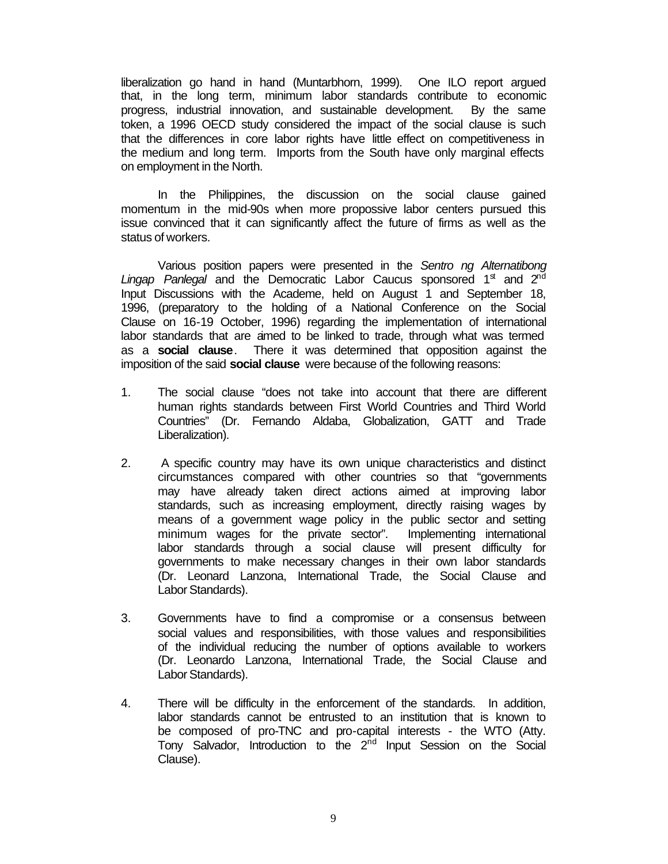liberalization go hand in hand (Muntarbhorn, 1999). One ILO report argued that, in the long term, minimum labor standards contribute to economic progress, industrial innovation, and sustainable development. By the same token, a 1996 OECD study considered the impact of the social clause is such that the differences in core labor rights have little effect on competitiveness in the medium and long term. Imports from the South have only marginal effects on employment in the North.

In the Philippines, the discussion on the social clause gained momentum in the mid-90s when more propossive labor centers pursued this issue convinced that it can significantly affect the future of firms as well as the status of workers.

Various position papers were presented in the *Sentro ng Alternatibong* Lingap Panlegal and the Democratic Labor Caucus sponsored 1<sup>st</sup> and 2<sup>nd</sup> Input Discussions with the Academe, held on August 1 and September 18, 1996, (preparatory to the holding of a National Conference on the Social Clause on 16-19 October, 1996) regarding the implementation of international labor standards that are aimed to be linked to trade, through what was termed as a **social clause**. There it was determined that opposition against the imposition of the said **social clause** were because of the following reasons:

- 1. The social clause "does not take into account that there are different human rights standards between First World Countries and Third World Countries" (Dr. Fernando Aldaba, Globalization, GATT and Trade Liberalization).
- 2. A specific country may have its own unique characteristics and distinct circumstances compared with other countries so that "governments may have already taken direct actions aimed at improving labor standards, such as increasing employment, directly raising wages by means of a government wage policy in the public sector and setting minimum wages for the private sector". Implementing international labor standards through a social clause will present difficulty for governments to make necessary changes in their own labor standards (Dr. Leonard Lanzona, International Trade, the Social Clause and Labor Standards).
- 3. Governments have to find a compromise or a consensus between social values and responsibilities, with those values and responsibilities of the individual reducing the number of options available to workers (Dr. Leonardo Lanzona, International Trade, the Social Clause and Labor Standards).
- 4. There will be difficulty in the enforcement of the standards. In addition, labor standards cannot be entrusted to an institution that is known to be composed of pro-TNC and pro-capital interests - the WTO (Atty. Tony Salvador, Introduction to the 2<sup>nd</sup> Input Session on the Social Clause).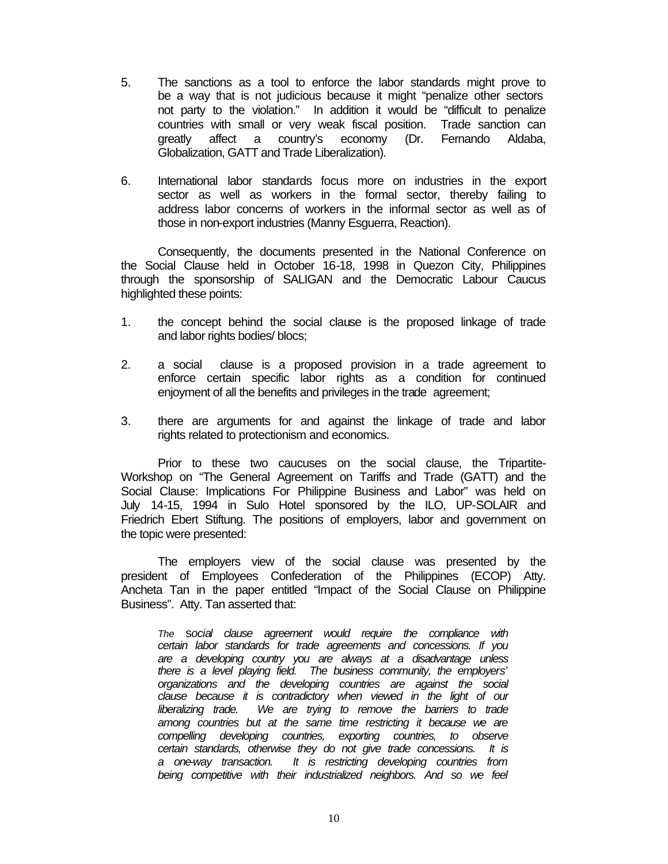- 5. The sanctions as a tool to enforce the labor standards might prove to be a way that is not judicious because it might "penalize other sectors not party to the violation." In addition it would be "difficult to penalize countries with small or very weak fiscal position. Trade sanction can greatly affect a country's economy (Dr. Fernando Aldaba, Globalization, GATT and Trade Liberalization).
- 6. International labor standards focus more on industries in the export sector as well as workers in the formal sector, thereby failing to address labor concerns of workers in the informal sector as well as of those in non-export industries (Manny Esguerra, Reaction).

Consequently, the documents presented in the National Conference on the Social Clause held in October 16-18, 1998 in Quezon City, Philippines through the sponsorship of SALIGAN and the Democratic Labour Caucus highlighted these points:

- 1. the concept behind the social clause is the proposed linkage of trade and labor rights bodies/ blocs;
- 2. a social clause is a proposed provision in a trade agreement to enforce certain specific labor rights as a condition for continued enjoyment of all the benefits and privileges in the trade agreement;
- 3. there are arguments for and against the linkage of trade and labor rights related to protectionism and economics.

Prior to these two caucuses on the social clause, the Tripartite-Workshop on "The General Agreement on Tariffs and Trade (GATT) and the Social Clause: Implications For Philippine Business and Labor" was held on July 14-15, 1994 in Sulo Hotel sponsored by the ILO, UP-SOLAIR and Friedrich Ebert Stiftung. The positions of employers, labor and government on the topic were presented:

The employers view of the social clause was presented by the president of Employees Confederation of the Philippines (ECOP) Atty. Ancheta Tan in the paper entitled "Impact of the Social Clause on Philippine Business". Atty. Tan asserted that:

*The* s*ocial clause agreement would require the compliance with certain labor standards for trade agreements and concessions. If you are a developing country you are always at a disadvantage unless there is a level playing field. The business community, the employers' organizations and the developing countries are against the social clause because it is contradictory when viewed in the light of our liberalizing trade. We are trying to remove the barriers to trade among countries but at the same time restricting it because we are compelling developing countries, exporting countries, to observe certain standards, otherwise they do not give trade concessions. It is a one-way transaction. It is restricting developing countries from being competitive with their industrialized neighbors. And so we feel*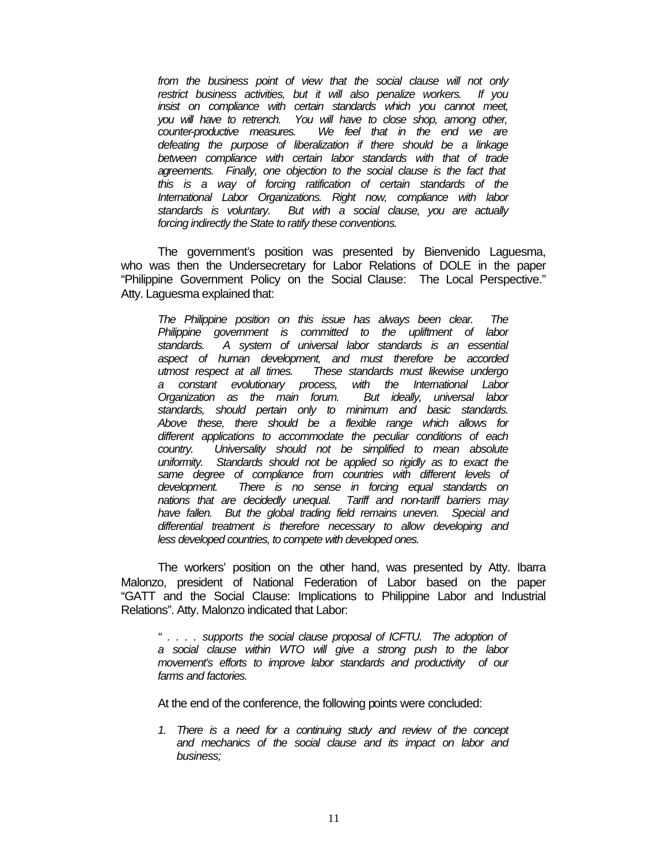*from the business point of view that the social clause will not only restrict business activities, but it will also penalize workers. If you insist on compliance with certain standards which you cannot meet, you will have to retrench. You will have to close shop, among other, counter-productive measures. We feel that in the end we are defeating the purpose of liberalization if there should be a linkage between compliance with certain labor standards with that of trade agreements. Finally, one objection to the social clause is the fact that this is a way of forcing ratification of certain standards of the International Labor Organizations. Right now, compliance with labor standards is voluntary. But with a social clause, you are actually forcing indirectly the State to ratify these conventions.*

The government's position was presented by Bienvenido Laguesma, who was then the Undersecretary for Labor Relations of DOLE in the paper "Philippine Government Policy on the Social Clause: The Local Perspective." Atty. Laguesma explained that:

*The Philippine position on this issue has always been clear. The Philippine government is committed to the upliftment of labor standards. A system of universal labor standards is an essential aspect of human development, and must therefore be accorded utmost respect at all times. These standards must likewise undergo a constant evolutionary process, with the International Labor Organization as the main forum. standards, should pertain only to minimum and basic standards. Above these, there should be a flexible range which allows for different applications to accommodate the peculiar conditions of each country. Universality should not be simplified to mean absolute uniformity. Standards should not be applied so rigidly as to exact the same degree of compliance from countries with different levels of development. There is no sense in forcing equal standards on nations that are decidedly unequal. Tariff and non-tariff barriers may have fallen. But the global trading field remains uneven. Special and differential treatment is therefore necessary to allow developing and less developed countries, to compete with developed ones.*

The workers' position on the other hand, was presented by Atty. Ibarra Malonzo, president of National Federation of Labor based on the paper "GATT and the Social Clause: Implications to Philippine Labor and Industrial Relations". Atty. Malonzo indicated that Labor:

*" . . . . supports the social clause proposal of ICFTU. The adoption of a social clause within WTO will give a strong push to the labor movement's efforts to improve labor standards and productivity of our farms and factories.*

At the end of the conference, the following points were concluded:

*1. There is a need for a continuing study and review of the concept and mechanics of the social clause and its impact on labor and business;*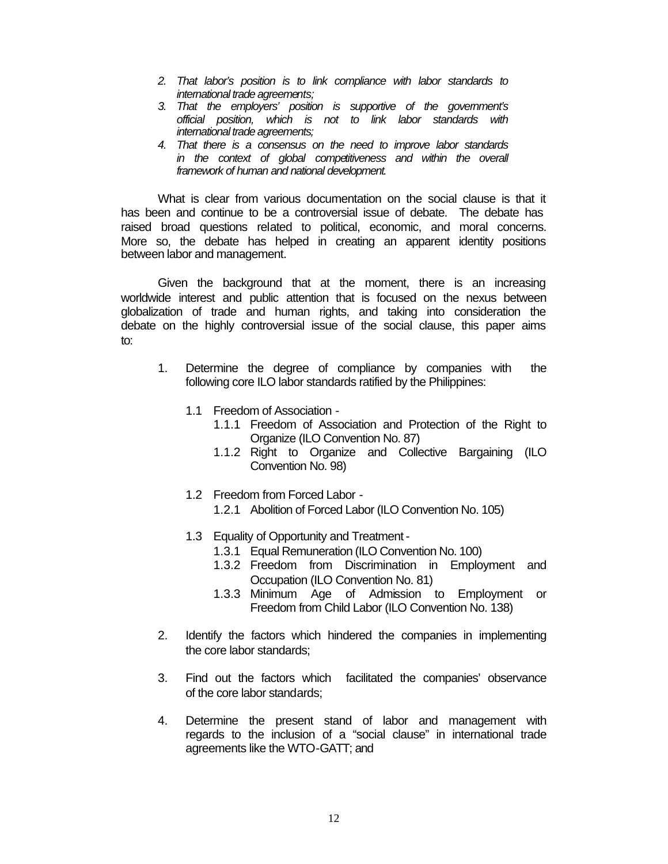- *2. That labor's position is to link compliance with labor standards to international trade agreements;*
- *3. That the employers' position is supportive of the government's official position, which is not to link labor standards with international trade agreements;*
- *4. That there is a consensus on the need to improve labor standards in the context of global competitiveness and within the overall framework of human and national development.*

What is clear from various documentation on the social clause is that it has been and continue to be a controversial issue of debate. The debate has raised broad questions related to political, economic, and moral concerns. More so, the debate has helped in creating an apparent identity positions between labor and management.

Given the background that at the moment, there is an increasing worldwide interest and public attention that is focused on the nexus between globalization of trade and human rights, and taking into consideration the debate on the highly controversial issue of the social clause, this paper aims to:

- 1. Determine the degree of compliance by companies with the following core ILO labor standards ratified by the Philippines:
	- 1.1 Freedom of Association
		- 1.1.1 Freedom of Association and Protection of the Right to Organize (ILO Convention No. 87)
		- 1.1.2 Right to Organize and Collective Bargaining (ILO Convention No. 98)
	- 1.2 Freedom from Forced Labor
		- 1.2.1 Abolition of Forced Labor (ILO Convention No. 105)
	- 1.3 Equality of Opportunity and Treatment
		- 1.3.1 Equal Remuneration (ILO Convention No. 100)
		- 1.3.2 Freedom from Discrimination in Employment and Occupation (ILO Convention No. 81)
		- 1.3.3 Minimum Age of Admission to Employment or Freedom from Child Labor (ILO Convention No. 138)
- 2. Identify the factors which hindered the companies in implementing the core labor standards;
- 3. Find out the factors which facilitated the companies' observance of the core labor standards;
- 4. Determine the present stand of labor and management with regards to the inclusion of a "social clause" in international trade agreements like the WTO-GATT; and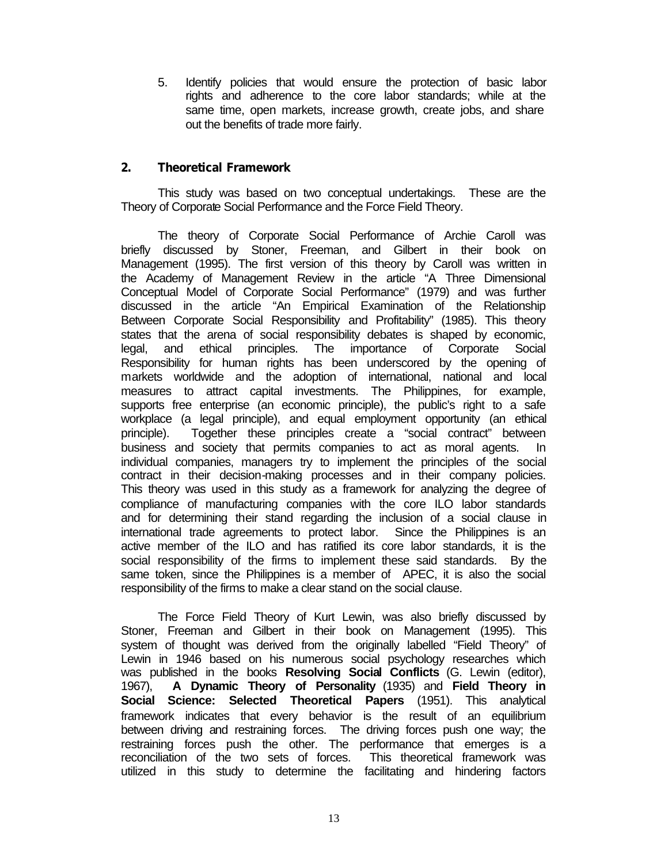5. Identify policies that would ensure the protection of basic labor rights and adherence to the core labor standards; while at the same time, open markets, increase growth, create jobs, and share out the benefits of trade more fairly.

### **2. Theoretical Framework**

This study was based on two conceptual undertakings. These are the Theory of Corporate Social Performance and the Force Field Theory.

The theory of Corporate Social Performance of Archie Caroll was briefly discussed by Stoner, Freeman, and Gilbert in their book on Management (1995). The first version of this theory by Caroll was written in the Academy of Management Review in the article "A Three Dimensional Conceptual Model of Corporate Social Performance" (1979) and was further discussed in the article "An Empirical Examination of the Relationship Between Corporate Social Responsibility and Profitability" (1985). This theory states that the arena of social responsibility debates is shaped by economic, legal, and ethical principles. The importance of Corporate Social Responsibility for human rights has been underscored by the opening of markets worldwide and the adoption of international, national and local measures to attract capital investments. The Philippines, for example, supports free enterprise (an economic principle), the public's right to a safe workplace (a legal principle), and equal employment opportunity (an ethical principle). Together these principles create a "social contract" between business and society that permits companies to act as moral agents. In individual companies, managers try to implement the principles of the social contract in their decision-making processes and in their company policies. This theory was used in this study as a framework for analyzing the degree of compliance of manufacturing companies with the core ILO labor standards and for determining their stand regarding the inclusion of a social clause in international trade agreements to protect labor. Since the Philippines is an active member of the ILO and has ratified its core labor standards, it is the social responsibility of the firms to implement these said standards. By the same token, since the Philippines is a member of APEC, it is also the social responsibility of the firms to make a clear stand on the social clause.

The Force Field Theory of Kurt Lewin, was also briefly discussed by Stoner, Freeman and Gilbert in their book on Management (1995). This system of thought was derived from the originally labelled "Field Theory" of Lewin in 1946 based on his numerous social psychology researches which was published in the books **Resolving Social Conflicts** (G. Lewin (editor), 1967), **A Dynamic Theory of Personality** (1935) and **Field Theory in Social Science: Selected Theoretical Papers** (1951). This analytical framework indicates that every behavior is the result of an equilibrium between driving and restraining forces. The driving forces push one way; the restraining forces push the other. The performance that emerges is a reconciliation of the two sets of forces. This theoretical framework was utilized in this study to determine the facilitating and hindering factors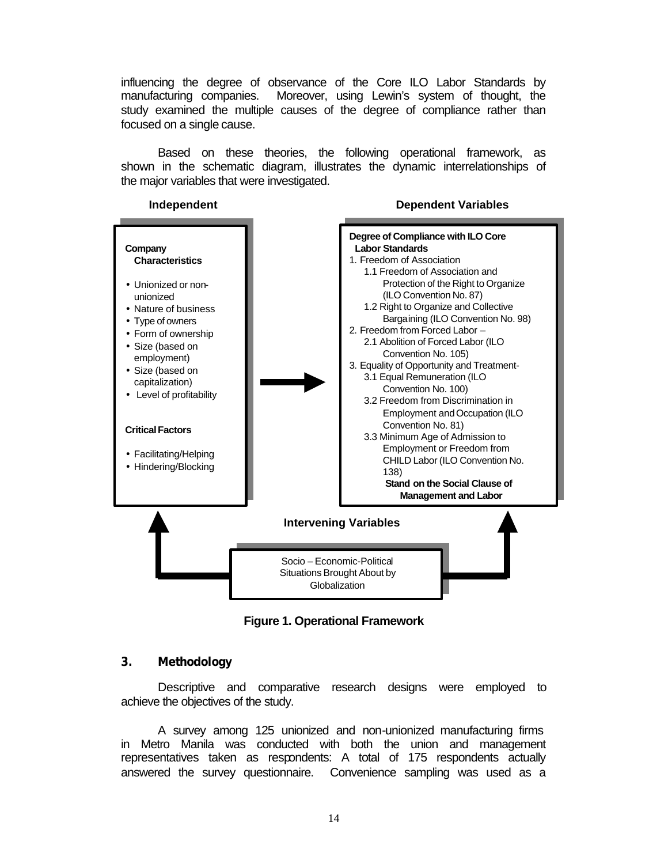influencing the degree of observance of the Core ILO Labor Standards by manufacturing companies. Moreover, using Lewin's system of thought, the study examined the multiple causes of the degree of compliance rather than focused on a single cause.

Based on these theories, the following operational framework, as shown in the schematic diagram, illustrates the dynamic interrelationships of the major variables that were investigated.

## **Independent**

#### **Dependent Variables**



**Figure 1. Operational Framework**

### **3. Methodology**

Descriptive and comparative research designs were employed to achieve the objectives of the study.

A survey among 125 unionized and non-unionized manufacturing firms in Metro Manila was conducted with both the union and management representatives taken as respondents: A total of 175 respondents actually answered the survey questionnaire. Convenience sampling was used as a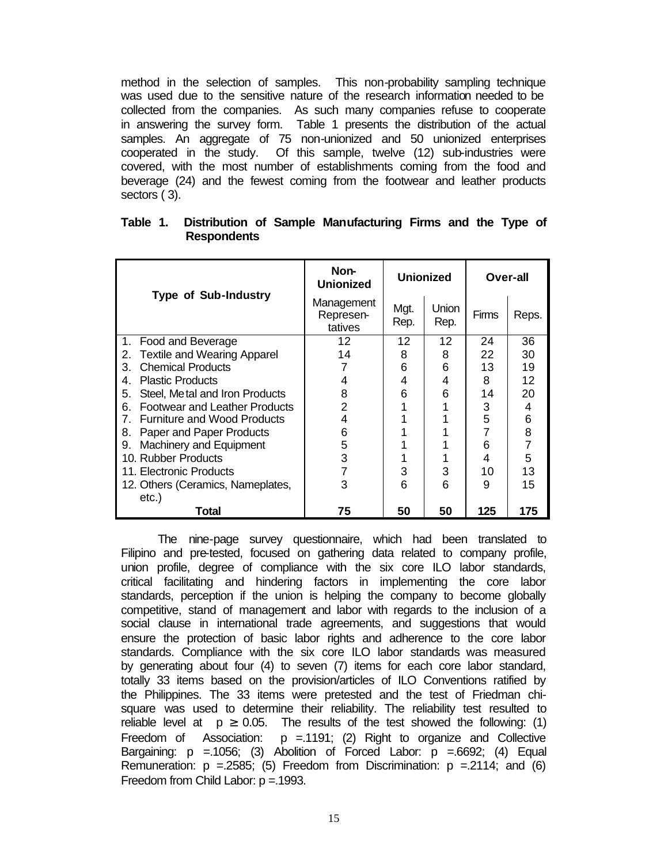method in the selection of samples. This non-probability sampling technique was used due to the sensitive nature of the research information needed to be collected from the companies. As such many companies refuse to cooperate in answering the survey form. Table 1 presents the distribution of the actual samples. An aggregate of 75 non-unionized and 50 unionized enterprises cooperated in the study. Of this sample, twelve (12) sub-industries were covered, with the most number of establishments coming from the food and beverage (24) and the fewest coming from the footwear and leather products sectors ( 3).

|                                            | Non-<br><b>Unionized</b>           |              | <b>Unionized</b> |              | Over-all       |  |  |
|--------------------------------------------|------------------------------------|--------------|------------------|--------------|----------------|--|--|
| <b>Type of Sub-Industry</b>                | Management<br>Represen-<br>tatives | Mgt.<br>Rep. | Union<br>Rep.    | <b>Firms</b> | Reps.          |  |  |
| Food and Beverage<br>1.                    | 12                                 | 12           | 12               | 24           | 36             |  |  |
| <b>Textile and Wearing Apparel</b><br>2.   | 14                                 | 8            | 8                | 22           | 30             |  |  |
| <b>Chemical Products</b><br>З.             |                                    | 6            | 6                | 13           | 19             |  |  |
| <b>Plastic Products</b><br>4.              | 4                                  | 4            | 4                | 8            | 12             |  |  |
| Steel, Me tal and Iron Products<br>5.      | 8                                  | 6            | 6                | 14           | 20             |  |  |
| <b>Footwear and Leather Products</b><br>6. | 2                                  |              |                  | 3            | 4              |  |  |
| <b>Furniture and Wood Products</b><br>7.   | 4                                  |              |                  | 5            | 6              |  |  |
| Paper and Paper Products<br>8.             | 6                                  |              |                  |              | 8              |  |  |
| Machinery and Equipment<br>9.              | 5                                  |              |                  | 6            | $\overline{7}$ |  |  |
| 10. Rubber Products                        | 3                                  |              |                  | 4            | 5              |  |  |
| 11. Electronic Products                    |                                    | 3            | 3                | 10           | 13             |  |  |
| 12. Others (Ceramics, Nameplates,          | 3                                  | 6            | 6                | 9            | 15             |  |  |
| etc.)                                      |                                    |              |                  |              |                |  |  |
| Total                                      | 75                                 | 50           | 50               | 125          | 175            |  |  |

| Table 1. Distribution of Sample Manufacturing Firms and the Type of |  |  |  |  |
|---------------------------------------------------------------------|--|--|--|--|
| <b>Respondents</b>                                                  |  |  |  |  |

The nine-page survey questionnaire, which had been translated to Filipino and pre-tested, focused on gathering data related to company profile, union profile, degree of compliance with the six core ILO labor standards, critical facilitating and hindering factors in implementing the core labor standards, perception if the union is helping the company to become globally competitive, stand of management and labor with regards to the inclusion of a social clause in international trade agreements, and suggestions that would ensure the protection of basic labor rights and adherence to the core labor standards. Compliance with the six core ILO labor standards was measured by generating about four (4) to seven (7) items for each core labor standard, totally 33 items based on the provision/articles of ILO Conventions ratified by the Philippines. The 33 items were pretested and the test of Friedman chisquare was used to determine their reliability. The reliability test resulted to reliable level at  $p \ge 0.05$ . The results of the test showed the following: (1) Freedom of Association:  $p = 1191$ ; (2) Right to organize and Collective Bargaining:  $p = 1056$ ; (3) Abolition of Forced Labor:  $p = 6692$ ; (4) Equal Remuneration:  $p = 2585$ ; (5) Freedom from Discrimination:  $p = 2114$ ; and (6) Freedom from Child Labor: p =.1993.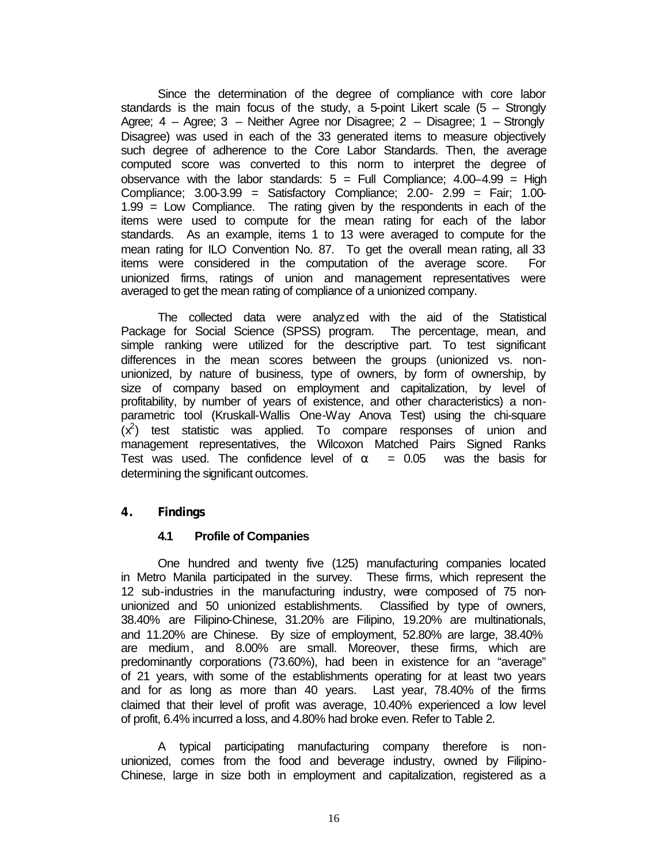Since the determination of the degree of compliance with core labor standards is the main focus of the study, a 5-point Likert scale  $(5 -$  Strongly Agree; 4 – Agree; 3 – Neither Agree nor Disagree; 2 – Disagree; 1 – Strongly Disagree) was used in each of the 33 generated items to measure objectively such degree of adherence to the Core Labor Standards. Then, the average computed score was converted to this norm to interpret the degree of observance with the labor standards:  $5 =$  Full Compliance;  $4.00-4.99 =$  High Compliance; 3.00-3.99 = Satisfactory Compliance; 2.00- 2.99 = Fair; 1.00- 1.99 = Low Compliance. The rating given by the respondents in each of the items were used to compute for the mean rating for each of the labor standards. As an example, items 1 to 13 were averaged to compute for the mean rating for ILO Convention No. 87. To get the overall mean rating, all 33 items were considered in the computation of the average score. For unionized firms, ratings of union and management representatives were averaged to get the mean rating of compliance of a unionized company.

The collected data were analyzed with the aid of the Statistical Package for Social Science (SPSS) program. The percentage, mean, and simple ranking were utilized for the descriptive part. To test significant differences in the mean scores between the groups (unionized vs. nonunionized, by nature of business, type of owners, by form of ownership, by size of company based on employment and capitalization, by level of profitability, by number of years of existence, and other characteristics) a nonparametric tool (Kruskall-Wallis One-Way Anova Test) using the chi-square  $(x^2)$  test statistic was applied. To compare responses of union and management representatives, the Wilcoxon Matched Pairs Signed Ranks Test was used. The confidence level of  $\alpha = 0.05$  was the basis for determining the significant outcomes.

## **4. Findings**

### **4.1 Profile of Companies**

One hundred and twenty five (125) manufacturing companies located in Metro Manila participated in the survey. These firms, which represent the 12 sub-industries in the manufacturing industry, were composed of 75 nonunionized and 50 unionized establishments. Classified by type of owners, 38.40% are Filipino-Chinese, 31.20% are Filipino, 19.20% are multinationals, and 11.20% are Chinese. By size of employment, 52.80% are large, 38.40% are medium, and 8.00% are small. Moreover, these firms, which are predominantly corporations (73.60%), had been in existence for an "average" of 21 years, with some of the establishments operating for at least two years and for as long as more than 40 years. Last year, 78.40% of the firms claimed that their level of profit was average, 10.40% experienced a low level of profit, 6.4% incurred a loss, and 4.80% had broke even. Refer to Table 2.

A typical participating manufacturing company therefore is nonunionized, comes from the food and beverage industry, owned by Filipino-Chinese, large in size both in employment and capitalization, registered as a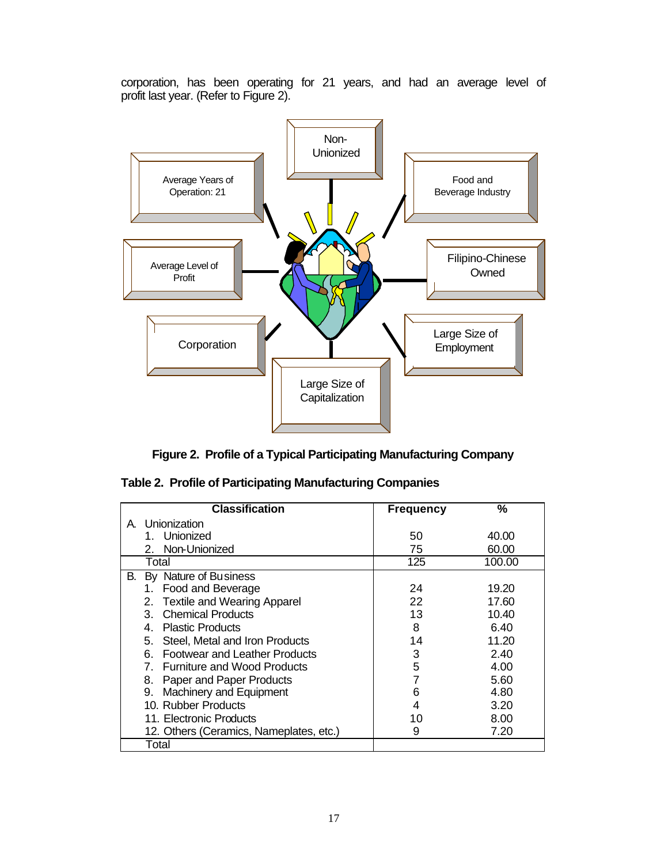corporation, has been operating for 21 years, and had an average level of profit last year. (Refer to Figure 2).



**Figure 2. Profile of a Typical Participating Manufacturing Company**

| <b>Classification</b>                       | <b>Frequency</b> | $\frac{9}{6}$ |
|---------------------------------------------|------------------|---------------|
| Unionization<br>A                           |                  |               |
| Unionized                                   | 50               | 40.00         |
| 2. Non-Unionized                            | 75               | 60.00         |
| Total                                       | 125              | 100.00        |
| В.<br>By Nature of Business                 |                  |               |
| Food and Beverage<br>1.                     | 24               | 19.20         |
| <b>Textile and Wearing Apparel</b><br>2.    | 22               | 17.60         |
| <b>Chemical Products</b><br>3               | 13               | 10.40         |
| <b>Plastic Products</b><br>4.               | 8                | 6.40          |
| 5. Steel, Metal and Iron Products           | 14               | 11.20         |
| <b>Footwear and Leather Products</b><br>6 - | 3                | 2.40          |
| 7. Furniture and Wood Products              | 5                | 4.00          |
| Paper and Paper Products<br>8.              |                  | 5.60          |
| Machinery and Equipment<br>9.               | 6                | 4.80          |
| 10. Rubber Products                         | 4                | 3.20          |
| 11. Electronic Products                     | 10               | 8.00          |
| 12. Others (Ceramics, Nameplates, etc.)     | 9                | 7.20          |
| Total                                       |                  |               |

|  |  |  | Table 2. Profile of Participating Manufacturing Companies |  |
|--|--|--|-----------------------------------------------------------|--|
|--|--|--|-----------------------------------------------------------|--|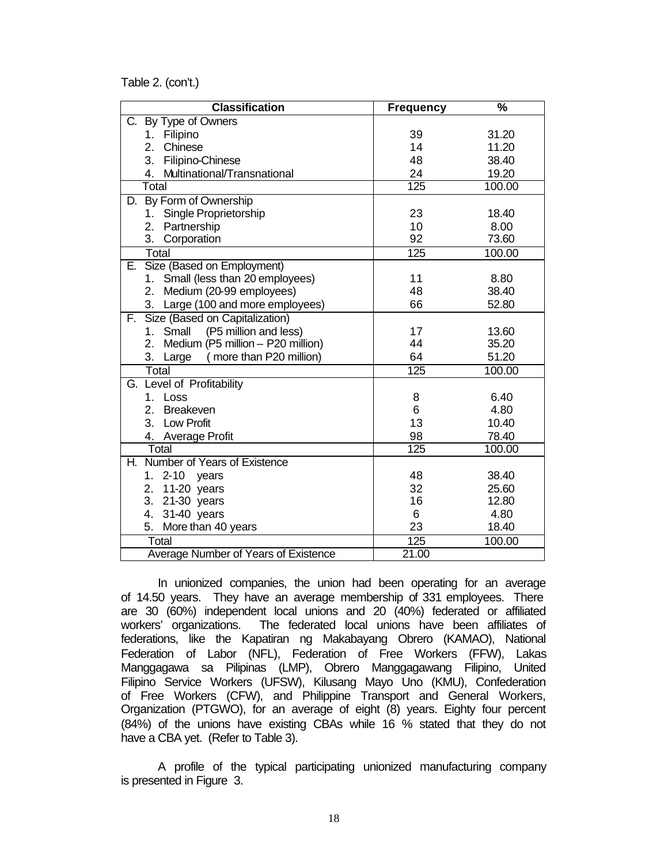Table 2. (con't.)

| <b>Classification</b>                | <b>Frequency</b> | $\overline{\frac{9}{6}}$ |
|--------------------------------------|------------------|--------------------------|
| C. By Type of Owners                 |                  |                          |
| 1. Filipino                          | 39               | 31.20                    |
| 2.<br>Chinese                        | 14               | 11.20                    |
| 3. Filipino-Chinese                  | 48               | 38.40                    |
| 4. Multinational/Transnational       | 24               | 19.20                    |
| Total                                | 125              | 100.00                   |
| D. By Form of Ownership              |                  |                          |
| 1. Single Proprietorship             | 23               | 18.40                    |
| 2. Partnership                       | 10               | 8.00                     |
| 3. Corporation                       | 92               | 73.60                    |
| Total                                | 125              | 100.00                   |
| Size (Based on Employment)<br>Е.     |                  |                          |
| 1. Small (less than 20 employees)    | 11               | 8.80                     |
| Medium (20-99 employees)<br>2.       | 48               | 38.40                    |
| 3. Large (100 and more employees)    | 66               | 52.80                    |
| Size (Based on Capitalization)<br>E. |                  |                          |
| 1. Small<br>(P5 million and less)    | 17               | 13.60                    |
| 2. Medium (P5 million - P20 million) | 44               | 35.20                    |
| 3. Large<br>(more than P20 million)  | 64               | 51.20                    |
| Total                                | 125              | 100.00                   |
| G. Level of Profitability            |                  |                          |
| Loss<br>$1_{-}$                      | 8                | 6.40                     |
| 2. Breakeven                         | 6                | 4.80                     |
| 3. Low Profit                        | 13               | 10.40                    |
| 4. Average Profit                    | 98               | 78.40                    |
| Total                                | $\overline{125}$ | 100.00                   |
| Number of Years of Existence<br>Η.   |                  |                          |
| 1. 2-10 years                        | 48               | 38.40                    |
| 2. 11-20 years                       | 32               | 25.60                    |
| 3. 21-30 years                       | 16               | 12.80                    |
| 4. 31-40 years                       | 6                | 4.80                     |
| More than 40 years<br>5.             | 23               | 18.40                    |
| Total                                | 125              | 100.00                   |
| Average Number of Years of Existence | 21.00            |                          |

In unionized companies, the union had been operating for an average of 14.50 years. They have an average membership of 331 employees. There are 30 (60%) independent local unions and 20 (40%) federated or affiliated workers' organizations. The federated local unions have been affiliates of federations, like the Kapatiran ng Makabayang Obrero (KAMAO), National Federation of Labor (NFL), Federation of Free Workers (FFW), Lakas Manggagawa sa Pilipinas (LMP), Obrero Manggagawang Filipino, United Filipino Service Workers (UFSW), Kilusang Mayo Uno (KMU), Confederation of Free Workers (CFW), and Philippine Transport and General Workers, Organization (PTGWO), for an average of eight (8) years. Eighty four percent (84%) of the unions have existing CBAs while 16 % stated that they do not have a CBA yet. (Refer to Table 3).

A profile of the typical participating unionized manufacturing company is presented in Figure 3.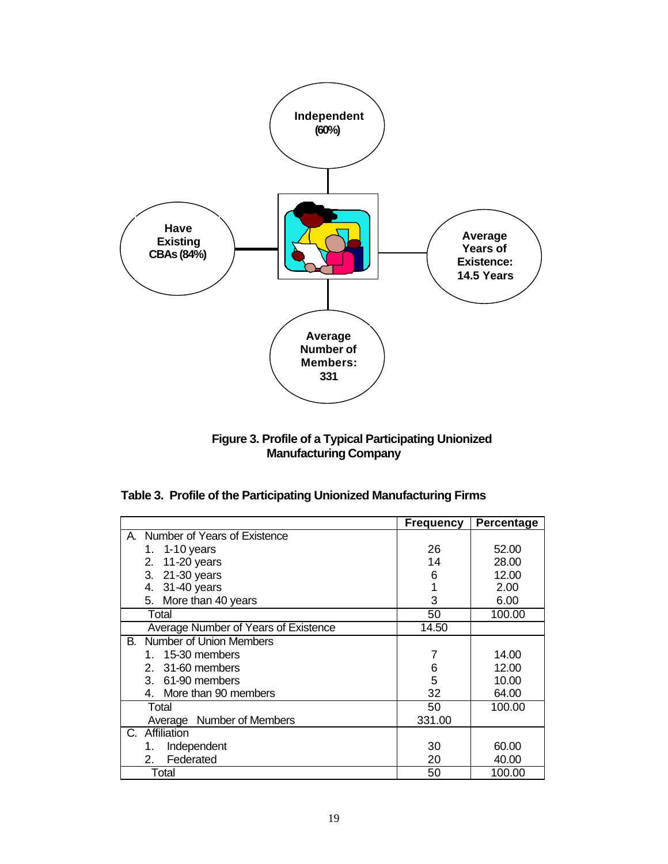

**Figure 3. Profile of a Typical Participating Unionized Manufacturing Company**

|  |  |  |  | Table 3. Profile of the Participating Unionized Manufacturing Firms |  |
|--|--|--|--|---------------------------------------------------------------------|--|
|--|--|--|--|---------------------------------------------------------------------|--|

|                                      | <b>Frequency</b> | Percentage |
|--------------------------------------|------------------|------------|
| Number of Years of Existence<br>А.   |                  |            |
| 1. 1-10 years                        | 26               | 52.00      |
| 2. 11-20 years                       | 14               | 28.00      |
| 3. 21-30 years                       | 6                | 12.00      |
| 31-40 years<br>4.                    |                  | 2.00       |
| More than 40 years<br>5.             | 3                | 6.00       |
| Total                                | 50               | 100.00     |
| Average Number of Years of Existence | 14.50            |            |
| Number of Union Members<br>В.        |                  |            |
| 1. 15-30 members                     | 7                | 14.00      |
| 31-60 members<br>$2_{-}$             | 6                | 12.00      |
| 3. 61-90 members                     | 5                | 10.00      |
| 4. More than 90 members              | 32               | 64.00      |
| Total                                | 50               | 100.00     |
| Average Number of Members            | 331.00           |            |
| Affiliation<br>C.                    |                  |            |
| Independent<br>1.                    | 30               | 60.00      |
| Federated<br>2.                      | 20               | 40.00      |
| Total                                | 50               | 100.00     |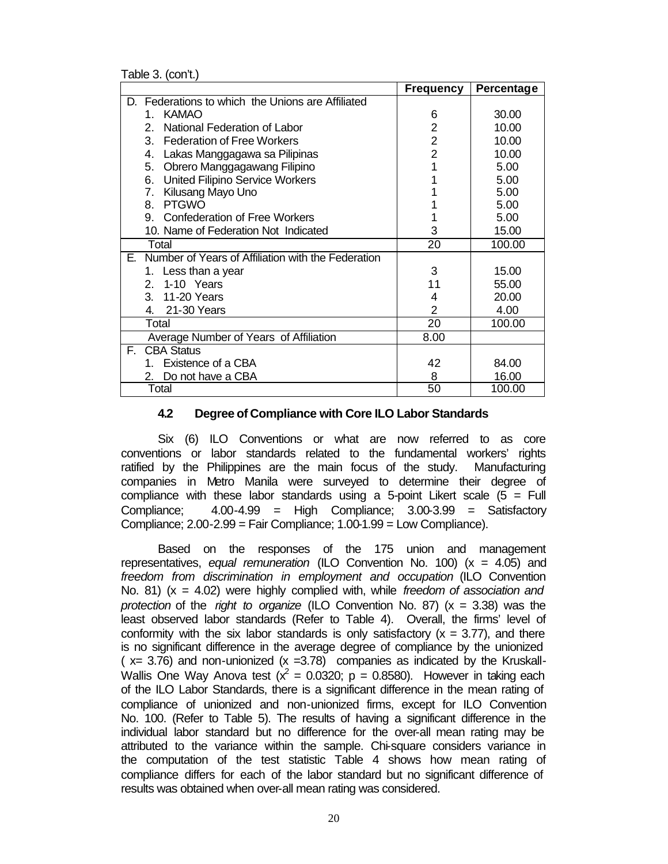Table 3. (con't.)

|                                                          | <b>Frequency</b> | Percentage |
|----------------------------------------------------------|------------------|------------|
| Federations to which the Unions are Affiliated<br>D.     |                  |            |
| <b>KAMAO</b><br>$1_{-}$                                  | 6                | 30.00      |
| 2.<br>National Federation of Labor                       | 2                | 10.00      |
| 3.<br><b>Federation of Free Workers</b>                  | $\overline{2}$   | 10.00      |
| Lakas Manggagawa sa Pilipinas<br>4.                      | $\overline{2}$   | 10.00      |
| Obrero Manggagawang Filipino<br>5.                       |                  | 5.00       |
| <b>United Filipino Service Workers</b><br>6.             |                  | 5.00       |
| 7. Kilusang Mayo Uno                                     |                  | 5.00       |
| <b>PTGWO</b><br>8.                                       |                  | 5.00       |
| 9. Confederation of Free Workers                         |                  | 5.00       |
| 10. Name of Federation Not Indicated                     | 3                | 15.00      |
| Total                                                    | 20               | 100.00     |
| Number of Years of Affiliation with the Federation<br>Е. |                  |            |
| 1. Less than a year                                      | 3                | 15.00      |
| 2. 1-10 Years                                            | 11               | 55.00      |
| 3. 11-20 Years                                           | 4                | 20.00      |
| 4. 21-30 Years                                           | 2                | 4.00       |
| Total                                                    | 20               | 100.00     |
| Average Number of Years of Affiliation                   | 8.00             |            |
| <b>CBA Status</b><br>F.                                  |                  |            |
| Existence of a CBA<br>1                                  | 42               | 84.00      |
| Do not have a CBA<br>2.                                  | 8                | 16.00      |
| Total                                                    | 50               | 100.00     |

## **4.2 Degree of Compliance with Core ILO Labor Standards**

Six (6) ILO Conventions or what are now referred to as core conventions or labor standards related to the fundamental workers' rights ratified by the Philippines are the main focus of the study. Manufacturing companies in Metro Manila were surveyed to determine their degree of compliance with these labor standards using a 5-point Likert scale  $(5 = Full$ Compliance; 4.00-4.99 = High Compliance; 3.00-3.99 = Satisfactory Compliance; 2.00-2.99 = Fair Compliance; 1.00-1.99 = Low Compliance).

Based on the responses of the 175 union and management representatives, *equal remuneration* (ILO Convention No. 100) (x = 4.05) and *freedom from discrimination in employment and occupation* (ILO Convention No. 81) (x = 4.02) were highly complied with, while *freedom of association and protection* of the *right to organize* (ILO Convention No. 87) (x = 3.38) was the least observed labor standards (Refer to Table 4). Overall, the firms' level of conformity with the six labor standards is only satisfactory  $(x = 3.77)$ , and there is no significant difference in the average degree of compliance by the unionized  $(x= 3.76)$  and non-unionized  $(x = 3.78)$  companies as indicated by the Kruskall-Wallis One Way Anova test ( $x^2 = 0.0320$ ; p = 0.8580). However in taking each of the ILO Labor Standards, there is a significant difference in the mean rating of compliance of unionized and non-unionized firms, except for ILO Convention No. 100. (Refer to Table 5). The results of having a significant difference in the individual labor standard but no difference for the over-all mean rating may be attributed to the variance within the sample. Chi-square considers variance in the computation of the test statistic Table 4 shows how mean rating of compliance differs for each of the labor standard but no significant difference of results was obtained when over-all mean rating was considered.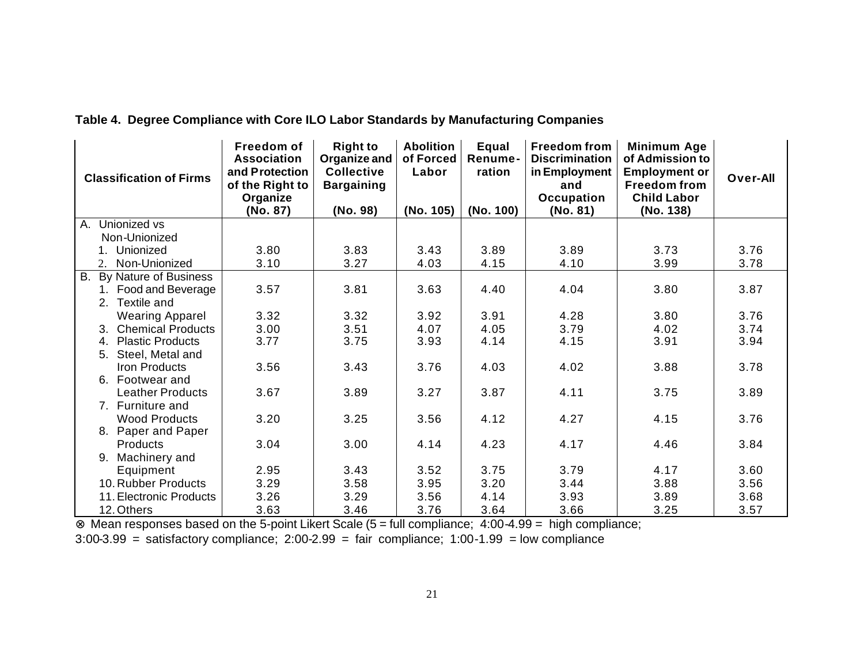| <b>Classification of Firms</b>                             | Freedom of<br><b>Association</b><br>and Protection<br>of the Right to<br>Organize<br>(No. 87) | <b>Right to</b><br>Organize and<br><b>Collective</b><br><b>Bargaining</b><br>(No. 98) | <b>Abolition</b><br>of Forced<br>Labor<br>(No. 105) | Equal<br>Renume-<br>ration<br>(No. 100) | <b>Freedom from</b><br><b>Discrimination</b><br>in Employment<br>and<br>Occupation<br>(No. 81) | Minimum Age<br>of Admission to<br><b>Employment or</b><br><b>Freedom from</b><br><b>Child Labor</b><br>(No. 138) | Over-All |
|------------------------------------------------------------|-----------------------------------------------------------------------------------------------|---------------------------------------------------------------------------------------|-----------------------------------------------------|-----------------------------------------|------------------------------------------------------------------------------------------------|------------------------------------------------------------------------------------------------------------------|----------|
| Unionized vs<br>А.                                         |                                                                                               |                                                                                       |                                                     |                                         |                                                                                                |                                                                                                                  |          |
| Non-Unionized                                              |                                                                                               |                                                                                       |                                                     |                                         |                                                                                                |                                                                                                                  |          |
| Unionized                                                  | 3.80                                                                                          | 3.83                                                                                  | 3.43                                                | 3.89                                    | 3.89                                                                                           | 3.73                                                                                                             | 3.76     |
| Non-Unionized<br>2.                                        | 3.10                                                                                          | 3.27                                                                                  | 4.03                                                | 4.15                                    | 4.10                                                                                           | 3.99                                                                                                             | 3.78     |
| <b>B.</b><br>By Nature of Business<br>1. Food and Beverage | 3.57                                                                                          | 3.81                                                                                  | 3.63                                                | 4.40                                    | 4.04                                                                                           | 3.80                                                                                                             | 3.87     |
| Textile and<br>2.                                          |                                                                                               |                                                                                       |                                                     |                                         |                                                                                                |                                                                                                                  |          |
| <b>Wearing Apparel</b>                                     | 3.32                                                                                          | 3.32                                                                                  | 3.92                                                | 3.91                                    | 4.28                                                                                           | 3.80                                                                                                             | 3.76     |
| 3. Chemical Products                                       | 3.00                                                                                          | 3.51                                                                                  | 4.07                                                | 4.05                                    | 3.79                                                                                           | 4.02                                                                                                             | 3.74     |
| <b>Plastic Products</b><br>4.                              | 3.77                                                                                          | 3.75                                                                                  | 3.93                                                | 4.14                                    | 4.15                                                                                           | 3.91                                                                                                             | 3.94     |
| Steel, Metal and<br>5.                                     |                                                                                               |                                                                                       |                                                     |                                         |                                                                                                |                                                                                                                  |          |
| <b>Iron Products</b><br>6. Footwear and                    | 3.56                                                                                          | 3.43                                                                                  | 3.76                                                | 4.03                                    | 4.02                                                                                           | 3.88                                                                                                             | 3.78     |
| <b>Leather Products</b>                                    | 3.67                                                                                          | 3.89                                                                                  | 3.27                                                | 3.87                                    | 4.11                                                                                           | 3.75                                                                                                             | 3.89     |
| 7. Furniture and                                           |                                                                                               |                                                                                       |                                                     |                                         |                                                                                                |                                                                                                                  |          |
| <b>Wood Products</b><br>8. Paper and Paper                 | 3.20                                                                                          | 3.25                                                                                  | 3.56                                                | 4.12                                    | 4.27                                                                                           | 4.15                                                                                                             | 3.76     |
| <b>Products</b>                                            | 3.04                                                                                          | 3.00                                                                                  | 4.14                                                | 4.23                                    | 4.17                                                                                           | 4.46                                                                                                             | 3.84     |
| 9. Machinery and                                           |                                                                                               |                                                                                       |                                                     |                                         |                                                                                                |                                                                                                                  |          |
| Equipment                                                  | 2.95                                                                                          | 3.43                                                                                  | 3.52                                                | 3.75                                    | 3.79                                                                                           | 4.17                                                                                                             | 3.60     |
| 10. Rubber Products                                        | 3.29                                                                                          | 3.58                                                                                  | 3.95                                                | 3.20                                    | 3.44                                                                                           | 3.88                                                                                                             | 3.56     |
| 11. Electronic Products                                    | 3.26                                                                                          | 3.29                                                                                  | 3.56                                                | 4.14                                    | 3.93                                                                                           | 3.89                                                                                                             | 3.68     |
| 12. Others                                                 | 3.63                                                                                          | 3.46                                                                                  | 3.76                                                | 3.64                                    | 3.66                                                                                           | 3.25                                                                                                             | 3.57     |

## **Table 4. Degree Compliance with Core ILO Labor Standards by Manufacturing Companies**

⊗ Mean responses based on the 5-point Likert Scale (5 = full compliance; 4:00-4.99 = high compliance;

3:00-3.99 = satisfactory compliance; 2:00-2.99 = fair compliance; 1:00-1.99 = low compliance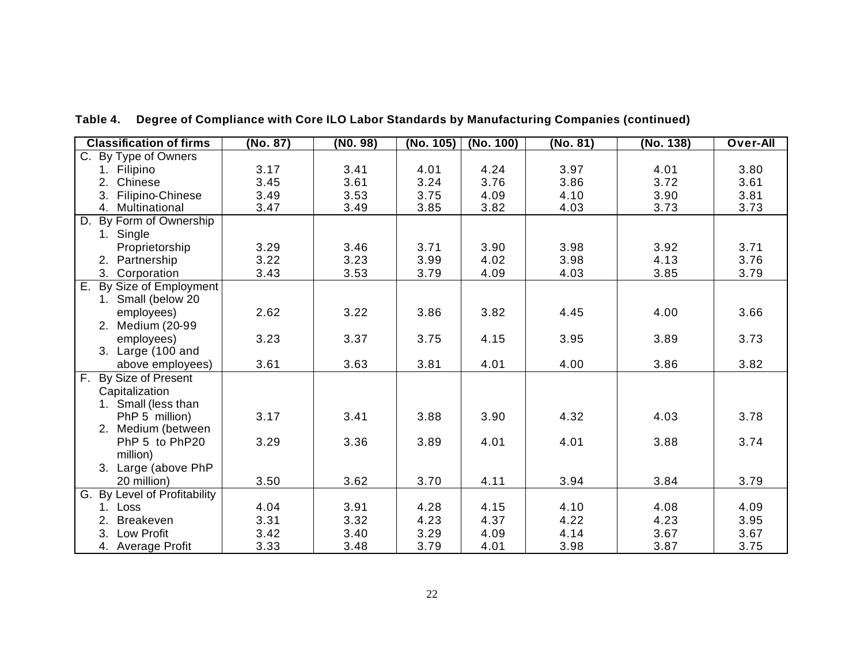| <b>Classification of firms</b>  | (No. 87) | (N0.98) | (No. 105) | (No. 100) | (No. 81) | (No. 138) | Over-All |
|---------------------------------|----------|---------|-----------|-----------|----------|-----------|----------|
| C. By Type of Owners            |          |         |           |           |          |           |          |
| Filipino<br>$1_{-}$             | 3.17     | 3.41    | 4.01      | 4.24      | 3.97     | 4.01      | 3.80     |
| Chinese<br>2.                   | 3.45     | 3.61    | 3.24      | 3.76      | 3.86     | 3.72      | 3.61     |
| Filipino-Chinese<br>3.          | 3.49     | 3.53    | 3.75      | 4.09      | 4.10     | 3.90      | 3.81     |
| 4. Multinational                | 3.47     | 3.49    | 3.85      | 3.82      | 4.03     | 3.73      | 3.73     |
| By Form of Ownership<br>D.      |          |         |           |           |          |           |          |
| 1. Single                       |          |         |           |           |          |           |          |
| Proprietorship                  | 3.29     | 3.46    | 3.71      | 3.90      | 3.98     | 3.92      | 3.71     |
| Partnership<br>2.               | 3.22     | 3.23    | 3.99      | 4.02      | 3.98     | 4.13      | 3.76     |
| 3. Corporation                  | 3.43     | 3.53    | 3.79      | 4.09      | 4.03     | 3.85      | 3.79     |
| By Size of Employment<br>Е.     |          |         |           |           |          |           |          |
| 1. Small (below 20              |          |         |           |           |          |           |          |
| employees)                      | 2.62     | 3.22    | 3.86      | 3.82      | 4.45     | 4.00      | 3.66     |
| Medium (20-99<br>2.             |          |         |           |           |          |           |          |
| employees)                      | 3.23     | 3.37    | 3.75      | 4.15      | 3.95     | 3.89      | 3.73     |
| 3. Large (100 and               |          |         |           |           |          |           |          |
| above employees)                | 3.61     | 3.63    | 3.81      | 4.01      | 4.00     | 3.86      | 3.82     |
| By Size of Present<br>F.        |          |         |           |           |          |           |          |
| Capitalization                  |          |         |           |           |          |           |          |
| 1. Small (less than             |          |         |           |           |          |           |          |
| PhP 5 million)                  | 3.17     | 3.41    | 3.88      | 3.90      | 4.32     | 4.03      | 3.78     |
| Medium (between<br>2.           |          |         |           |           |          |           |          |
| PhP 5 to PhP20                  | 3.29     | 3.36    | 3.89      | 4.01      | 4.01     | 3.88      | 3.74     |
| million)                        |          |         |           |           |          |           |          |
| 3. Large (above PhP             |          |         |           |           |          |           |          |
| 20 million)                     | 3.50     | 3.62    | 3.70      | 4.11      | 3.94     | 3.84      | 3.79     |
| By Level of Profitability<br>G. |          |         |           |           |          |           |          |
| $1_{-}$<br>Loss                 | 4.04     | 3.91    | 4.28      | 4.15      | 4.10     | 4.08      | 4.09     |
| <b>Breakeven</b><br>2.          | 3.31     | 3.32    | 4.23      | 4.37      | 4.22     | 4.23      | 3.95     |
| Low Profit                      | 3.42     | 3.40    | 3.29      | 4.09      | 4.14     | 3.67      | 3.67     |
| 4. Average Profit               | 3.33     | 3.48    | 3.79      | 4.01      | 3.98     | 3.87      | 3.75     |

**Table 4. Degree of Compliance with Core ILO Labor Standards by Manufacturing Companies (continued)**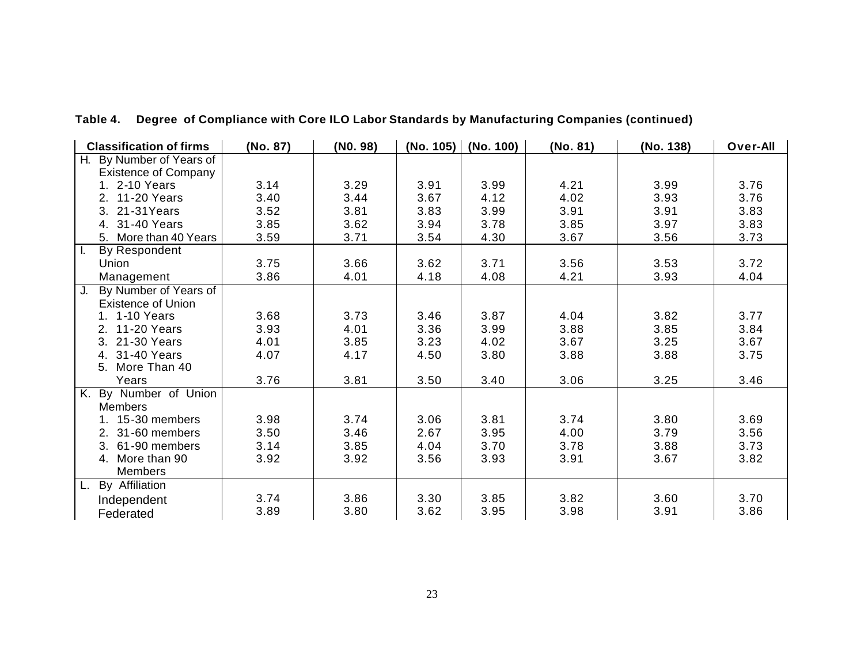| <b>Classification of firms</b> | (No. 87) | (NO. 98) | (No. 105) | (No. 100) | (No. 81) | (No. 138) | Over-All |
|--------------------------------|----------|----------|-----------|-----------|----------|-----------|----------|
| By Number of Years of<br>Н.    |          |          |           |           |          |           |          |
| <b>Existence of Company</b>    |          |          |           |           |          |           |          |
| 1. 2-10 Years                  | 3.14     | 3.29     | 3.91      | 3.99      | 4.21     | 3.99      | 3.76     |
| 2. 11-20 Years                 | 3.40     | 3.44     | 3.67      | 4.12      | 4.02     | 3.93      | 3.76     |
| 3. 21-31Years                  | 3.52     | 3.81     | 3.83      | 3.99      | 3.91     | 3.91      | 3.83     |
| 4. 31-40 Years                 | 3.85     | 3.62     | 3.94      | 3.78      | 3.85     | 3.97      | 3.83     |
| 5. More than 40 Years          | 3.59     | 3.71     | 3.54      | 4.30      | 3.67     | 3.56      | 3.73     |
| $\mathbf{L}$<br>By Respondent  |          |          |           |           |          |           |          |
| Union                          | 3.75     | 3.66     | 3.62      | 3.71      | 3.56     | 3.53      | 3.72     |
| Management                     | 3.86     | 4.01     | 4.18      | 4.08      | 4.21     | 3.93      | 4.04     |
| J.<br>By Number of Years of    |          |          |           |           |          |           |          |
| <b>Existence of Union</b>      |          |          |           |           |          |           |          |
| 1. 1-10 Years                  | 3.68     | 3.73     | 3.46      | 3.87      | 4.04     | 3.82      | 3.77     |
| 2. 11-20 Years                 | 3.93     | 4.01     | 3.36      | 3.99      | 3.88     | 3.85      | 3.84     |
| 3. 21-30 Years                 | 4.01     | 3.85     | 3.23      | 4.02      | 3.67     | 3.25      | 3.67     |
| 4. 31-40 Years                 | 4.07     | 4.17     | 4.50      | 3.80      | 3.88     | 3.88      | 3.75     |
| 5. More Than 40                |          |          |           |           |          |           |          |
| Years                          | 3.76     | 3.81     | 3.50      | 3.40      | 3.06     | 3.25      | 3.46     |
| By Number of Union<br>Κ.       |          |          |           |           |          |           |          |
| <b>Members</b>                 |          |          |           |           |          |           |          |
| 1. 15-30 members               | 3.98     | 3.74     | 3.06      | 3.81      | 3.74     | 3.80      | 3.69     |
| 2. 31-60 members               | 3.50     | 3.46     | 2.67      | 3.95      | 4.00     | 3.79      | 3.56     |
| 61-90 members<br>3.            | 3.14     | 3.85     | 4.04      | 3.70      | 3.78     | 3.88      | 3.73     |
| 4. More than 90                | 3.92     | 3.92     | 3.56      | 3.93      | 3.91     | 3.67      | 3.82     |
| <b>Members</b>                 |          |          |           |           |          |           |          |
| By Affiliation<br>L.           |          |          |           |           |          |           |          |
| Independent                    | 3.74     | 3.86     | 3.30      | 3.85      | 3.82     | 3.60      | 3.70     |
| Federated                      | 3.89     | 3.80     | 3.62      | 3.95      | 3.98     | 3.91      | 3.86     |

**Table 4. Degree of Compliance with Core ILO Labor Standards by Manufacturing Companies (continued)**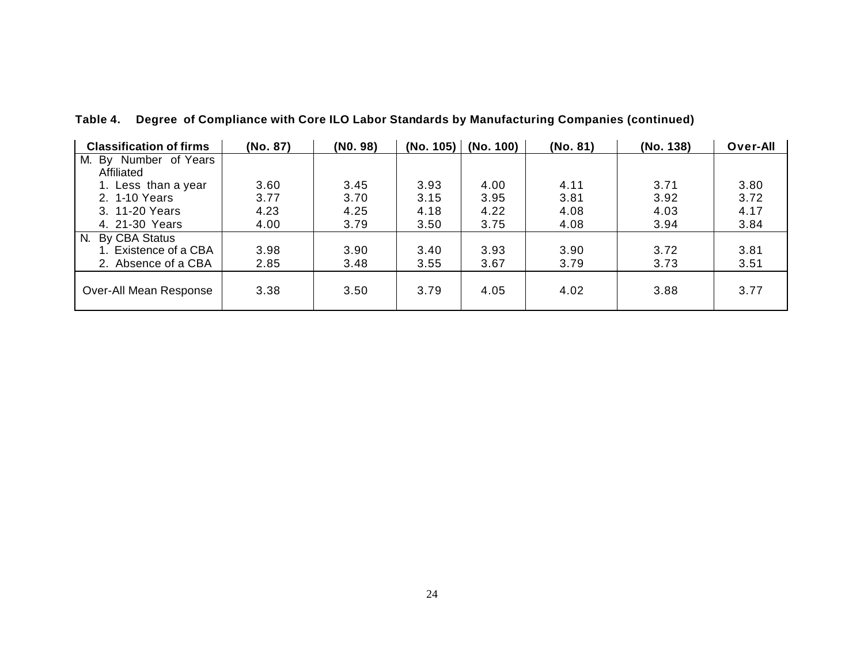| <b>Classification of firms</b> | (No. 87) | (NO. 98) | (No. 105) | (No. 100) | (No. 81) | (No. 138) | Over-All |
|--------------------------------|----------|----------|-----------|-----------|----------|-----------|----------|
| M. By Number of Years          |          |          |           |           |          |           |          |
| Affiliated                     |          |          |           |           |          |           |          |
| 1. Less than a year            | 3.60     | 3.45     | 3.93      | 4.00      | 4.11     | 3.71      | 3.80     |
| 2. 1-10 Years                  | 3.77     | 3.70     | 3.15      | 3.95      | 3.81     | 3.92      | 3.72     |
| 3. 11-20 Years                 | 4.23     | 4.25     | 4.18      | 4.22      | 4.08     | 4.03      | 4.17     |
| 4. 21-30 Years                 | 4.00     | 3.79     | 3.50      | 3.75      | 4.08     | 3.94      | 3.84     |
| By CBA Status<br>N.            |          |          |           |           |          |           |          |
| 1. Existence of a CBA          | 3.98     | 3.90     | 3.40      | 3.93      | 3.90     | 3.72      | 3.81     |
| 2. Absence of a CBA            | 2.85     | 3.48     | 3.55      | 3.67      | 3.79     | 3.73      | 3.51     |
| Over-All Mean Response         | 3.38     | 3.50     | 3.79      | 4.05      | 4.02     | 3.88      | 3.77     |

**Table 4. Degree of Compliance with Core ILO Labor Standards by Manufacturing Companies (continued)**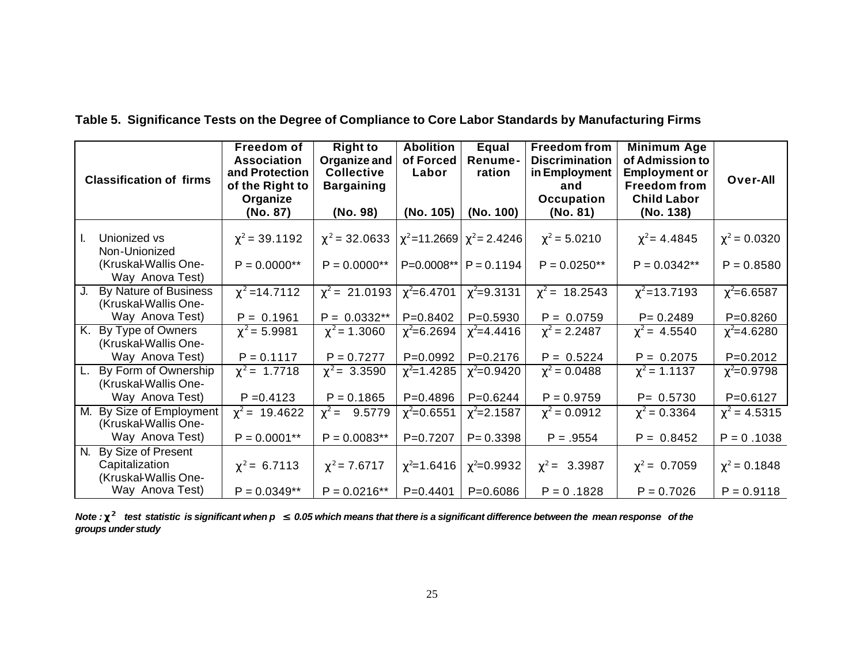| <b>Classification of firms</b> |                                               | Freedom of<br><b>Association</b><br>and Protection<br>of the Right to<br>Organize<br>(No. 87) | <b>Right to</b><br>Organize and<br><b>Collective</b><br><b>Bargaining</b><br>(No. 98) | <b>Abolition</b><br>of Forced<br>Labor<br>(No. 105) | Equal<br>Renume-<br>ration<br>(No. 100) | <b>Freedom from</b><br><b>Discrimination</b><br>in Employment<br>and<br>Occupation<br>(No. 81) | Minimum Age<br>of Admission to<br><b>Employment or</b><br><b>Freedom from</b><br><b>Child Labor</b><br>(No. 138) | Over-All          |
|--------------------------------|-----------------------------------------------|-----------------------------------------------------------------------------------------------|---------------------------------------------------------------------------------------|-----------------------------------------------------|-----------------------------------------|------------------------------------------------------------------------------------------------|------------------------------------------------------------------------------------------------------------------|-------------------|
| Ι.                             | Unionized vs<br>Non-Unionized                 | $\chi^2$ = 39.1192                                                                            | $\chi^2$ = 32.0633 $ \chi^2$ = 11.2669 $ \chi^2$ = 2.4246                             |                                                     |                                         | $\chi^2$ = 5.0210                                                                              | $\chi^2$ = 4.4845                                                                                                | $\chi^2$ = 0.0320 |
|                                | (Kruskal-Wallis One-<br>Way Anova Test)       | $P = 0.0000**$                                                                                | $P = 0.0000**$                                                                        |                                                     | $P=0.0008**$ $P=0.1194$                 | $P = 0.0250**$                                                                                 | $P = 0.0342**$                                                                                                   | $P = 0.8580$      |
| J.                             | By Nature of Business<br>(Kruskal-Wallis One- | $\chi^2$ = 14.7112                                                                            | $\chi^2$ = 21.0193 $\chi^2$ = 6.4701                                                  |                                                     | $\chi^2$ =9.3131                        | $\chi^2$ = 18.2543                                                                             | $\chi^2$ =13.7193                                                                                                | $\chi^2$ =6.6587  |
|                                | Way Anova Test)                               | $P = 0.1961$                                                                                  | $P = 0.0332**$                                                                        | $P = 0.8402$                                        | $P = 0.5930$                            | $P = 0.0759$                                                                                   | $P = 0.2489$                                                                                                     | $P = 0.8260$      |
|                                | K. By Type of Owners<br>(Kruskal-Wallis One-  | $\chi^2$ = 5.9981                                                                             | $\chi^2$ = 1.3060                                                                     | $\chi^2$ =6.2694                                    | $\chi^2$ =4.4416                        | $\chi^2$ = 2.2487                                                                              | $\chi^2$ = 4.5540                                                                                                | $\chi^2$ =4.6280  |
|                                | Way Anova Test)                               | $P = 0.1117$                                                                                  | $P = 0.7277$                                                                          | $P=0.0992$                                          | $P=0.2176$                              | $P = 0.5224$                                                                                   | $P = 0.2075$                                                                                                     | $P=0.2012$        |
| L.                             | By Form of Ownership<br>(Kruskal-Wallis One-  | $\chi^2$ = 1.7718                                                                             | $\chi^2$ = 3.3590                                                                     | $\chi^2$ =1.4285                                    | $\chi^2$ =0.9420                        | $\chi^2$ = 0.0488                                                                              | $\chi^2$ = 1.1137                                                                                                | $\chi^2$ =0.9798  |
|                                | Way Anova Test)                               | $P = 0.4123$                                                                                  | $P = 0.1865$                                                                          | $P = 0.4896$                                        | $P=0.6244$                              | $P = 0.9759$                                                                                   | $P = 0.5730$                                                                                                     | $P = 0.6127$      |
| М.                             | By Size of Employment<br>(Kruskal-Wallis One- | $\chi^2$ = 19.4622                                                                            | $\chi^2$ = 9.5779                                                                     | $\chi^2$ =0.6551                                    | $\chi^2$ =2.1587                        | $\chi^2$ = 0.0912                                                                              | $\chi^2$ = 0.3364                                                                                                | $\chi^2$ = 4.5315 |
|                                | Way Anova Test)                               | $P = 0.0001**$                                                                                | $P = 0.0083**$                                                                        | $P=0.7207$                                          | $P = 0.3398$                            | $P = .9554$                                                                                    | $P = 0.8452$                                                                                                     | $P = 0.1038$      |
| N.                             | By Size of Present                            |                                                                                               |                                                                                       |                                                     |                                         |                                                                                                |                                                                                                                  |                   |
|                                | Capitalization<br>(Kruskal-Wallis One-        | $\chi^2$ = 6.7113                                                                             | $\chi^2$ = 7.6717                                                                     | $\chi^2$ =1.6416                                    | $\chi^2$ =0.9932                        | $\chi^2$ = 3.3987                                                                              | $\chi^2$ = 0.7059                                                                                                | $\chi^2$ = 0.1848 |
|                                | Way Anova Test)                               | $P = 0.0349**$                                                                                | $P = 0.0216**$                                                                        | P=0.4401                                            | $P = 0.6086$                            | $P = 0.1828$                                                                                   | $P = 0.7026$                                                                                                     | $P = 0.9118$      |

*Note :* **c <sup>2</sup>***test statistic is significant when p £ 0.05 which means that there is a significant difference between the mean response of the groups under study*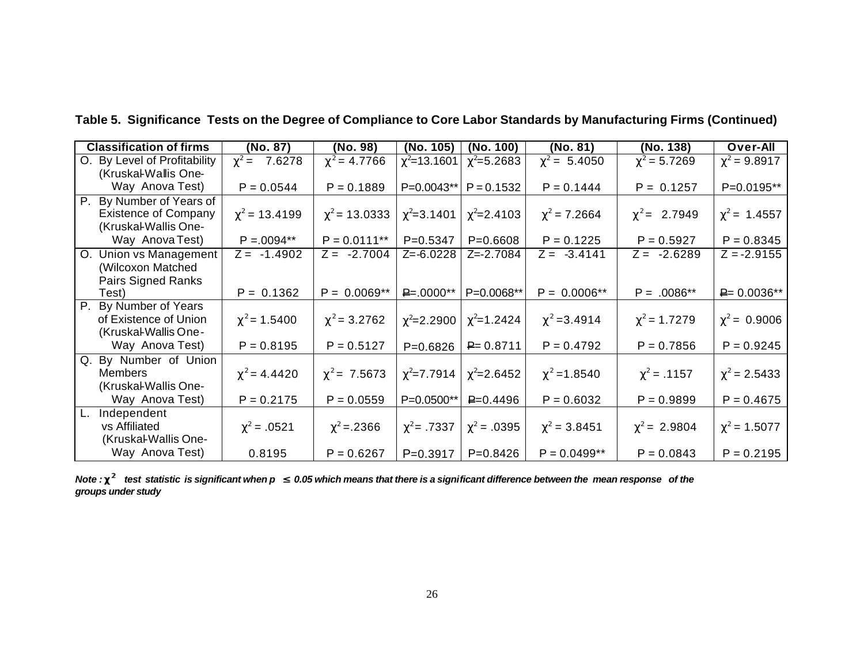| <b>Classification of firms</b>         | (No. 87)           | (No. 98)           | (No. 105)         | (No. 100)        | (No. 81)          | (No. 138)         | Over-All          |
|----------------------------------------|--------------------|--------------------|-------------------|------------------|-------------------|-------------------|-------------------|
| O. By Level of Profitability           | $\chi^2$ = 7.6278  | $\chi^2$ = 4.7766  | $\chi^2$ =13.1601 | $\chi^2$ =5.2683 | $\chi^2$ = 5.4050 | $\chi^2$ = 5.7269 | $\chi^2$ = 9.8917 |
| (Kruskal-Wallis One-                   |                    |                    |                   |                  |                   |                   |                   |
| Way Anova Test)                        | $P = 0.0544$       | $P = 0.1889$       | P=0.0043**        | $P = 0.1532$     | $P = 0.1444$      | $P = 0.1257$      | P=0.0195**        |
| By Number of Years of<br>Р.            |                    |                    |                   |                  |                   |                   |                   |
| <b>Existence of Company</b>            | $\chi^2$ = 13.4199 | $\chi^2$ = 13.0333 | $\chi^2$ =3.1401  | $\chi^2$ =2.4103 | $\chi^2$ = 7.2664 | $\chi^2$ = 2.7949 | $\chi^2$ = 1.4557 |
| (Kruskal-Wallis One-                   |                    |                    |                   |                  |                   |                   |                   |
| Way Anova Test)                        | $P = 0.0094**$     | $P = 0.0111**$     | $P=0.5347$        | $P = 0.6608$     | $P = 0.1225$      | $P = 0.5927$      | $P = 0.8345$      |
| O. Union vs Management                 | $Z = -1.4902$      | $Z = -2.7004$      | $Z = -6.0228$     | $Z = -2.7084$    | $Z = -3.4141$     | $Z = -2.6289$     | $Z = -2.9155$     |
| (Wilcoxon Matched                      |                    |                    |                   |                  |                   |                   |                   |
| Pairs Signed Ranks                     |                    |                    |                   |                  |                   |                   |                   |
| Test)                                  | $P = 0.1362$       | $P = 0.0069**$     | $P = 0000**$      | P=0.0068**       | $P = 0.0006**$    | $P = .0086**$     | $P = 0.0036**$    |
| $\overline{P}$ .<br>By Number of Years |                    |                    |                   |                  |                   |                   |                   |
| of Existence of Union                  | $\chi^2$ = 1.5400  | $\chi^2$ = 3.2762  | $\chi^2$ =2.2900  | $\chi^2$ =1.2424 | $\chi^2$ =3.4914  | $\chi^2$ = 1.7279 | $\chi^2$ = 0.9006 |
| (Kruskal-Wallis One-                   |                    |                    |                   |                  |                   |                   |                   |
| Way Anova Test)                        | $P = 0.8195$       | $P = 0.5127$       | $P = 0.6826$      | $P = 0.8711$     | $P = 0.4792$      | $P = 0.7856$      | $P = 0.9245$      |
| Q. By Number of Union                  |                    |                    |                   |                  |                   |                   |                   |
| <b>Members</b>                         | $\chi^2$ = 4.4420  | $\chi^2$ = 7.5673  | $\chi^2$ =7.7914  | $\chi^2$ =2.6452 | $\chi^2$ = 1.8540 | $\chi^2$ = .1157  | $\chi^2$ = 2.5433 |
| (Kruskal-Wallis One-                   |                    |                    |                   |                  |                   |                   |                   |
| Way Anova Test)                        | $P = 0.2175$       | $P = 0.0559$       | P=0.0500**        | $P = 0.4496$     | $P = 0.6032$      | $P = 0.9899$      | $P = 0.4675$      |
| Independent<br>L.                      |                    |                    |                   |                  |                   |                   |                   |
| vs Affiliated                          | $\chi^2$ = .0521   | $\chi^2$ = 2366    | $\chi^2$ = .7337  | $\chi^2$ = .0395 | $\chi^2$ = 3.8451 | $\chi^2$ = 2.9804 | $\chi^2$ = 1.5077 |
| (Kruskal-Wallis One-                   |                    |                    |                   |                  |                   |                   |                   |
| Way Anova Test)                        | 0.8195             | $P = 0.6267$       | $P=0.3917$        | $P=0.8426$       | $P = 0.0499**$    | $P = 0.0843$      | $P = 0.2195$      |

**Table 5. Significance Tests on the Degree of Compliance to Core Labor Standards by Manufacturing Firms (Continued)**

*Note :* **c <sup>2</sup>***test statistic is significant when p £ 0.05 which means that there is a significant difference between the mean response of the groups under study*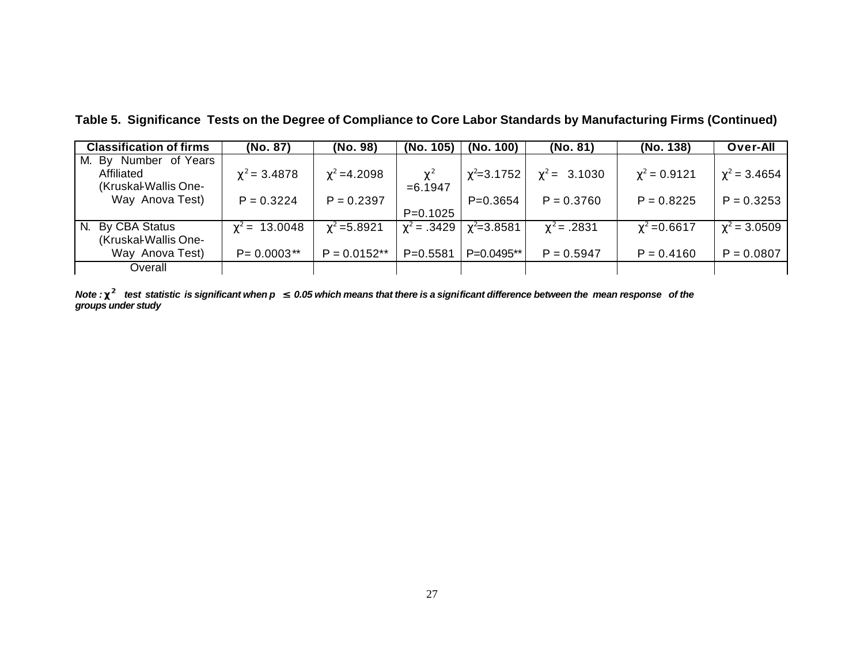| <b>Classification of firms</b> | (No. 87)           | (No. 98)         | (No. 105)        | (No. 100)        | (No. 81)          | (No. 138)         | <b>Over-All</b>   |
|--------------------------------|--------------------|------------------|------------------|------------------|-------------------|-------------------|-------------------|
| Number of Years<br>M. By       |                    |                  |                  |                  |                   |                   |                   |
| Affiliated                     | $\chi^2$ = 3.4878  | $\chi^2$ =4.2098 | $\chi^2$         | $\chi^2$ =3.1752 | $\chi^2$ = 3.1030 | $\chi^2 = 0.9121$ | $\chi^2$ = 3.4654 |
| (Kruskal-Wallis One-           |                    |                  | $= 6.1947$       |                  |                   |                   |                   |
| Way Anova Test)                | $P = 0.3224$       | $P = 0.2397$     |                  | $P=0.3654$       | $P = 0.3760$      | $P = 0.8225$      | $P = 0.3253$      |
|                                |                    |                  | $P=0.1025$       |                  |                   |                   |                   |
| By CBA Status<br>N.            | $\chi^2$ = 13.0048 | $\chi^2$ =5.8921 | $\chi^2 = .3429$ | $\chi^2$ =3.8581 | $\chi^2$ = .2831  | $\chi^2$ =0.6617  | $\chi^2 = 3.0509$ |
| (Kruskal-Wallis One-           |                    |                  |                  |                  |                   |                   |                   |
| Way Anova Test)                | $P = 0.0003$ **    | $P = 0.0152**$   | $P = 0.5581$     | P=0.0495**       | $P = 0.5947$      | $P = 0.4160$      | $P = 0.0807$      |
| Overall                        |                    |                  |                  |                  |                   |                   |                   |

**Table 5. Significance Tests on the Degree of Compliance to Core Labor Standards by Manufacturing Firms (Continued)**

*Note :* **c <sup>2</sup>***test statistic is significant when p £ 0.05 which means that there is a significant difference between the mean response of the groups under study*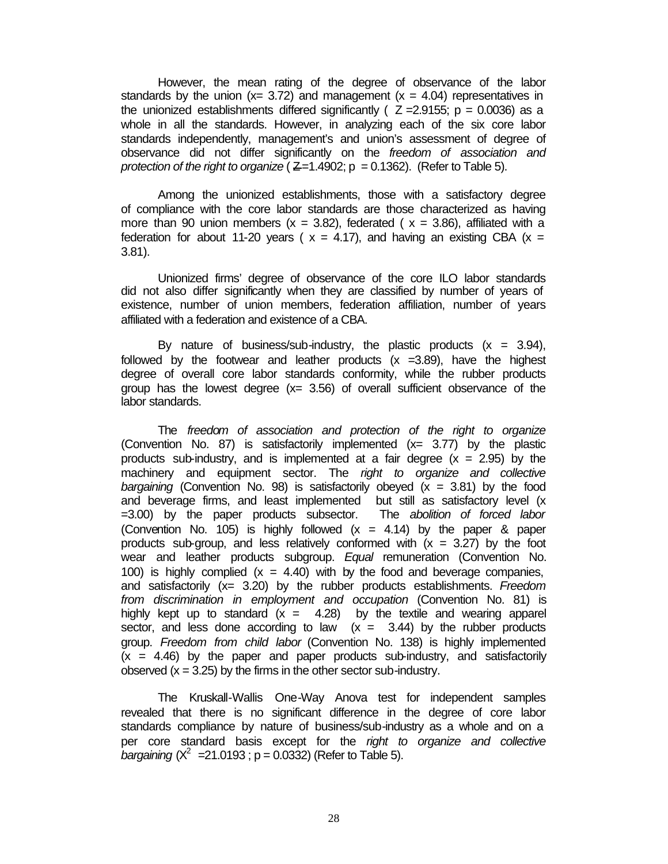However, the mean rating of the degree of observance of the labor standards by the union ( $x= 3.72$ ) and management ( $x = 4.04$ ) representatives in the unionized establishments differed significantly ( $Z = 2.9155$ ;  $p = 0.0036$ ) as a whole in all the standards. However, in analyzing each of the six core labor standards independently, management's and union's assessment of degree of observance did not differ significantly on the *freedom of association and protection of the right to organize*  $(Z=1.4902; p = 0.1362)$ . (Refer to Table 5).

Among the unionized establishments, those with a satisfactory degree of compliance with the core labor standards are those characterized as having more than 90 union members  $(x = 3.82)$ , federated  $(x = 3.86)$ , affiliated with a federation for about 11-20 years ( $x = 4.17$ ), and having an existing CBA ( $x =$ 3.81).

Unionized firms' degree of observance of the core ILO labor standards did not also differ significantly when they are classified by number of years of existence, number of union members, federation affiliation, number of years affiliated with a federation and existence of a CBA.

By nature of business/sub-industry, the plastic products  $(x = 3.94)$ , followed by the footwear and leather products  $(x = 3.89)$ , have the highest degree of overall core labor standards conformity, while the rubber products group has the lowest degree  $(x= 3.56)$  of overall sufficient observance of the labor standards.

The *freedom of association and protection of the right to organize* (Convention No. 87) is satisfactorily implemented (x= 3.77) by the plastic products sub-industry, and is implemented at a fair degree  $(x = 2.95)$  by the machinery and equipment sector. The *right to organize and collective bargaining* (Convention No. 98) is satisfactorily obeyed  $(x = 3.81)$  by the food and beverage firms, and least implemented but still as satisfactory level (x =3.00) by the paper products subsector. The *abolition of forced labor* (Convention No. 105) is highly followed  $(x = 4.14)$  by the paper & paper products sub-group, and less relatively conformed with  $(x = 3.27)$  by the foot wear and leather products subgroup. *Equal* remuneration (Convention No. 100) is highly complied  $(x = 4.40)$  with by the food and beverage companies, and satisfactorily (x= 3.20) by the rubber products establishments. *Freedom from discrimination in employment and occupation* (Convention No. 81) is highly kept up to standard  $(x = 4.28)$  by the textile and wearing apparel sector, and less done according to law  $(x = 3.44)$  by the rubber products group. *Freedom from child labor* (Convention No. 138) is highly implemented  $(x = 4.46)$  by the paper and paper products sub-industry, and satisfactorily observed  $(x = 3.25)$  by the firms in the other sector sub-industry.

The Kruskall-Wallis One-Way Anova test for independent samples revealed that there is no significant difference in the degree of core labor standards compliance by nature of business/sub-industry as a whole and on a per core standard basis except for the *right to organize and collective bargaining*  $(X^2 = 21.0193$ ;  $p = 0.0332$ ) (Refer to Table 5).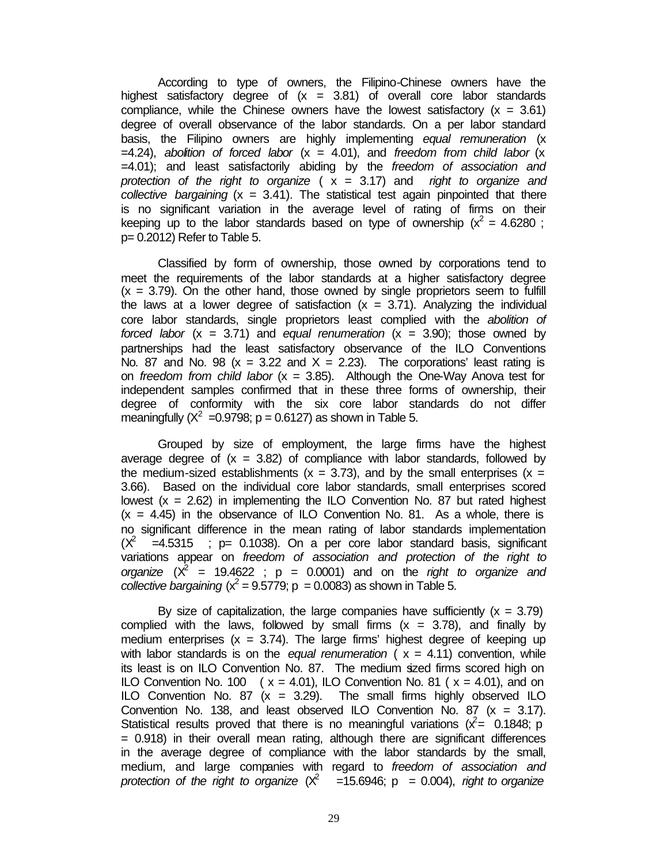According to type of owners, the Filipino-Chinese owners have the highest satisfactory degree of  $(x = 3.81)$  of overall core labor standards compliance, while the Chinese owners have the lowest satisfactory  $(x = 3.61)$ degree of overall observance of the labor standards. On a per labor standard basis, the Filipino owners are highly implementing *equal remuneration* (x =4.24), *abolition of forced labor* (x = 4.01), and *freedom from child labor* (x =4.01); and least satisfactorily abiding by the *freedom of association and protection of the right to organize* ( x = 3.17) and *right to organize and collective bargaining* (x = 3.41). The statistical test again pinpointed that there is no significant variation in the average level of rating of firms on their keeping up to the labor standards based on type of ownership ( $x^2 = 4.6280$ ; p= 0.2012) Refer to Table 5.

Classified by form of ownership, those owned by corporations tend to meet the requirements of the labor standards at a higher satisfactory degree  $(x = 3.79)$ . On the other hand, those owned by single proprietors seem to fulfill the laws at a lower degree of satisfaction  $(x = 3.71)$ . Analyzing the individual core labor standards, single proprietors least complied with the *abolition of forced labor* (x = 3.71) and *equal renumeration* (x = 3.90); those owned by partnerships had the least satisfactory observance of the ILO Conventions No. 87 and No. 98 ( $x = 3.22$  and  $X = 2.23$ ). The corporations' least rating is on *freedom from child labor* (x = 3.85). Although the One-Way Anova test for independent samples confirmed that in these three forms of ownership, their degree of conformity with the six core labor standards do not differ meaningfully ( $X^2 = 0.9798$ ; p = 0.6127) as shown in Table 5.

Grouped by size of employment, the large firms have the highest average degree of  $(x = 3.82)$  of compliance with labor standards, followed by the medium-sized establishments ( $x = 3.73$ ), and by the small enterprises ( $x =$ 3.66). Based on the individual core labor standards, small enterprises scored lowest  $(x = 2.62)$  in implementing the ILO Convention No. 87 but rated highest  $(x = 4.45)$  in the observance of ILO Convention No. 81. As a whole, there is no significant difference in the mean rating of labor standards implementation  $(X^2$  =4.5315 ; p= 0.1038). On a per core labor standard basis, significant variations appear on *freedom of association and protection of the right to organize*  $(X^2 = 19.4622$ ;  $p = 0.0001$  and on the *right to organize and collective bargaining* ( $x^2 = 9.5779$ ; p = 0.0083) as shown in Table 5.

By size of capitalization, the large companies have sufficiently  $(x = 3.79)$ complied with the laws, followed by small firms  $(x = 3.78)$ , and finally by medium enterprises  $(x = 3.74)$ . The large firms' highest degree of keeping up with labor standards is on the *equal renumeration* ( $x = 4.11$ ) convention, while its least is on ILO Convention No. 87. The medium sized firms scored high on ILO Convention No. 100  $(x = 4.01)$ , ILO Convention No. 81  $(x = 4.01)$ , and on ILO Convention No. 87  $(x = 3.29)$ . The small firms highly observed ILO Convention No. 138, and least observed ILO Convention No. 87  $(x = 3.17)$ . Statistical results proved that there is no meaningful variations ( $\hat{x} = 0.1848$ ; p  $= 0.918$ ) in their overall mean rating, although there are significant differences in the average degree of compliance with the labor standards by the small, medium, and large companies with regard to *freedom of association and* protection of the right to organize  $(X^2$  =15.6946;  $p = 0.004$ ), right to organize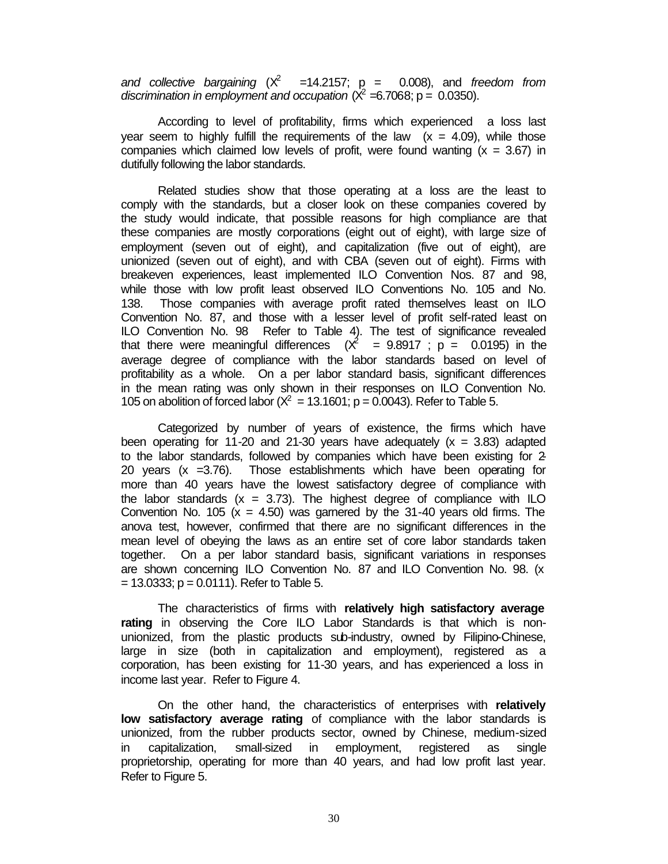and collective bargaining  $(X^2$  =14.2157;  $p = 0.008$ ), and *freedom from* discrimination in employment and occupation  $(X^2 = 6.7068; p = 0.0350)$ .

According to level of profitability, firms which experienced a loss last year seem to highly fulfill the requirements of the law  $(x = 4.09)$ , while those companies which claimed low levels of profit, were found wanting  $(x = 3.67)$  in dutifully following the labor standards.

Related studies show that those operating at a loss are the least to comply with the standards, but a closer look on these companies covered by the study would indicate, that possible reasons for high compliance are that these companies are mostly corporations (eight out of eight), with large size of employment (seven out of eight), and capitalization (five out of eight), are unionized (seven out of eight), and with CBA (seven out of eight). Firms with breakeven experiences, least implemented ILO Convention Nos. 87 and 98, while those with low profit least observed ILO Conventions No. 105 and No. 138. Those companies with average profit rated themselves least on ILO Convention No. 87, and those with a lesser level of profit self-rated least on ILO Convention No. 98 Refer to Table 4). The test of significance revealed that there were meaningful differences  $(\chi^2 = 9.8917 ; p = 0.0195)$  in the average degree of compliance with the labor standards based on level of profitability as a whole. On a per labor standard basis, significant differences in the mean rating was only shown in their responses on ILO Convention No. 105 on abolition of forced labor ( $X^2 = 13.1601$ ; p = 0.0043). Refer to Table 5.

Categorized by number of years of existence, the firms which have been operating for 11-20 and 21-30 years have adequately  $(x = 3.83)$  adapted to the labor standards, followed by companies which have been existing for 2- 20 years  $(x = 3.76)$ . Those establishments which have been operating for more than 40 years have the lowest satisfactory degree of compliance with the labor standards  $(x = 3.73)$ . The highest degree of compliance with ILO Convention No. 105 ( $x = 4.50$ ) was garnered by the 31-40 years old firms. The anova test, however, confirmed that there are no significant differences in the mean level of obeying the laws as an entire set of core labor standards taken together. On a per labor standard basis, significant variations in responses are shown concerning ILO Convention No. 87 and ILO Convention No. 98. (x  $= 13.0333$ ; p = 0.0111). Refer to Table 5.

The characteristics of firms with **relatively high satisfactory average rating** in observing the Core ILO Labor Standards is that which is nonunionized, from the plastic products sub-industry, owned by Filipino-Chinese, large in size (both in capitalization and employment), registered as a corporation, has been existing for 11-30 years, and has experienced a loss in income last year. Refer to Figure 4.

On the other hand, the characteristics of enterprises with **relatively low satisfactory average rating** of compliance with the labor standards is unionized, from the rubber products sector, owned by Chinese, medium-sized in capitalization, small-sized in employment, registered as single proprietorship, operating for more than 40 years, and had low profit last year. Refer to Figure 5.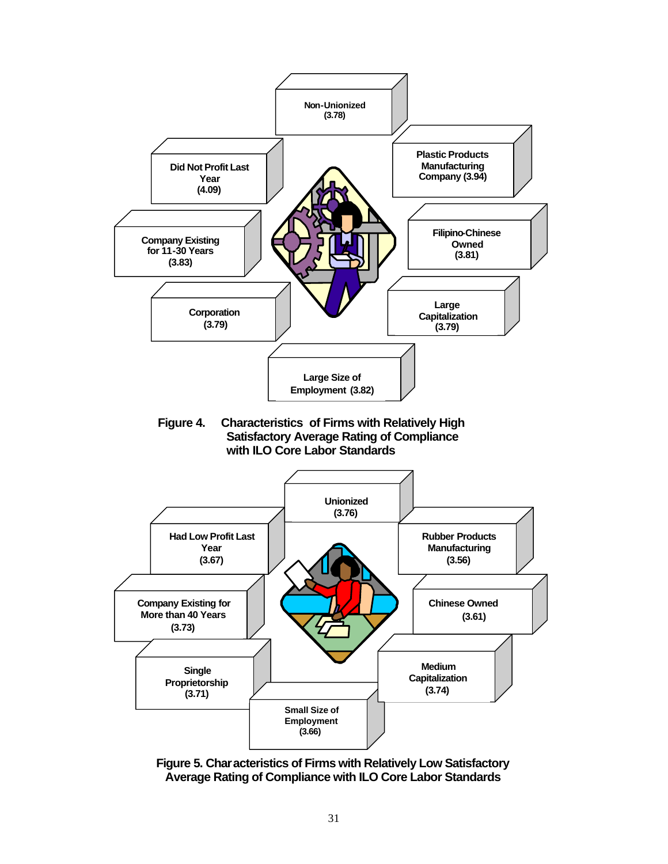

**Figure 5. Characteristics of Firms with Relatively Low Satisfactory Average Rating of Compliance with ILO Core Labor Standards**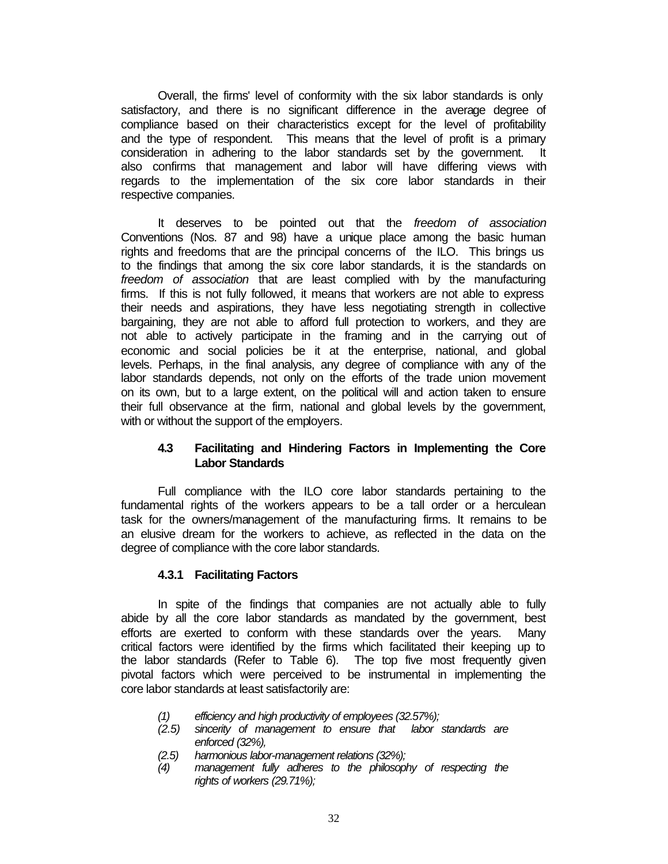Overall, the firms' level of conformity with the six labor standards is only satisfactory, and there is no significant difference in the average degree of compliance based on their characteristics except for the level of profitability and the type of respondent. This means that the level of profit is a primary consideration in adhering to the labor standards set by the government. It also confirms that management and labor will have differing views with regards to the implementation of the six core labor standards in their respective companies.

It deserves to be pointed out that the *freedom of association* Conventions (Nos. 87 and 98) have a unique place among the basic human rights and freedoms that are the principal concerns of the ILO. This brings us to the findings that among the six core labor standards, it is the standards on *freedom of association* that are least complied with by the manufacturing firms. If this is not fully followed, it means that workers are not able to express their needs and aspirations, they have less negotiating strength in collective bargaining, they are not able to afford full protection to workers, and they are not able to actively participate in the framing and in the carrying out of economic and social policies be it at the enterprise, national, and global levels. Perhaps, in the final analysis, any degree of compliance with any of the labor standards depends, not only on the efforts of the trade union movement on its own, but to a large extent, on the political will and action taken to ensure their full observance at the firm, national and global levels by the government, with or without the support of the employers.

## **4.3 Facilitating and Hindering Factors in Implementing the Core Labor Standards**

Full compliance with the ILO core labor standards pertaining to the fundamental rights of the workers appears to be a tall order or a herculean task for the owners/management of the manufacturing firms. It remains to be an elusive dream for the workers to achieve, as reflected in the data on the degree of compliance with the core labor standards.

### **4.3.1 Facilitating Factors**

In spite of the findings that companies are not actually able to fully abide by all the core labor standards as mandated by the government, best efforts are exerted to conform with these standards over the years. Many critical factors were identified by the firms which facilitated their keeping up to the labor standards (Refer to Table 6). The top five most frequently given pivotal factors which were perceived to be instrumental in implementing the core labor standards at least satisfactorily are:

- *(1) efficiency and high productivity of employees (32.57%);*
- *(2.5) sincerity of management to ensure that labor standards are enforced (32%),*
- *(2.5) harmonious labor-management relations (32%);*
- *(4) management fully adheres to the philosophy of respecting the rights of workers (29.71%);*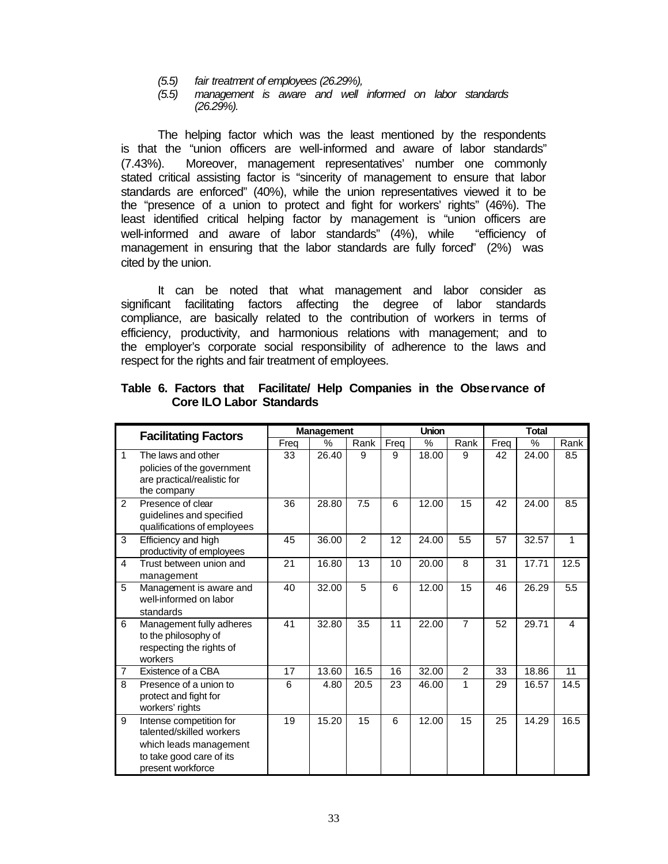- *(5.5) fair treatment of employees (26.29%),*
- *(5.5) management is aware and well informed on labor standards (26.29%).*

The helping factor which was the least mentioned by the respondents is that the "union officers are well-informed and aware of labor standards" (7.43%). Moreover, management representatives' number one commonly stated critical assisting factor is "sincerity of management to ensure that labor standards are enforced" (40%), while the union representatives viewed it to be the "presence of a union to protect and fight for workers' rights" (46%). The least identified critical helping factor by management is "union officers are well-informed and aware of labor standards" (4%), while "efficiency of management in ensuring that the labor standards are fully forced" (2%) was cited by the union.

It can be noted that what management and labor consider as significant facilitating factors affecting the degree of labor standards compliance, are basically related to the contribution of workers in terms of efficiency, productivity, and harmonious relations with management; and to the employer's corporate social responsibility of adherence to the laws and respect for the rights and fair treatment of employees.

|                | <b>Facilitating Factors</b>                                                                                                    | <b>Management</b> |       |               |      | <b>Union</b> |                | <b>Total</b> |       |      |
|----------------|--------------------------------------------------------------------------------------------------------------------------------|-------------------|-------|---------------|------|--------------|----------------|--------------|-------|------|
|                |                                                                                                                                | Freq              | $\%$  | Rank          | Freq | $\%$         | Rank           | Freq         | $\%$  | Rank |
| 1              | The laws and other<br>policies of the government<br>are practical/realistic for<br>the company                                 | 33                | 26.40 | 9             | 9    | 18.00        | 9              | 42           | 24.00 | 8.5  |
| $\mathfrak{p}$ | Presence of clear<br>quidelines and specified<br>qualifications of employees                                                   | 36                | 28.80 | 7.5           | 6    | 12.00        | 15             | 42           | 24.00 | 8.5  |
| 3              | Efficiency and high<br>productivity of employees                                                                               | 45                | 36.00 | $\mathcal{P}$ | 12   | 24.00        | 5.5            | 57           | 32.57 | 1    |
| 4              | Trust between union and<br>management                                                                                          | 21                | 16.80 | 13            | 10   | 20.00        | 8              | 31           | 17.71 | 12.5 |
| 5              | Management is aware and<br>well-informed on labor<br>standards                                                                 | 40                | 32.00 | 5             | 6    | 12.00        | 15             | 46           | 26.29 | 5.5  |
| 6              | Management fully adheres<br>to the philosophy of<br>respecting the rights of<br>workers                                        | 41                | 32.80 | 3.5           | 11   | 22.00        | $\overline{7}$ | 52           | 29.71 | 4    |
| $\overline{7}$ | Existence of a CBA                                                                                                             | 17                | 13.60 | 16.5          | 16   | 32.00        | $\overline{2}$ | 33           | 18.86 | 11   |
| 8              | Presence of a union to<br>protect and fight for<br>workers' rights                                                             | 6                 | 4.80  | 20.5          | 23   | 46.00        | 1              | 29           | 16.57 | 14.5 |
| 9              | Intense competition for<br>talented/skilled workers<br>which leads management<br>to take good care of its<br>present workforce | 19                | 15.20 | 15            | 6    | 12.00        | 15             | 25           | 14.29 | 16.5 |

**Table 6. Factors that Facilitate/ Help Companies in the Observance of Core ILO Labor Standards**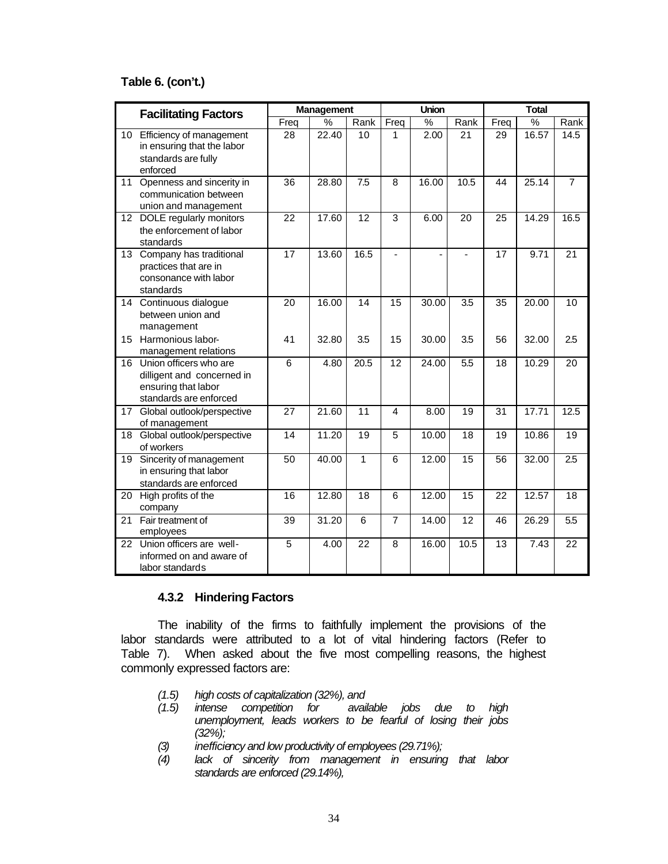## **Table 6. (con't.)**

|                  | <b>Facilitating Factors</b>                                                                           |                 | Management         |                 |                | Union         |                 | <b>Total</b>    |               |                |
|------------------|-------------------------------------------------------------------------------------------------------|-----------------|--------------------|-----------------|----------------|---------------|-----------------|-----------------|---------------|----------------|
|                  |                                                                                                       | Freq            | $\frac{9}{6}$      | Rank            | Freq           | $\frac{0}{6}$ | Rank            | Freq            | $\frac{1}{2}$ | Rank           |
| 10 <sup>1</sup>  | Efficiency of management<br>in ensuring that the labor<br>standards are fully<br>enforced             | 28              | 22.40              | 10              | 1              | 2.00          | 21              | 29              | 16.57         | 14.5           |
| 11               | Openness and sincerity in<br>communication between<br>union and management                            | $\overline{36}$ | 28.80              | 7.5             | 8              | 16.00         | 10.5            | 44              | 25.14         | $\overline{7}$ |
|                  | 12 DOLE regularly monitors<br>the enforcement of labor<br>standards                                   | $\overline{22}$ | 17.60              | $\overline{12}$ | $\overline{3}$ | 6.00          | $\overline{20}$ | $\overline{25}$ | 14.29         | 16.5           |
| 13 <sup>7</sup>  | Company has traditional<br>practices that are in<br>consonance with labor<br>standards                | 17              | 13.60              | 16.5            | $\blacksquare$ | ÷,            |                 | 17              | 9.71          | 21             |
|                  | 14 Continuous dialogue<br>between union and<br>management                                             | $\overline{20}$ | 16.00              | 14              | 15             | 30.00         | 3.5             | 35              | 20.00         | 10             |
| 15 <sup>15</sup> | Harmonious labor-<br>management relations                                                             | 41              | 32.80              | 3.5             | 15             | 30.00         | 3.5             | 56              | 32.00         | 2.5            |
| 16               | Union officers who are<br>dilligent and concerned in<br>ensuring that labor<br>standards are enforced | 6               | 4.80               | 20.5            | 12             | 24.00         | 5.5             | 18              | 10.29         | 20             |
| 17               | Global outlook/perspective<br>of management                                                           | 27              | 21.60              | 11              | 4              | 8.00          | 19              | 31              | 17.71         | 12.5           |
| 18               | Global outlook/perspective<br>of workers                                                              | 14              | $\overline{11.20}$ | 19              | 5              | 10.00         | 18              | 19              | 10.86         | 19             |
| 19               | Sincerity of management<br>in ensuring that labor<br>standards are enforced                           | $\overline{50}$ | 40.00              | $\overline{1}$  | 6              | 12.00         | $\overline{15}$ | 56              | 32.00         | 2.5            |
| 20               | High profits of the<br>company                                                                        | 16              | 12.80              | 18              | 6              | 12.00         | 15              | $\overline{22}$ | 12.57         | 18             |
| 21               | Fair treatment of<br>employees                                                                        | $\overline{39}$ | 31.20              | 6               | $\overline{7}$ | 14.00         | $\overline{12}$ | 46              | 26.29         | 5.5            |
| 22               | Union officers are well-<br>informed on and aware of<br>labor standards                               | 5               | 4.00               | 22              | 8              | 16.00         | 10.5            | 13              | 7.43          | 22             |

## **4.3.2 Hindering Factors**

The inability of the firms to faithfully implement the provisions of the labor standards were attributed to a lot of vital hindering factors (Refer to Table 7). When asked about the five most compelling reasons, the highest commonly expressed factors are:

- *(1.5) high costs of capitalization (32%), and*
- *(1.5) intense competition for available jobs due to high unemployment, leads workers to be fearful of losing their jobs (32%);*
- *(3) inefficiency and low productivity of employees (29.71%);*
- *(4) lack of sincerity from management in ensuring that labor standards are enforced (29.14%),*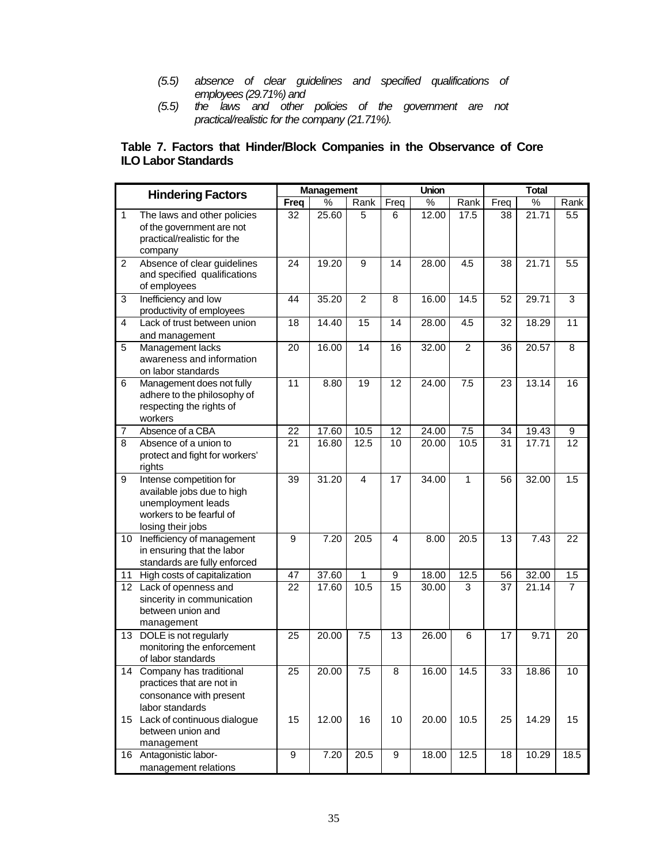- *(5.5) absence of clear guidelines and specified qualifications of employees (29.71%) and*
- *(5.5) the laws and other policies of the government are not practical/realistic for the company (21.71%).*

## **Table 7. Factors that Hinder/Block Companies in the Observance of Core ILO Labor Standards**

|                  | <b>Hindering Factors</b>                                                                                                     | <b>Management</b> |       |                |                 | Union              |                | <b>Total</b>    |       |                 |
|------------------|------------------------------------------------------------------------------------------------------------------------------|-------------------|-------|----------------|-----------------|--------------------|----------------|-----------------|-------|-----------------|
|                  |                                                                                                                              | <b>Freq</b>       | $\%$  | Rank           | Freq            | $\%$               | Rank           | Freq            | $\%$  | Rank            |
| $\mathbf{1}$     | The laws and other policies<br>of the government are not<br>practical/realistic for the<br>company                           | 32                | 25.60 | 5              | 6               | $\overline{12.00}$ | 17.5           | 38              | 21.71 | 5.5             |
| 2                | Absence of clear guidelines<br>and specified qualifications<br>of employees                                                  | 24                | 19.20 | 9              | 14              | 28.00              | 4.5            | 38              | 21.71 | 5.5             |
| 3                | Inefficiency and low<br>productivity of employees                                                                            | 44                | 35.20 | $\overline{2}$ | $\overline{8}$  | 16.00              | 14.5           | 52              | 29.71 | $\overline{3}$  |
| 4                | Lack of trust between union<br>and management                                                                                | 18                | 14.40 | 15             | 14              | 28.00              | 4.5            | 32              | 18.29 | 11              |
| 5                | Management lacks<br>awareness and information<br>on labor standards                                                          | 20                | 16.00 | 14             | 16              | 32.00              | $\overline{c}$ | 36              | 20.57 | 8               |
| 6                | Management does not fully<br>adhere to the philosophy of<br>respecting the rights of<br>workers                              | 11                | 8.80  | 19             | 12              | 24.00              | 7.5            | 23              | 13.14 | 16              |
| $\overline{7}$   | Absence of a CBA                                                                                                             | 22                | 17.60 | 10.5           | 12              | 24.00              | 7.5            | 34              | 19.43 | 9               |
| $\overline{8}$   | Absence of a union to<br>protect and fight for workers'<br>rights                                                            | 21                | 16.80 | 12.5           | 10              | 20.00              | 10.5           | 31              | 17.71 | $\overline{12}$ |
| 9                | Intense competition for<br>available jobs due to high<br>unemployment leads<br>workers to be fearful of<br>losing their jobs | 39                | 31.20 | $\overline{4}$ | 17              | 34.00              | 1              | 56              | 32.00 | 1.5             |
| 10               | Inefficiency of management<br>in ensuring that the labor<br>standards are fully enforced                                     | 9                 | 7.20  | 20.5           | 4               | 8.00               | 20.5           | 13              | 7.43  | 22              |
| 11               | High costs of capitalization                                                                                                 | 47                | 37.60 | 1              | 9               | 18.00              | 12.5           | 56              | 32.00 | 1.5             |
|                  | 12 Lack of openness and<br>sincerity in communication<br>between union and<br>management                                     | 22                | 17.60 | 10.5           | $\overline{15}$ | 30.00              | 3              | $\overline{37}$ | 21.14 | $\overline{7}$  |
| 13 <sup>13</sup> | DOLE is not regularly<br>monitoring the enforcement<br>of labor standards                                                    | 25                | 20.00 | 7.5            | 13              | 26.00              | 6              | 17              | 9.71  | 20              |
| 14               | Company has traditional<br>practices that are not in<br>consonance with present<br>labor standards                           | $\overline{25}$   | 20.00 | 7.5            | 8               | 16.00              | 14.5           | 33              | 18.86 | 10              |
|                  | 15 Lack of continuous dialogue<br>between union and<br>management                                                            | 15                | 12.00 | 16             | 10              | 20.00              | 10.5           | 25              | 14.29 | 15              |
|                  | 16 Antagonistic labor-<br>management relations                                                                               | 9                 | 7.20  | 20.5           | 9               | 18.00              | 12.5           | 18              | 10.29 | 18.5            |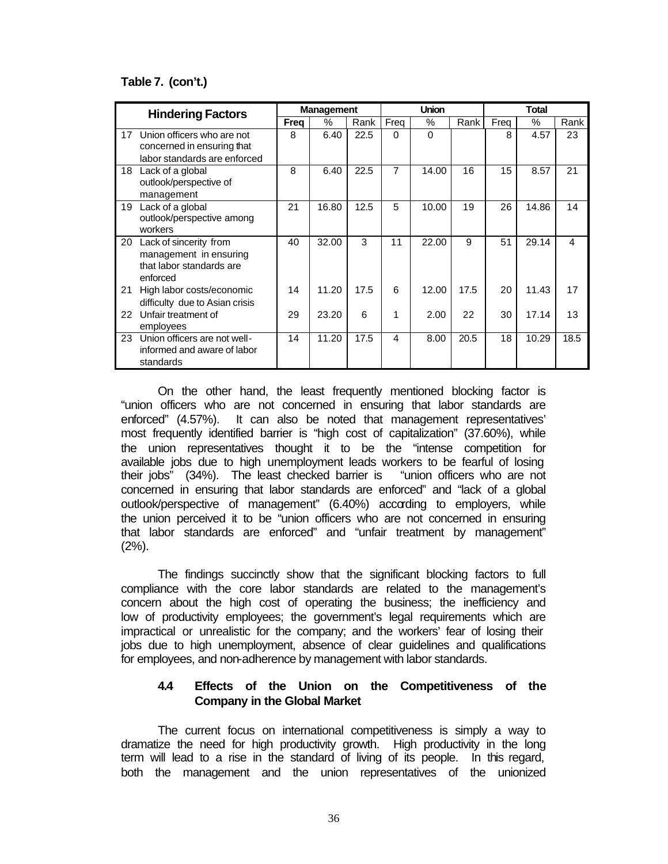## **Table 7. (con't.)**

|    | <b>Hindering Factors</b>                                                                 |      | <b>Management</b> |      |                | <b>Union</b>  |      | <b>Total</b> |               |      |
|----|------------------------------------------------------------------------------------------|------|-------------------|------|----------------|---------------|------|--------------|---------------|------|
|    |                                                                                          | Frea | $\frac{0}{0}$     | Rank | Freq           | $\frac{0}{0}$ | Rank | Frea         | $\frac{0}{0}$ | Rank |
| 17 | Union officers who are not<br>concerned in ensuring that<br>labor standards are enforced | 8    | 6.40              | 22.5 | 0              | $\Omega$      |      | 8            | 4.57          | 23   |
| 18 | Lack of a global<br>outlook/perspective of<br>management                                 | 8    | 6.40              | 22.5 | $\overline{7}$ | 14.00         | 16   | 15           | 8.57          | 21   |
| 19 | Lack of a global<br>outlook/perspective among<br>workers                                 | 21   | 16.80             | 12.5 | 5              | 10.00         | 19   | 26           | 14.86         | 14   |
| 20 | Lack of sincerity from<br>management in ensuring<br>that labor standards are<br>enforced | 40   | 32.00             | 3    | 11             | 22.00         | 9    | 51           | 29.14         | 4    |
| 21 | High labor costs/economic<br>difficulty due to Asian crisis                              | 14   | 11.20             | 17.5 | 6              | 12.00         | 17.5 | 20           | 11.43         | 17   |
| 22 | Unfair treatment of<br>employees                                                         | 29   | 23.20             | 6    | 1              | 2.00          | 22   | 30           | 17.14         | 13   |
| 23 | Union officers are not well-<br>informed and aware of labor<br>standards                 | 14   | 11.20             | 17.5 | 4              | 8.00          | 20.5 | 18           | 10.29         | 18.5 |

On the other hand, the least frequently mentioned blocking factor is "union officers who are not concerned in ensuring that labor standards are enforced" (4.57%). It can also be noted that management representatives' most frequently identified barrier is "high cost of capitalization" (37.60%), while the union representatives thought it to be the "intense competition for available jobs due to high unemployment leads workers to be fearful of losing their jobs" (34%). The least checked barrier is "union officers who are not concerned in ensuring that labor standards are enforced" and "lack of a global outlook/perspective of management" (6.40%) according to employers, while the union perceived it to be "union officers who are not concerned in ensuring that labor standards are enforced" and "unfair treatment by management" (2%).

The findings succinctly show that the significant blocking factors to full compliance with the core labor standards are related to the management's concern about the high cost of operating the business; the inefficiency and low of productivity employees; the government's legal requirements which are impractical or unrealistic for the company; and the workers' fear of losing their jobs due to high unemployment, absence of clear guidelines and qualifications for employees, and non-adherence by management with labor standards.

## **4.4 Effects of the Union on the Competitiveness of the Company in the Global Market**

The current focus on international competitiveness is simply a way to dramatize the need for high productivity growth. High productivity in the long term will lead to a rise in the standard of living of its people. In this regard, both the management and the union representatives of the unionized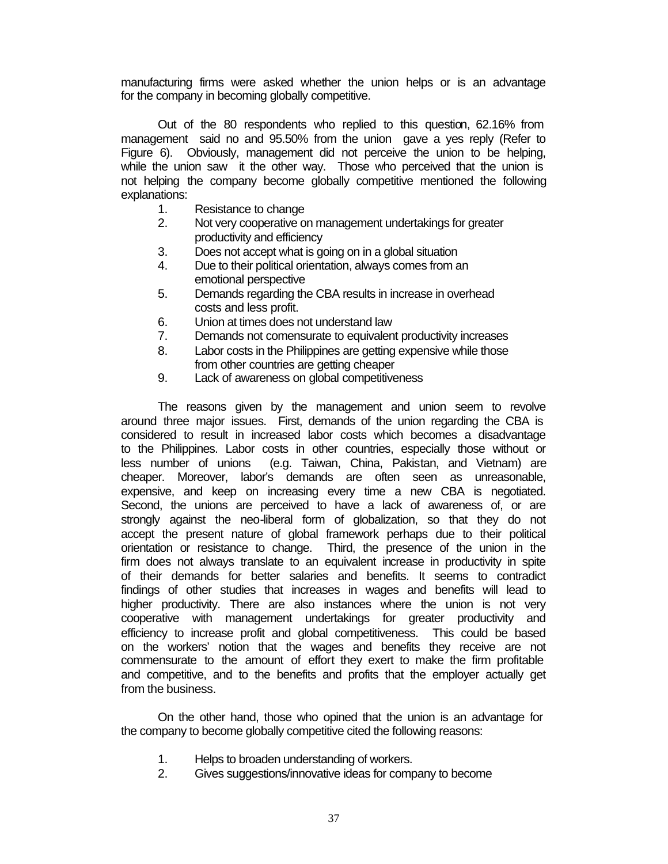manufacturing firms were asked whether the union helps or is an advantage for the company in becoming globally competitive.

Out of the 80 respondents who replied to this question, 62.16% from management said no and 95.50% from the union gave a yes reply (Refer to Figure 6). Obviously, management did not perceive the union to be helping, while the union saw it the other way. Those who perceived that the union is not helping the company become globally competitive mentioned the following explanations:

- 1. Resistance to change
- 2. Not very cooperative on management undertakings for greater productivity and efficiency
- 3. Does not accept what is going on in a global situation
- 4. Due to their political orientation, always comes from an emotional perspective
- 5. Demands regarding the CBA results in increase in overhead costs and less profit.
- 6. Union at times does not understand law
- 7. Demands not comensurate to equivalent productivity increases
- 8. Labor costs in the Philippines are getting expensive while those from other countries are getting cheaper
- 9. Lack of awareness on global competitiveness

The reasons given by the management and union seem to revolve around three major issues. First, demands of the union regarding the CBA is considered to result in increased labor costs which becomes a disadvantage to the Philippines. Labor costs in other countries, especially those without or less number of unions (e.g. Taiwan, China, Pakistan, and Vietnam) are cheaper. Moreover, labor's demands are often seen as unreasonable, expensive, and keep on increasing every time a new CBA is negotiated. Second, the unions are perceived to have a lack of awareness of, or are strongly against the neo-liberal form of globalization, so that they do not accept the present nature of global framework perhaps due to their political orientation or resistance to change. Third, the presence of the union in the firm does not always translate to an equivalent increase in productivity in spite of their demands for better salaries and benefits. It seems to contradict findings of other studies that increases in wages and benefits will lead to higher productivity. There are also instances where the union is not very cooperative with management undertakings for greater productivity and efficiency to increase profit and global competitiveness. This could be based on the workers' notion that the wages and benefits they receive are not commensurate to the amount of effort they exert to make the firm profitable and competitive, and to the benefits and profits that the employer actually get from the business.

On the other hand, those who opined that the union is an advantage for the company to become globally competitive cited the following reasons:

- 1. Helps to broaden understanding of workers.
- 2. Gives suggestions/innovative ideas for company to become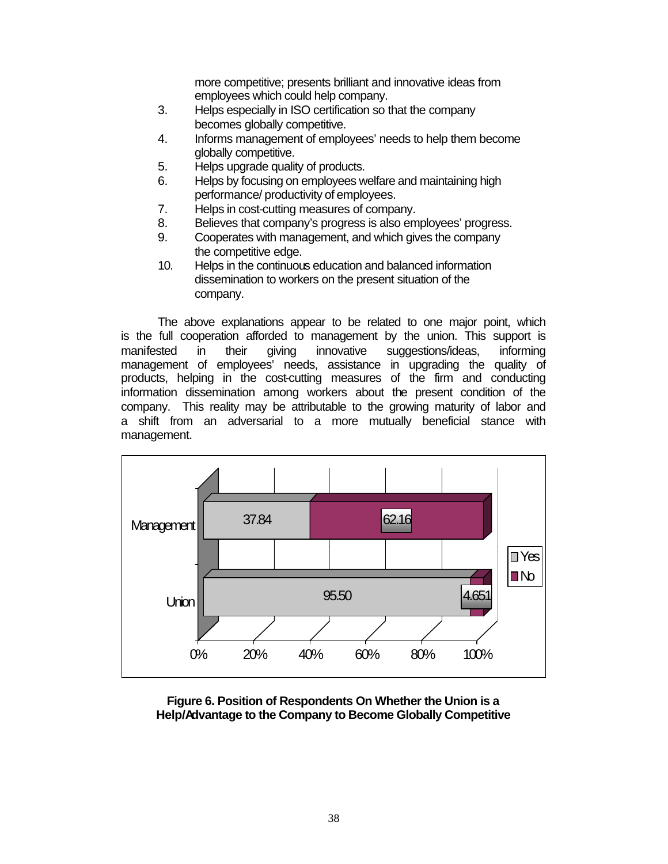more competitive; presents brilliant and innovative ideas from employees which could help company.

- 3. Helps especially in ISO certification so that the company becomes globally competitive.
- 4. Informs management of employees' needs to help them become globally competitive.
- 5. Helps upgrade quality of products.
- 6. Helps by focusing on employees welfare and maintaining high performance/ productivity of employees.
- 7. Helps in cost-cutting measures of company.
- 8. Believes that company's progress is also employees' progress.
- 9. Cooperates with management, and which gives the company the competitive edge.
- 10. Helps in the continuous education and balanced information dissemination to workers on the present situation of the company.

The above explanations appear to be related to one major point, which is the full cooperation afforded to management by the union. This support is manifested in their giving innovative suggestions/ideas, informing management of employees' needs, assistance in upgrading the quality of products, helping in the cost-cutting measures of the firm and conducting information dissemination among workers about the present condition of the company. This reality may be attributable to the growing maturity of labor and a shift from an adversarial to a more mutually beneficial stance with management.



**Figure 6. Position of Respondents On Whether the Union is a Help/Advantage to the Company to Become Globally Competitive**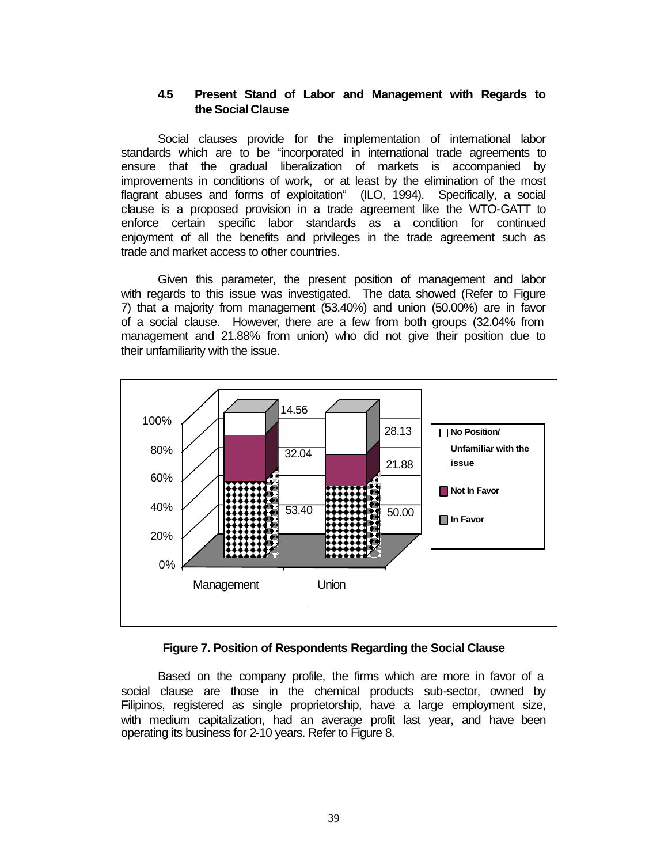## **4.5 Present Stand of Labor and Management with Regards to the Social Clause**

Social clauses provide for the implementation of international labor standards which are to be "incorporated in international trade agreements to ensure that the gradual liberalization of markets is accompanied by improvements in conditions of work, or at least by the elimination of the most flagrant abuses and forms of exploitation" (ILO, 1994). Specifically, a social clause is a proposed provision in a trade agreement like the WTO-GATT to enforce certain specific labor standards as a condition for continued enjoyment of all the benefits and privileges in the trade agreement such as trade and market access to other countries.

Given this parameter, the present position of management and labor with regards to this issue was investigated. The data showed (Refer to Figure 7) that a majority from management (53.40%) and union (50.00%) are in favor of a social clause. However, there are a few from both groups (32.04% from management and 21.88% from union) who did not give their position due to their unfamiliarity with the issue.



## **Figure 7. Position of Respondents Regarding the Social Clause**

Based on the company profile, the firms which are more in favor of a social clause are those in the chemical products sub-sector, owned by Filipinos, registered as single proprietorship, have a large employment size, with medium capitalization, had an average profit last year, and have been operating its business for 2-10 years. Refer to Figure 8.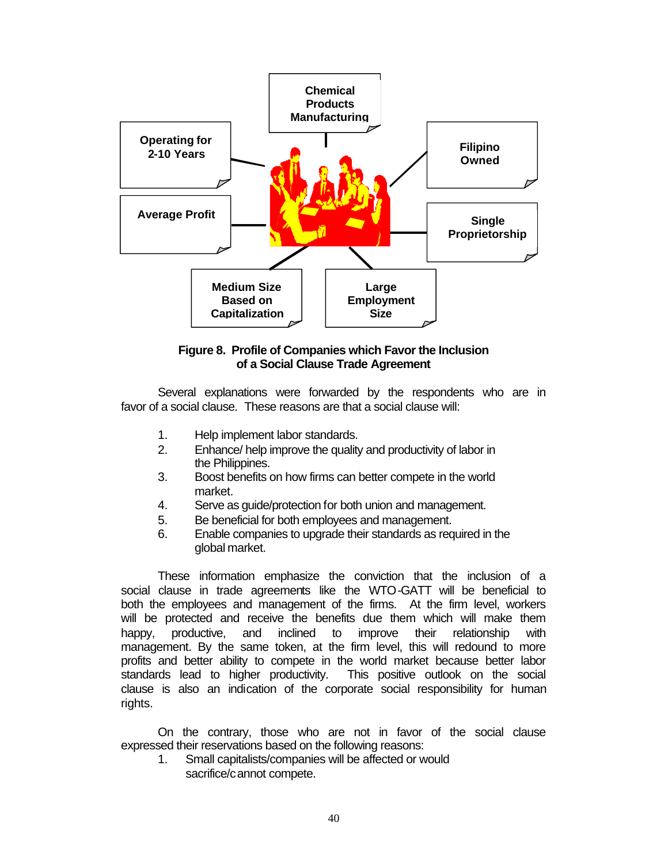

**Figure 8. Profile of Companies which Favor the Inclusion of a Social Clause Trade Agreement**

Several explanations were forwarded by the respondents who are in favor of a social clause. These reasons are that a social clause will:

- 1. Help implement labor standards.
- 2. Enhance/ help improve the quality and productivity of labor in the Philippines.
- 3. Boost benefits on how firms can better compete in the world market.
- 4. Serve as guide/protection for both union and management.
- 5. Be beneficial for both employees and management.
- 6. Enable companies to upgrade their standards as required in the global market.

These information emphasize the conviction that the inclusion of a social clause in trade agreements like the WTO-GATT will be beneficial to both the employees and management of the firms. At the firm level, workers will be protected and receive the benefits due them which will make them happy, productive, and inclined to improve their relationship with management. By the same token, at the firm level, this will redound to more profits and better ability to compete in the world market because better labor standards lead to higher productivity. This positive outlook on the social clause is also an indication of the corporate social responsibility for human rights.

On the contrary, those who are not in favor of the social clause expressed their reservations based on the following reasons:

1. Small capitalists/companies will be affected or would sacrifice/cannot compete.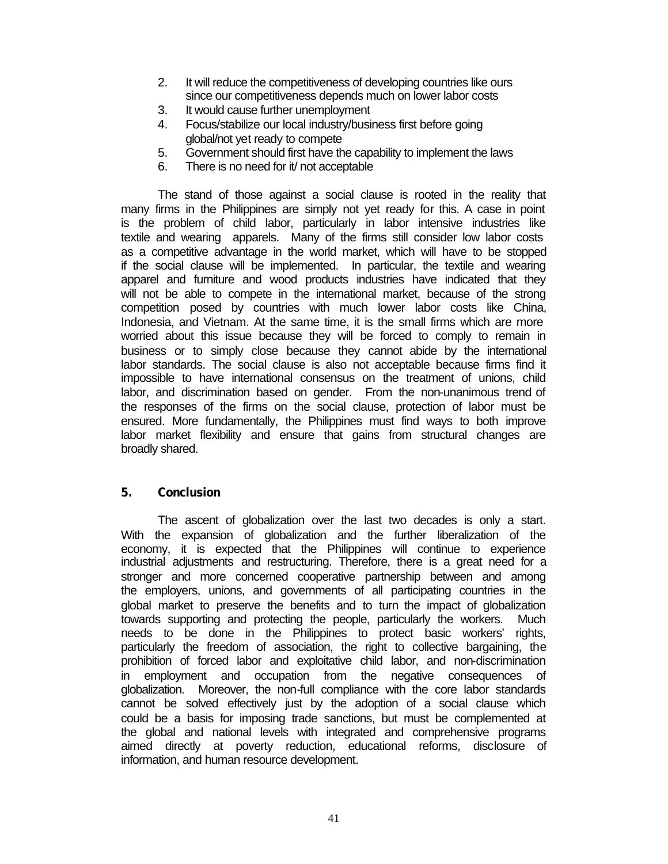- 2. It will reduce the competitiveness of developing countries like ours since our competitiveness depends much on lower labor costs
- 3. It would cause further unemployment
- 4. Focus/stabilize our local industry/business first before going global/not yet ready to compete
- 5. Government should first have the capability to implement the laws
- 6. There is no need for it/ not acceptable

The stand of those against a social clause is rooted in the reality that many firms in the Philippines are simply not yet ready for this. A case in point is the problem of child labor, particularly in labor intensive industries like textile and wearing apparels. Many of the firms still consider low labor costs as a competitive advantage in the world market, which will have to be stopped if the social clause will be implemented. In particular, the textile and wearing apparel and furniture and wood products industries have indicated that they will not be able to compete in the international market, because of the strong competition posed by countries with much lower labor costs like China, Indonesia, and Vietnam. At the same time, it is the small firms which are more worried about this issue because they will be forced to comply to remain in business or to simply close because they cannot abide by the international labor standards. The social clause is also not acceptable because firms find it impossible to have international consensus on the treatment of unions, child labor, and discrimination based on gender. From the non-unanimous trend of the responses of the firms on the social clause, protection of labor must be ensured. More fundamentally, the Philippines must find ways to both improve labor market flexibility and ensure that gains from structural changes are broadly shared.

## **5. Conclusion**

The ascent of globalization over the last two decades is only a start. With the expansion of globalization and the further liberalization of the economy, it is expected that the Philippines will continue to experience industrial adjustments and restructuring. Therefore, there is a great need for a stronger and more concerned cooperative partnership between and among the employers, unions, and governments of all participating countries in the global market to preserve the benefits and to turn the impact of globalization towards supporting and protecting the people, particularly the workers. Much needs to be done in the Philippines to protect basic workers' rights, particularly the freedom of association, the right to collective bargaining, the prohibition of forced labor and exploitative child labor, and non-discrimination in employment and occupation from the negative consequences of globalization. Moreover, the non-full compliance with the core labor standards cannot be solved effectively just by the adoption of a social clause which could be a basis for imposing trade sanctions, but must be complemented at the global and national levels with integrated and comprehensive programs aimed directly at poverty reduction, educational reforms, disclosure of information, and human resource development.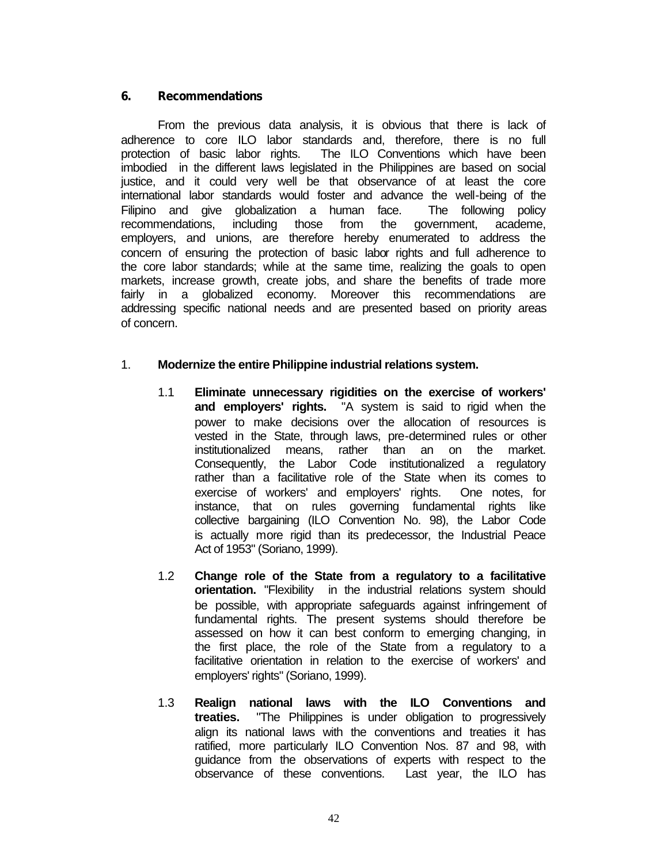## **6. Recommendations**

From the previous data analysis, it is obvious that there is lack of adherence to core ILO labor standards and, therefore, there is no full protection of basic labor rights. The ILO Conventions which have been imbodied in the different laws legislated in the Philippines are based on social justice, and it could very well be that observance of at least the core international labor standards would foster and advance the well-being of the Filipino and give globalization a human face. The following policy recommendations, including those from the government, academe, employers, and unions, are therefore hereby enumerated to address the concern of ensuring the protection of basic labor rights and full adherence to the core labor standards; while at the same time, realizing the goals to open markets, increase growth, create jobs, and share the benefits of trade more fairly in a globalized economy. Moreover this recommendations are addressing specific national needs and are presented based on priority areas of concern.

## 1. **Modernize the entire Philippine industrial relations system.**

- 1.1 **Eliminate unnecessary rigidities on the exercise of workers' and employers' rights.** "A system is said to rigid when the power to make decisions over the allocation of resources is vested in the State, through laws, pre-determined rules or other institutionalized means, rather than an on the market. Consequently, the Labor Code institutionalized a regulatory rather than a facilitative role of the State when its comes to exercise of workers' and employers' rights. One notes, for instance, that on rules governing fundamental rights like collective bargaining (ILO Convention No. 98), the Labor Code is actually more rigid than its predecessor, the Industrial Peace Act of 1953" (Soriano, 1999).
- 1.2 **Change role of the State from a regulatory to a facilitative orientation.** "Flexibility in the industrial relations system should be possible, with appropriate safeguards against infringement of fundamental rights. The present systems should therefore be assessed on how it can best conform to emerging changing, in the first place, the role of the State from a regulatory to a facilitative orientation in relation to the exercise of workers' and employers' rights" (Soriano, 1999).
- 1.3 **Realign national laws with the ILO Conventions and treaties.** "The Philippines is under obligation to progressively align its national laws with the conventions and treaties it has ratified, more particularly ILO Convention Nos. 87 and 98, with guidance from the observations of experts with respect to the observance of these conventions. Last year, the ILO has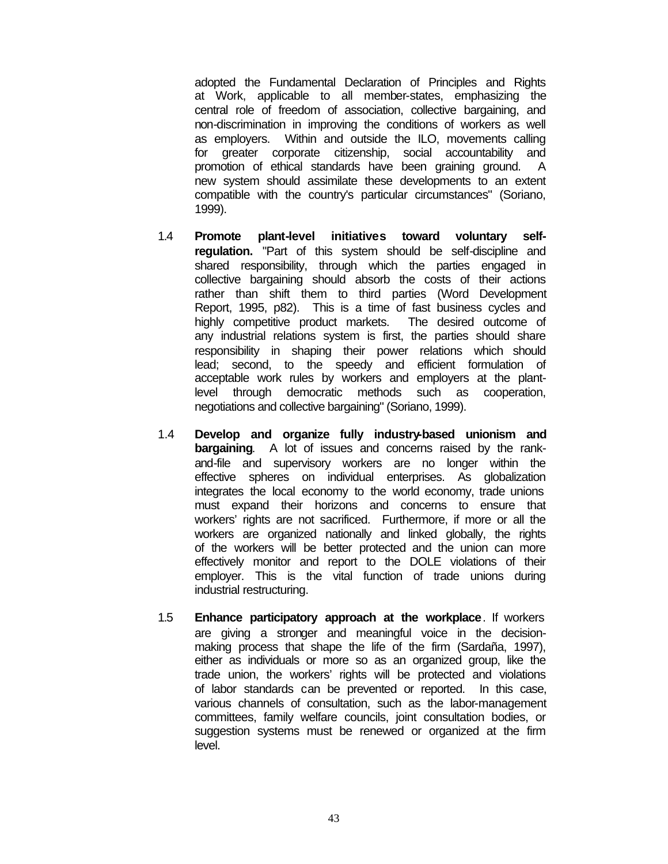adopted the Fundamental Declaration of Principles and Rights at Work, applicable to all member-states, emphasizing the central role of freedom of association, collective bargaining, and non-discrimination in improving the conditions of workers as well as employers. Within and outside the ILO, movements calling for greater corporate citizenship, social accountability and promotion of ethical standards have been graining ground. A new system should assimilate these developments to an extent compatible with the country's particular circumstances" (Soriano, 1999).

- 1.4 **Promote plant-level initiatives toward voluntary selfregulation.** "Part of this system should be self-discipline and shared responsibility, through which the parties engaged in collective bargaining should absorb the costs of their actions rather than shift them to third parties (Word Development Report, 1995, p82). This is a time of fast business cycles and highly competitive product markets. The desired outcome of any industrial relations system is first, the parties should share responsibility in shaping their power relations which should lead; second, to the speedy and efficient formulation of acceptable work rules by workers and employers at the plantlevel through democratic methods such as cooperation, negotiations and collective bargaining" (Soriano, 1999).
- 1.4 **Develop and organize fully industry-based unionism and bargaining**. A lot of issues and concerns raised by the rankand-file and supervisory workers are no longer within the effective spheres on individual enterprises. As globalization integrates the local economy to the world economy, trade unions must expand their horizons and concerns to ensure that workers' rights are not sacrificed. Furthermore, if more or all the workers are organized nationally and linked globally, the rights of the workers will be better protected and the union can more effectively monitor and report to the DOLE violations of their employer. This is the vital function of trade unions during industrial restructuring.
- 1.5 **Enhance participatory approach at the workplace**. If workers are giving a stronger and meaningful voice in the decisionmaking process that shape the life of the firm (Sardaña, 1997), either as individuals or more so as an organized group, like the trade union, the workers' rights will be protected and violations of labor standards can be prevented or reported. In this case, various channels of consultation, such as the labor-management committees, family welfare councils, joint consultation bodies, or suggestion systems must be renewed or organized at the firm level.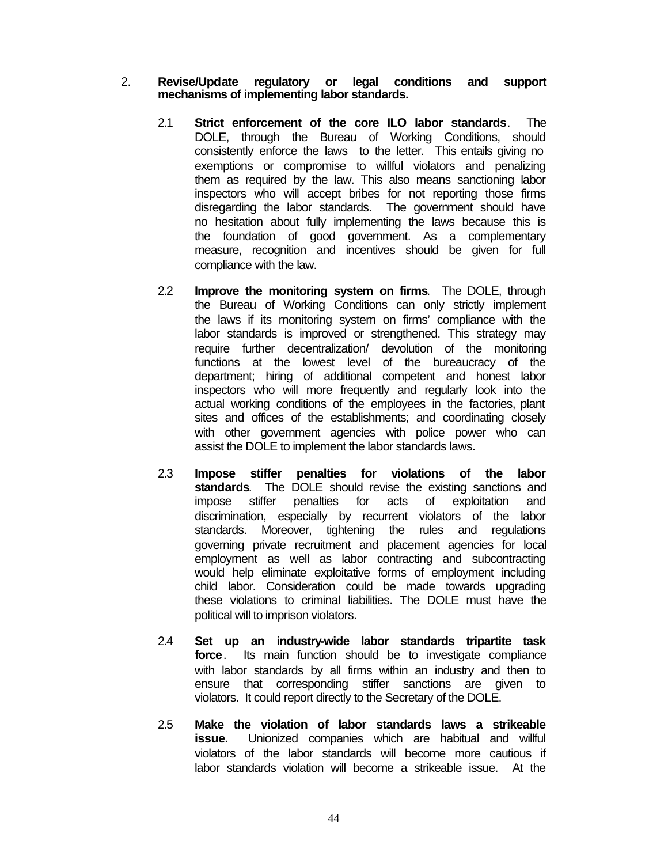### 2. **Revise/Update regulatory or legal conditions and support mechanisms of implementing labor standards.**

- 2.1 **Strict enforcement of the core ILO labor standards**. The DOLE, through the Bureau of Working Conditions, should consistently enforce the laws to the letter. This entails giving no exemptions or compromise to willful violators and penalizing them as required by the law. This also means sanctioning labor inspectors who will accept bribes for not reporting those firms disregarding the labor standards. The government should have no hesitation about fully implementing the laws because this is the foundation of good government. As a complementary measure, recognition and incentives should be given for full compliance with the law.
- 2.2 **Improve the monitoring system on firms**. The DOLE, through the Bureau of Working Conditions can only strictly implement the laws if its monitoring system on firms' compliance with the labor standards is improved or strengthened. This strategy may require further decentralization/ devolution of the monitoring functions at the lowest level of the bureaucracy of the department; hiring of additional competent and honest labor inspectors who will more frequently and regularly look into the actual working conditions of the employees in the factories, plant sites and offices of the establishments; and coordinating closely with other government agencies with police power who can assist the DOLE to implement the labor standards laws.
- 2.3 **Impose stiffer penalties for violations of the labor standards**. The DOLE should revise the existing sanctions and impose stiffer penalties for acts of exploitation and discrimination, especially by recurrent violators of the labor standards. Moreover, tightening the rules and regulations governing private recruitment and placement agencies for local employment as well as labor contracting and subcontracting would help eliminate exploitative forms of employment including child labor. Consideration could be made towards upgrading these violations to criminal liabilities. The DOLE must have the political will to imprison violators.
- 2.4 **Set up an industry-wide labor standards tripartite task force**. Its main function should be to investigate compliance with labor standards by all firms within an industry and then to ensure that corresponding stiffer sanctions are given to violators. It could report directly to the Secretary of the DOLE.
- 2.5 **Make the violation of labor standards laws a strikeable issue.** Unionized companies which are habitual and willful violators of the labor standards will become more cautious if labor standards violation will become a strikeable issue. At the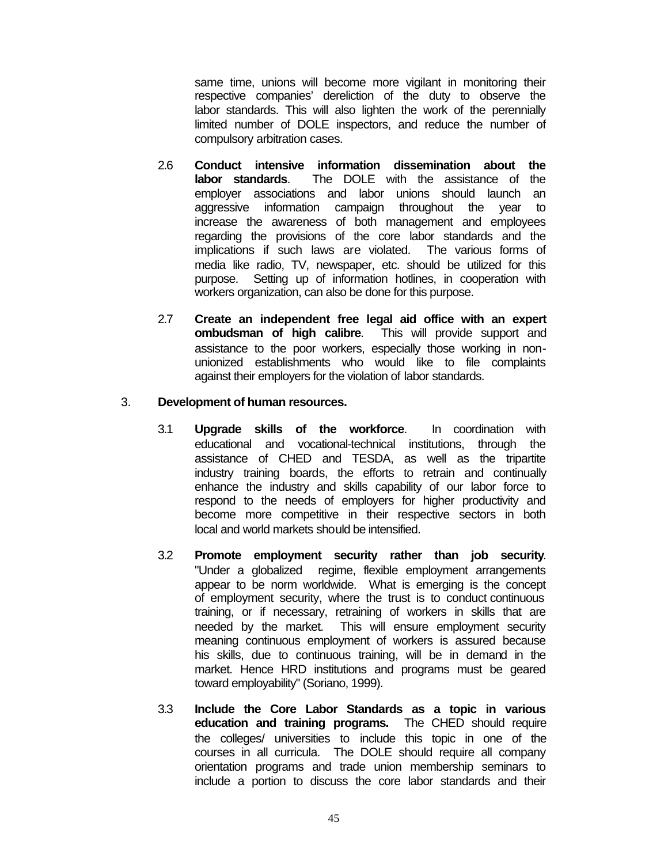same time, unions will become more vigilant in monitoring their respective companies' dereliction of the duty to observe the labor standards. This will also lighten the work of the perennially limited number of DOLE inspectors, and reduce the number of compulsory arbitration cases.

- 2.6 **Conduct intensive information dissemination about the labor standards**. The DOLE with the assistance of the employer associations and labor unions should launch an aggressive information campaign throughout the year to increase the awareness of both management and employees regarding the provisions of the core labor standards and the implications if such laws are violated. The various forms of media like radio, TV, newspaper, etc. should be utilized for this purpose. Setting up of information hotlines, in cooperation with workers organization, can also be done for this purpose.
- 2.7 **Create an independent free legal aid office with an expert ombudsman of high calibre**. This will provide support and assistance to the poor workers, especially those working in nonunionized establishments who would like to file complaints against their employers for the violation of labor standards.

## 3. **Development of human resources.**

- 3.1 **Upgrade skills of the workforce**. In coordination with educational and vocational-technical institutions, through the assistance of CHED and TESDA, as well as the tripartite industry training boards, the efforts to retrain and continually enhance the industry and skills capability of our labor force to respond to the needs of employers for higher productivity and become more competitive in their respective sectors in both local and world markets should be intensified.
- 3.2 **Promote employment security rather than job security**. "Under a globalized regime, flexible employment arrangements appear to be norm worldwide. What is emerging is the concept of employment security, where the trust is to conduct continuous training, or if necessary, retraining of workers in skills that are needed by the market. This will ensure employment security meaning continuous employment of workers is assured because his skills, due to continuous training, will be in demand in the market. Hence HRD institutions and programs must be geared toward employability" (Soriano, 1999).
- 3.3 **Include the Core Labor Standards as a topic in various education and training programs.** The CHED should require the colleges/ universities to include this topic in one of the courses in all curricula. The DOLE should require all company orientation programs and trade union membership seminars to include a portion to discuss the core labor standards and their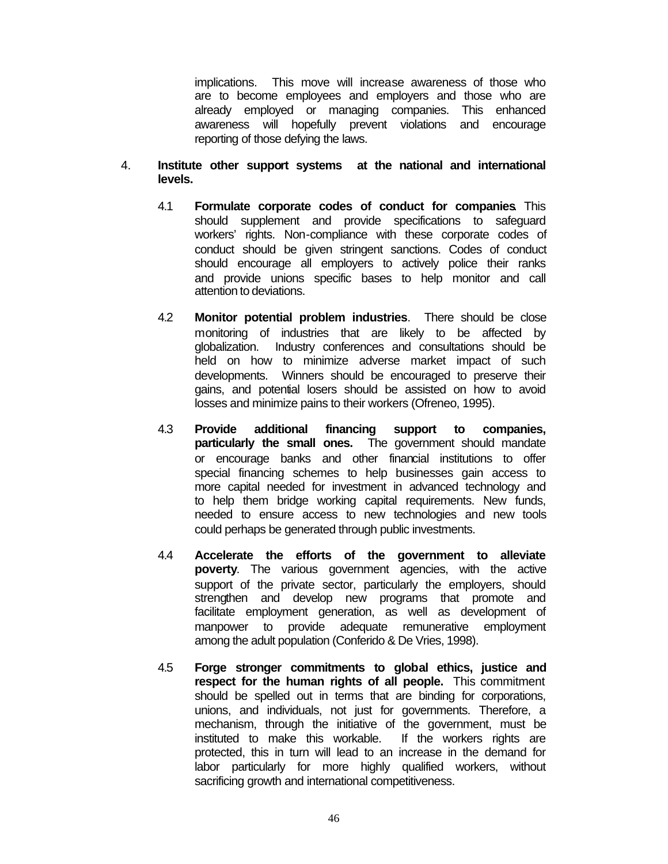implications. This move will increase awareness of those who are to become employees and employers and those who are already employed or managing companies. This enhanced awareness will hopefully prevent violations and encourage reporting of those defying the laws.

- 4. **Institute other support systems at the national and international levels.**
	- 4.1 **Formulate corporate codes of conduct for companies**. This should supplement and provide specifications to safeguard workers' rights. Non-compliance with these corporate codes of conduct should be given stringent sanctions. Codes of conduct should encourage all employers to actively police their ranks and provide unions specific bases to help monitor and call attention to deviations.
	- 4.2 **Monitor potential problem industries**. There should be close monitoring of industries that are likely to be affected by globalization. Industry conferences and consultations should be held on how to minimize adverse market impact of such developments. Winners should be encouraged to preserve their gains, and potential losers should be assisted on how to avoid losses and minimize pains to their workers (Ofreneo, 1995).
	- 4.3 **Provide additional financing support to companies, particularly the small ones.** The government should mandate or encourage banks and other financial institutions to offer special financing schemes to help businesses gain access to more capital needed for investment in advanced technology and to help them bridge working capital requirements. New funds, needed to ensure access to new technologies and new tools could perhaps be generated through public investments.
	- 4.4 **Accelerate the efforts of the government to alleviate poverty**. The various government agencies, with the active support of the private sector, particularly the employers, should strengthen and develop new programs that promote and facilitate employment generation, as well as development of manpower to provide adequate remunerative employment among the adult population (Conferido & De Vries, 1998).
	- 4.5 **Forge stronger commitments to global ethics, justice and respect for the human rights of all people.** This commitment should be spelled out in terms that are binding for corporations, unions, and individuals, not just for governments. Therefore, a mechanism, through the initiative of the government, must be instituted to make this workable. If the workers rights are protected, this in turn will lead to an increase in the demand for labor particularly for more highly qualified workers, without sacrificing growth and international competitiveness.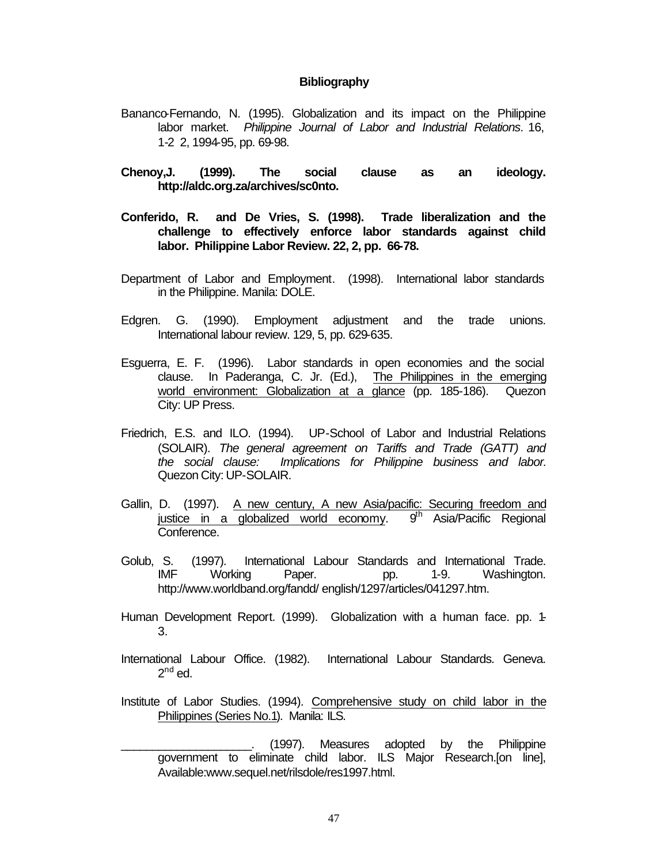#### **Bibliography**

- Bananco-Fernando, N. (1995). Globalization and its impact on the Philippine labor market. *Philippine Journal of Labor and Industrial Relations*. 16, 1-2 2, 1994-95, pp. 69-98.
- **Chenoy,J. (1999). The social clause as an ideology. http://aldc.org.za/archives/sc0nto.**
- **Conferido, R. and De Vries, S. (1998). Trade liberalization and the challenge to effectively enforce labor standards against child labor. Philippine Labor Review. 22, 2, pp. 66-78.**
- Department of Labor and Employment. (1998). International labor standards in the Philippine. Manila: DOLE.
- Edgren. G. (1990). Employment adjustment and the trade unions. International labour review. 129, 5, pp. 629-635.
- Esguerra, E. F. (1996). Labor standards in open economies and the social clause. In Paderanga, C. Jr. (Ed.), The Philippines in the emerging world environment: Globalization at a glance (pp. 185-186). Quezon City: UP Press.
- Friedrich, E.S. and ILO. (1994). UP-School of Labor and Industrial Relations (SOLAIR). *The general agreement on Tariffs and Trade (GATT) and the social clause: Implications for Philippine business and labor.* Quezon City: UP-SOLAIR.
- Gallin, D. (1997). A new century, A new Asia/pacific: Securing freedom and justice in a globalized world economy. 9<sup>th</sup> Asia/Pacific Regional Conference.
- Golub, S. (1997). International Labour Standards and International Trade. IMF Working Paper. pp. 1-9. Washington. http://www.worldband.org/fandd/ english/1297/articles/041297.htm.
- Human Development Report. (1999). Globalization with a human face. pp. 1- 3.
- International Labour Office. (1982). International Labour Standards. Geneva.  $2^{nd}$  ed.
- Institute of Labor Studies. (1994). Comprehensive study on child labor in the Philippines (Series No.1). Manila: ILS.

(1997). Measures adopted by the Philippine government to eliminate child labor. ILS Major Research.[on line], Available:www.sequel.net/rilsdole/res1997.html.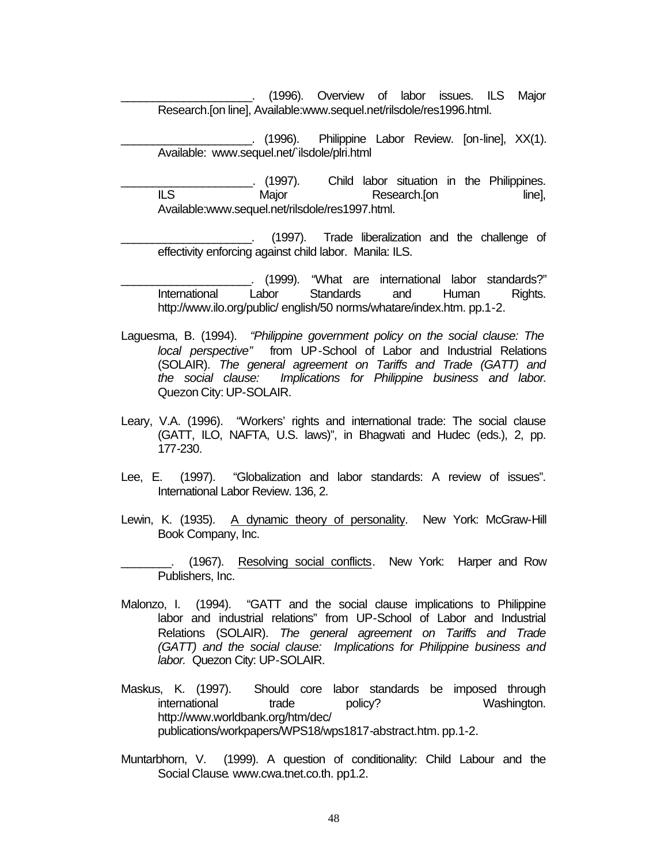- \_\_\_\_\_\_\_\_\_\_\_\_\_\_\_\_\_\_\_\_\_. (1996). Overview of labor issues. ILS Major Research.[on line], Available:www.sequel.net/rilsdole/res1996.html.
- \_\_\_\_\_\_\_\_\_\_\_\_\_\_\_\_\_\_\_\_\_. (1996). Philippine Labor Review. [on-line], XX(1). Available: www.sequel.net/`ilsdole/plri.html
- \_\_\_\_\_\_\_\_\_\_\_\_\_\_\_\_\_\_\_\_\_. (1997). Child labor situation in the Philippines. ILS Major Research.[on line], Available:www.sequel.net/rilsdole/res1997.html.
	- \_\_\_\_\_\_\_\_\_\_\_\_\_\_\_\_\_\_\_\_\_. (1997). Trade liberalization and the challenge of effectivity enforcing against child labor. Manila: ILS.
- \_\_\_\_\_\_\_\_\_\_\_\_\_\_\_\_\_\_\_\_\_. (1999). "What are international labor standards?" International Labor Standards and Human Rights. http://www.ilo.org/public/ english/50 norms/whatare/index.htm. pp.1-2.
- Laguesma, B. (1994). *"Philippine government policy on the social clause: The local perspective"* from UP-School of Labor and Industrial Relations (SOLAIR). *The general agreement on Tariffs and Trade (GATT) and the social clause: Implications for Philippine business and labor.* Quezon City: UP-SOLAIR.
- Leary, V.A. (1996). "Workers' rights and international trade: The social clause (GATT, ILO, NAFTA, U.S. laws)", in Bhagwati and Hudec (eds.), 2, pp. 177-230.
- Lee, E. (1997). "Globalization and labor standards: A review of issues". International Labor Review. 136, 2.
- Lewin, K. (1935). A dynamic theory of personality. New York: McGraw-Hill Book Company, Inc.
- (1967). Resolving social conflicts. New York: Harper and Row Publishers, Inc.
- Malonzo, I. (1994). "GATT and the social clause implications to Philippine labor and industrial relations" from UP-School of Labor and Industrial Relations (SOLAIR). *The general agreement on Tariffs and Trade (GATT) and the social clause: Implications for Philippine business and labor.* Quezon City: UP-SOLAIR.
- Maskus, K. (1997). Should core labor standards be imposed through international trade policy? Washington. http://www.worldbank.org/htm/dec/ publications/workpapers/WPS18/wps1817-abstract.htm. pp.1-2.
- Muntarbhorn, V. (1999). A question of conditionality: Child Labour and the Social Clause. www.cwa.tnet.co.th. pp1.2.